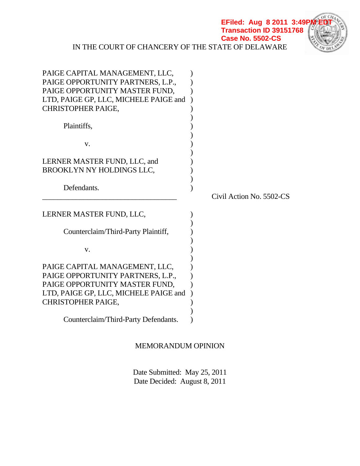IN THE COURT OF CHANCERY OF THE STATE OF DELAWARE **EFiled: Aug 8 2011 3:49 Transaction ID 39151768 Case No. 5502-CS**



# MEMORANDUM OPINION

 Date Submitted: May 25, 2011 Date Decided: August 8, 2011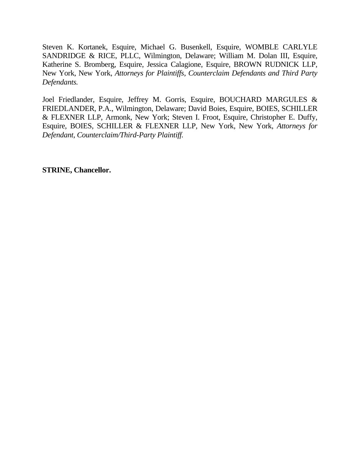Steven K. Kortanek, Esquire, Michael G. Busenkell, Esquire, WOMBLE CARLYLE SANDRIDGE & RICE, PLLC, Wilmington, Delaware; William M. Dolan III, Esquire, Katherine S. Bromberg, Esquire, Jessica Calagione, Esquire, BROWN RUDNICK LLP, New York, New York, *Attorneys for Plaintiffs, Counterclaim Defendants and Third Party Defendants.* 

Joel Friedlander, Esquire, Jeffrey M. Gorris, Esquire, BOUCHARD MARGULES & FRIEDLANDER, P.A., Wilmington, Delaware; David Boies, Esquire, BOIES, SCHILLER & FLEXNER LLP, Armonk, New York; Steven I. Froot, Esquire, Christopher E. Duffy, Esquire, BOIES, SCHILLER & FLEXNER LLP, New York, New York, *Attorneys for Defendant, Counterclaim/Third-Party Plaintiff.* 

**STRINE, Chancellor.**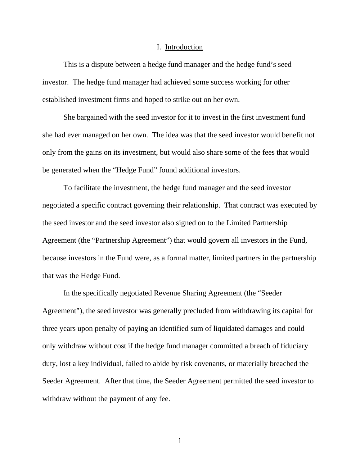#### I. Introduction

 This is a dispute between a hedge fund manager and the hedge fund's seed investor. The hedge fund manager had achieved some success working for other established investment firms and hoped to strike out on her own.

 She bargained with the seed investor for it to invest in the first investment fund she had ever managed on her own. The idea was that the seed investor would benefit not only from the gains on its investment, but would also share some of the fees that would be generated when the "Hedge Fund" found additional investors.

 To facilitate the investment, the hedge fund manager and the seed investor negotiated a specific contract governing their relationship. That contract was executed by the seed investor and the seed investor also signed on to the Limited Partnership Agreement (the "Partnership Agreement") that would govern all investors in the Fund, because investors in the Fund were, as a formal matter, limited partners in the partnership that was the Hedge Fund.

 In the specifically negotiated Revenue Sharing Agreement (the "Seeder Agreement"), the seed investor was generally precluded from withdrawing its capital for three years upon penalty of paying an identified sum of liquidated damages and could only withdraw without cost if the hedge fund manager committed a breach of fiduciary duty, lost a key individual, failed to abide by risk covenants, or materially breached the Seeder Agreement. After that time, the Seeder Agreement permitted the seed investor to withdraw without the payment of any fee.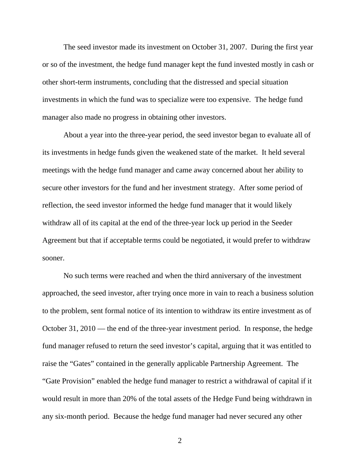The seed investor made its investment on October 31, 2007. During the first year or so of the investment, the hedge fund manager kept the fund invested mostly in cash or other short-term instruments, concluding that the distressed and special situation investments in which the fund was to specialize were too expensive. The hedge fund manager also made no progress in obtaining other investors.

 About a year into the three-year period, the seed investor began to evaluate all of its investments in hedge funds given the weakened state of the market. It held several meetings with the hedge fund manager and came away concerned about her ability to secure other investors for the fund and her investment strategy. After some period of reflection, the seed investor informed the hedge fund manager that it would likely withdraw all of its capital at the end of the three-year lock up period in the Seeder Agreement but that if acceptable terms could be negotiated, it would prefer to withdraw sooner.

 No such terms were reached and when the third anniversary of the investment approached, the seed investor, after trying once more in vain to reach a business solution to the problem, sent formal notice of its intention to withdraw its entire investment as of October 31, 2010 — the end of the three-year investment period. In response, the hedge fund manager refused to return the seed investor's capital, arguing that it was entitled to raise the "Gates" contained in the generally applicable Partnership Agreement. The "Gate Provision" enabled the hedge fund manager to restrict a withdrawal of capital if it would result in more than 20% of the total assets of the Hedge Fund being withdrawn in any six-month period. Because the hedge fund manager had never secured any other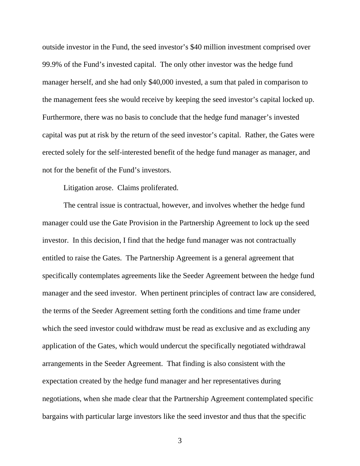outside investor in the Fund, the seed investor's \$40 million investment comprised over 99.9% of the Fund's invested capital. The only other investor was the hedge fund manager herself, and she had only \$40,000 invested, a sum that paled in comparison to the management fees she would receive by keeping the seed investor's capital locked up. Furthermore, there was no basis to conclude that the hedge fund manager's invested capital was put at risk by the return of the seed investor's capital. Rather, the Gates were erected solely for the self-interested benefit of the hedge fund manager as manager, and not for the benefit of the Fund's investors.

Litigation arose. Claims proliferated.

 The central issue is contractual, however, and involves whether the hedge fund manager could use the Gate Provision in the Partnership Agreement to lock up the seed investor. In this decision, I find that the hedge fund manager was not contractually entitled to raise the Gates. The Partnership Agreement is a general agreement that specifically contemplates agreements like the Seeder Agreement between the hedge fund manager and the seed investor. When pertinent principles of contract law are considered, the terms of the Seeder Agreement setting forth the conditions and time frame under which the seed investor could withdraw must be read as exclusive and as excluding any application of the Gates, which would undercut the specifically negotiated withdrawal arrangements in the Seeder Agreement. That finding is also consistent with the expectation created by the hedge fund manager and her representatives during negotiations, when she made clear that the Partnership Agreement contemplated specific bargains with particular large investors like the seed investor and thus that the specific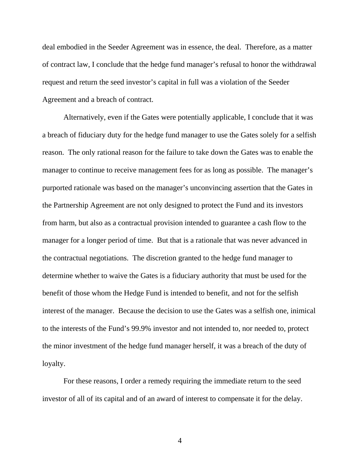deal embodied in the Seeder Agreement was in essence, the deal. Therefore, as a matter of contract law, I conclude that the hedge fund manager's refusal to honor the withdrawal request and return the seed investor's capital in full was a violation of the Seeder Agreement and a breach of contract.

 Alternatively, even if the Gates were potentially applicable, I conclude that it was a breach of fiduciary duty for the hedge fund manager to use the Gates solely for a selfish reason. The only rational reason for the failure to take down the Gates was to enable the manager to continue to receive management fees for as long as possible. The manager's purported rationale was based on the manager's unconvincing assertion that the Gates in the Partnership Agreement are not only designed to protect the Fund and its investors from harm, but also as a contractual provision intended to guarantee a cash flow to the manager for a longer period of time. But that is a rationale that was never advanced in the contractual negotiations. The discretion granted to the hedge fund manager to determine whether to waive the Gates is a fiduciary authority that must be used for the benefit of those whom the Hedge Fund is intended to benefit, and not for the selfish interest of the manager. Because the decision to use the Gates was a selfish one, inimical to the interests of the Fund's 99.9% investor and not intended to, nor needed to, protect the minor investment of the hedge fund manager herself, it was a breach of the duty of loyalty.

 For these reasons, I order a remedy requiring the immediate return to the seed investor of all of its capital and of an award of interest to compensate it for the delay.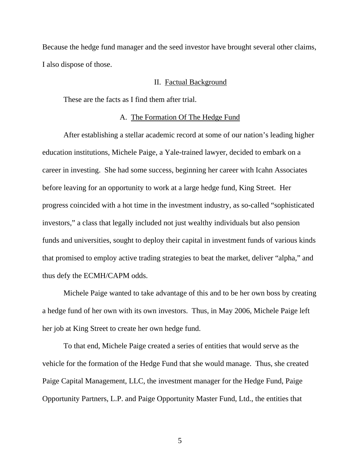Because the hedge fund manager and the seed investor have brought several other claims, I also dispose of those.

### II. Factual Background

These are the facts as I find them after trial.

### A. The Formation Of The Hedge Fund

After establishing a stellar academic record at some of our nation's leading higher education institutions, Michele Paige, a Yale-trained lawyer, decided to embark on a career in investing. She had some success, beginning her career with Icahn Associates before leaving for an opportunity to work at a large hedge fund, King Street. Her progress coincided with a hot time in the investment industry, as so-called "sophisticated investors," a class that legally included not just wealthy individuals but also pension funds and universities, sought to deploy their capital in investment funds of various kinds that promised to employ active trading strategies to beat the market, deliver "alpha," and thus defy the ECMH/CAPM odds.

Michele Paige wanted to take advantage of this and to be her own boss by creating a hedge fund of her own with its own investors. Thus, in May 2006, Michele Paige left her job at King Street to create her own hedge fund.

To that end, Michele Paige created a series of entities that would serve as the vehicle for the formation of the Hedge Fund that she would manage. Thus, she created Paige Capital Management, LLC, the investment manager for the Hedge Fund, Paige Opportunity Partners, L.P. and Paige Opportunity Master Fund, Ltd., the entities that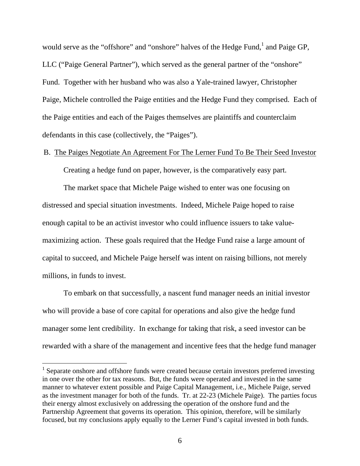would serve as the "offshore" and "onshore" halves of the Hedge Fund,  $\frac{1}{1}$  and Paige GP, LLC ("Paige General Partner"), which served as the general partner of the "onshore" Fund. Together with her husband who was also a Yale-trained lawyer, Christopher Paige, Michele controlled the Paige entities and the Hedge Fund they comprised. Each of the Paige entities and each of the Paiges themselves are plaintiffs and counterclaim defendants in this case (collectively, the "Paiges").

### B. The Paiges Negotiate An Agreement For The Lerner Fund To Be Their Seed Investor

Creating a hedge fund on paper, however, is the comparatively easy part.

The market space that Michele Paige wished to enter was one focusing on distressed and special situation investments. Indeed, Michele Paige hoped to raise enough capital to be an activist investor who could influence issuers to take valuemaximizing action. These goals required that the Hedge Fund raise a large amount of capital to succeed, and Michele Paige herself was intent on raising billions, not merely millions, in funds to invest.

To embark on that successfully, a nascent fund manager needs an initial investor who will provide a base of core capital for operations and also give the hedge fund manager some lent credibility. In exchange for taking that risk, a seed investor can be rewarded with a share of the management and incentive fees that the hedge fund manager

<sup>&</sup>lt;sup>1</sup> Separate onshore and offshore funds were created because certain investors preferred investing in one over the other for tax reasons. But, the funds were operated and invested in the same manner to whatever extent possible and Paige Capital Management, i.e., Michele Paige, served as the investment manager for both of the funds. Tr. at 22-23 (Michele Paige). The parties focus their energy almost exclusively on addressing the operation of the onshore fund and the Partnership Agreement that governs its operation. This opinion, therefore, will be similarly focused, but my conclusions apply equally to the Lerner Fund's capital invested in both funds.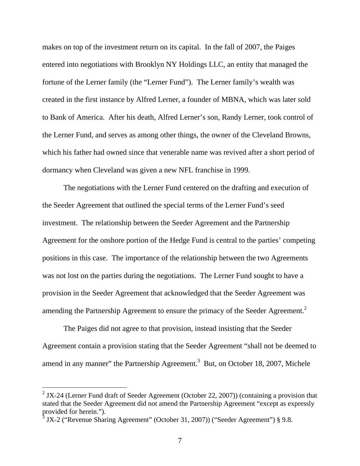makes on top of the investment return on its capital. In the fall of 2007, the Paiges entered into negotiations with Brooklyn NY Holdings LLC, an entity that managed the fortune of the Lerner family (the "Lerner Fund"). The Lerner family's wealth was created in the first instance by Alfred Lerner, a founder of MBNA, which was later sold to Bank of America. After his death, Alfred Lerner's son, Randy Lerner, took control of the Lerner Fund, and serves as among other things, the owner of the Cleveland Browns, which his father had owned since that venerable name was revived after a short period of dormancy when Cleveland was given a new NFL franchise in 1999.

The negotiations with the Lerner Fund centered on the drafting and execution of the Seeder Agreement that outlined the special terms of the Lerner Fund's seed investment. The relationship between the Seeder Agreement and the Partnership Agreement for the onshore portion of the Hedge Fund is central to the parties' competing positions in this case. The importance of the relationship between the two Agreements was not lost on the parties during the negotiations. The Lerner Fund sought to have a provision in the Seeder Agreement that acknowledged that the Seeder Agreement was amending the Partnership Agreement to ensure the primacy of the Seeder Agreement.<sup>2</sup>

The Paiges did not agree to that provision, instead insisting that the Seeder Agreement contain a provision stating that the Seeder Agreement "shall not be deemed to amend in any manner" the Partnership Agreement.<sup>3</sup> But, on October 18, 2007, Michele

<sup>&</sup>lt;sup>2</sup> JX-24 (Lerner Fund draft of Seeder Agreement (October 22, 2007)) (containing a provision that stated that the Seeder Agreement did not amend the Partnership Agreement "except as expressly provided for herein.").

 $3$  JX-2 ("Revenue Sharing Agreement" (October 31, 2007)) ("Seeder Agreement")  $\S$  9.8.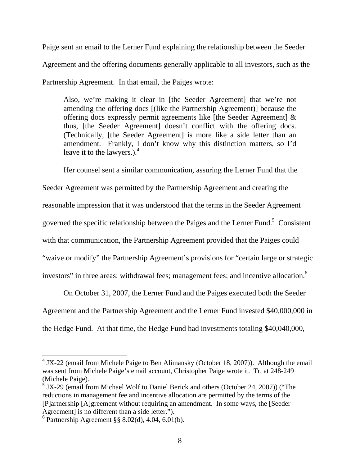Paige sent an email to the Lerner Fund explaining the relationship between the Seeder Agreement and the offering documents generally applicable to all investors, such as the Partnership Agreement. In that email, the Paiges wrote:

Also, we're making it clear in [the Seeder Agreement] that we're not amending the offering docs [(like the Partnership Agreement)] because the offering docs expressly permit agreements like [the Seeder Agreement] & thus, [the Seeder Agreement] doesn't conflict with the offering docs. (Technically, [the Seeder Agreement] is more like a side letter than an amendment. Frankly, I don't know why this distinction matters, so I'd leave it to the lawyers.). $<sup>4</sup>$ </sup>

Her counsel sent a similar communication, assuring the Lerner Fund that the

Seeder Agreement was permitted by the Partnership Agreement and creating the

reasonable impression that it was understood that the terms in the Seeder Agreement

governed the specific relationship between the Paiges and the Lerner Fund.<sup>5</sup> Consistent

with that communication, the Partnership Agreement provided that the Paiges could

"waive or modify" the Partnership Agreement's provisions for "certain large or strategic

investors" in three areas: withdrawal fees; management fees; and incentive allocation.<sup>6</sup>

On October 31, 2007, the Lerner Fund and the Paiges executed both the Seeder Agreement and the Partnership Agreement and the Lerner Fund invested \$40,000,000 in the Hedge Fund. At that time, the Hedge Fund had investments totaling \$40,040,000,

 $4$  JX-22 (email from Michele Paige to Ben Alimansky (October 18, 2007)). Although the email was sent from Michele Paige's email account, Christopher Paige wrote it. Tr. at 248-249 (Michele Paige).

 $5$  JX-29 (email from Michael Wolf to Daniel Berick and others (October 24, 2007)) ("The reductions in management fee and incentive allocation are permitted by the terms of the [P]artnership [A]greement without requiring an amendment. In some ways, the [Seeder Agreement] is no different than a side letter.").

 $6$  Partnership Agreement §§ 8.02(d), 4.04, 6.01(b).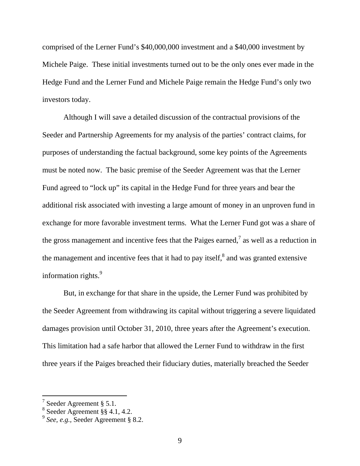comprised of the Lerner Fund's \$40,000,000 investment and a \$40,000 investment by Michele Paige. These initial investments turned out to be the only ones ever made in the Hedge Fund and the Lerner Fund and Michele Paige remain the Hedge Fund's only two investors today.

Although I will save a detailed discussion of the contractual provisions of the Seeder and Partnership Agreements for my analysis of the parties' contract claims, for purposes of understanding the factual background, some key points of the Agreements must be noted now. The basic premise of the Seeder Agreement was that the Lerner Fund agreed to "lock up" its capital in the Hedge Fund for three years and bear the additional risk associated with investing a large amount of money in an unproven fund in exchange for more favorable investment terms. What the Lerner Fund got was a share of the gross management and incentive fees that the Paiges earned,<sup>7</sup> as well as a reduction in the management and incentive fees that it had to pay itself, $^8$  and was granted extensive information rights.<sup>9</sup>

But, in exchange for that share in the upside, the Lerner Fund was prohibited by the Seeder Agreement from withdrawing its capital without triggering a severe liquidated damages provision until October 31, 2010, three years after the Agreement's execution. This limitation had a safe harbor that allowed the Lerner Fund to withdraw in the first three years if the Paiges breached their fiduciary duties, materially breached the Seeder

 $7$  Seeder Agreement § 5.1.

<sup>8</sup> Seeder Agreement §§ 4.1, 4.2.

<sup>9</sup> *See, e.g.,* Seeder Agreement § 8.2.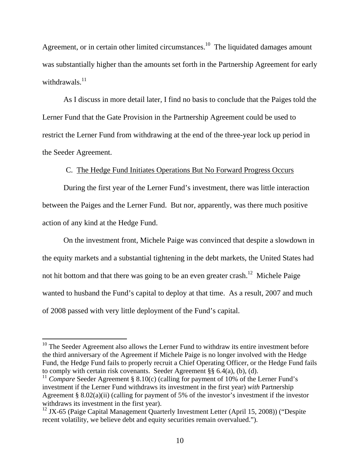Agreement, or in certain other limited circumstances.<sup>10</sup> The liquidated damages amount was substantially higher than the amounts set forth in the Partnership Agreement for early withdrawals. $^{11}$ 

As I discuss in more detail later, I find no basis to conclude that the Paiges told the Lerner Fund that the Gate Provision in the Partnership Agreement could be used to restrict the Lerner Fund from withdrawing at the end of the three-year lock up period in the Seeder Agreement.

### C. The Hedge Fund Initiates Operations But No Forward Progress Occurs

During the first year of the Lerner Fund's investment, there was little interaction between the Paiges and the Lerner Fund. But nor, apparently, was there much positive action of any kind at the Hedge Fund.

On the investment front, Michele Paige was convinced that despite a slowdown in the equity markets and a substantial tightening in the debt markets, the United States had not hit bottom and that there was going to be an even greater crash.<sup>12</sup> Michele Paige wanted to husband the Fund's capital to deploy at that time. As a result, 2007 and much of 2008 passed with very little deployment of the Fund's capital.

 $10$  The Seeder Agreement also allows the Lerner Fund to withdraw its entire investment before the third anniversary of the Agreement if Michele Paige is no longer involved with the Hedge Fund, the Hedge Fund fails to properly recruit a Chief Operating Officer, or the Hedge Fund fails to comply with certain risk covenants. Seeder Agreement §§ 6.4(a), (b), (d).

<sup>&</sup>lt;sup>11</sup> *Compare* Seeder Agreement § 8.10(c) (calling for payment of 10% of the Lerner Fund's investment if the Lerner Fund withdraws its investment in the first year) *with* Partnership Agreement § 8.02(a)(ii) (calling for payment of 5% of the investor's investment if the investor withdraws its investment in the first year).

 $12$  JX-65 (Paige Capital Management Quarterly Investment Letter (April 15, 2008)) ("Despite recent volatility, we believe debt and equity securities remain overvalued.").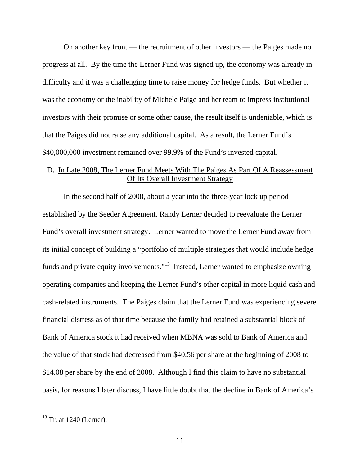On another key front — the recruitment of other investors — the Paiges made no progress at all. By the time the Lerner Fund was signed up, the economy was already in difficulty and it was a challenging time to raise money for hedge funds. But whether it was the economy or the inability of Michele Paige and her team to impress institutional investors with their promise or some other cause, the result itself is undeniable, which is that the Paiges did not raise any additional capital. As a result, the Lerner Fund's \$40,000,000 investment remained over 99.9% of the Fund's invested capital.

# D. In Late 2008, The Lerner Fund Meets With The Paiges As Part Of A Reassessment Of Its Overall Investment Strategy

In the second half of 2008, about a year into the three-year lock up period established by the Seeder Agreement, Randy Lerner decided to reevaluate the Lerner Fund's overall investment strategy. Lerner wanted to move the Lerner Fund away from its initial concept of building a "portfolio of multiple strategies that would include hedge funds and private equity involvements."13 Instead, Lerner wanted to emphasize owning operating companies and keeping the Lerner Fund's other capital in more liquid cash and cash-related instruments. The Paiges claim that the Lerner Fund was experiencing severe financial distress as of that time because the family had retained a substantial block of Bank of America stock it had received when MBNA was sold to Bank of America and the value of that stock had decreased from \$40.56 per share at the beginning of 2008 to \$14.08 per share by the end of 2008. Although I find this claim to have no substantial basis, for reasons I later discuss, I have little doubt that the decline in Bank of America's

 $13$  Tr. at 1240 (Lerner).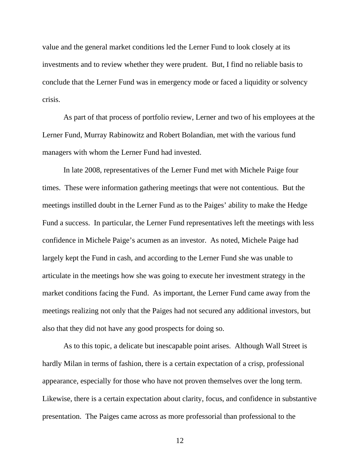value and the general market conditions led the Lerner Fund to look closely at its investments and to review whether they were prudent. But, I find no reliable basis to conclude that the Lerner Fund was in emergency mode or faced a liquidity or solvency crisis.

As part of that process of portfolio review, Lerner and two of his employees at the Lerner Fund, Murray Rabinowitz and Robert Bolandian, met with the various fund managers with whom the Lerner Fund had invested.

In late 2008, representatives of the Lerner Fund met with Michele Paige four times. These were information gathering meetings that were not contentious. But the meetings instilled doubt in the Lerner Fund as to the Paiges' ability to make the Hedge Fund a success. In particular, the Lerner Fund representatives left the meetings with less confidence in Michele Paige's acumen as an investor. As noted, Michele Paige had largely kept the Fund in cash, and according to the Lerner Fund she was unable to articulate in the meetings how she was going to execute her investment strategy in the market conditions facing the Fund. As important, the Lerner Fund came away from the meetings realizing not only that the Paiges had not secured any additional investors, but also that they did not have any good prospects for doing so.

As to this topic, a delicate but inescapable point arises. Although Wall Street is hardly Milan in terms of fashion, there is a certain expectation of a crisp, professional appearance, especially for those who have not proven themselves over the long term. Likewise, there is a certain expectation about clarity, focus, and confidence in substantive presentation. The Paiges came across as more professorial than professional to the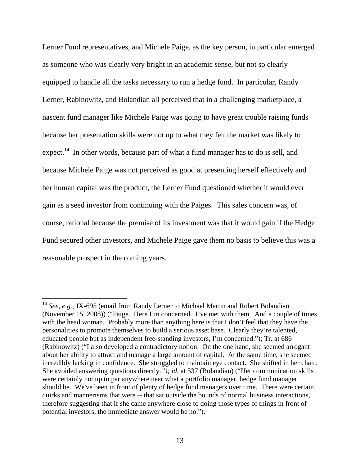Lerner Fund representatives, and Michele Paige, as the key person, in particular emerged as someone who was clearly very bright in an academic sense, but not so clearly equipped to handle all the tasks necessary to run a hedge fund. In particular, Randy Lerner, Rabinowitz, and Bolandian all perceived that in a challenging marketplace, a nascent fund manager like Michele Paige was going to have great trouble raising funds because her presentation skills were not up to what they felt the market was likely to expect.<sup>14</sup> In other words, because part of what a fund manager has to do is sell, and because Michele Paige was not perceived as good at presenting herself effectively and her human capital was the product, the Lerner Fund questioned whether it would ever gain as a seed investor from continuing with the Paiges. This sales concern was, of course, rational because the premise of its investment was that it would gain if the Hedge Fund secured other investors, and Michele Paige gave them no basis to believe this was a reasonable prospect in the coming years.

<sup>&</sup>lt;sup>14</sup> *See, e.g., JX-695* (email from Randy Lerner to Michael Martin and Robert Bolandian (November 15, 2008)) ("Paige. Here I'm concerned. I've met with them. And a couple of times with the head woman. Probably more than anything here is that I don't feel that they have the personalities to promote themselves to build a serious asset base. Clearly they're talented, educated people but as independent free-standing investors, I'm concerned."); Tr. at 686 (Rabinowitz) ("I also developed a contradictory notion. On the one hand, she seemed arrogant about her ability to attract and manage a large amount of capital. At the same time, she seemed incredibly lacking in confidence. She struggled to maintain eye contact. She shifted in her chair. She avoided answering questions directly*."); id.* at 537 (Bolandian) ("Her communication skills were certainly not up to par anywhere near what a portfolio manager, hedge fund manager should be. We've been in front of plenty of hedge fund managers over time. There were certain quirks and mannerisms that were -- that sat outside the bounds of normal business interactions, therefore suggesting that if she came anywhere close to doing those types of things in front of potential investors, the immediate answer would be no.").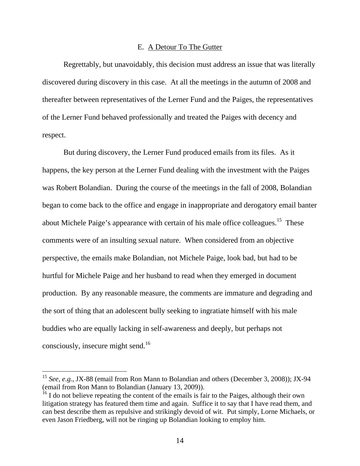### E. A Detour To The Gutter

Regrettably, but unavoidably, this decision must address an issue that was literally discovered during discovery in this case. At all the meetings in the autumn of 2008 and thereafter between representatives of the Lerner Fund and the Paiges, the representatives of the Lerner Fund behaved professionally and treated the Paiges with decency and respect.

But during discovery, the Lerner Fund produced emails from its files. As it happens, the key person at the Lerner Fund dealing with the investment with the Paiges was Robert Bolandian. During the course of the meetings in the fall of 2008, Bolandian began to come back to the office and engage in inappropriate and derogatory email banter about Michele Paige's appearance with certain of his male office colleagues.<sup>15</sup> These comments were of an insulting sexual nature. When considered from an objective perspective, the emails make Bolandian, not Michele Paige, look bad, but had to be hurtful for Michele Paige and her husband to read when they emerged in document production. By any reasonable measure, the comments are immature and degrading and the sort of thing that an adolescent bully seeking to ingratiate himself with his male buddies who are equally lacking in self-awareness and deeply, but perhaps not consciously, insecure might send.<sup>16</sup>

<sup>15</sup> *See, e.g.*, JX-88 (email from Ron Mann to Bolandian and others (December 3, 2008)); JX-94 (email from Ron Mann to Bolandian (January 13, 2009)).

<sup>&</sup>lt;sup>16</sup> I do not believe repeating the content of the emails is fair to the Paiges, although their own litigation strategy has featured them time and again. Suffice it to say that I have read them, and can best describe them as repulsive and strikingly devoid of wit. Put simply, Lorne Michaels, or even Jason Friedberg, will not be ringing up Bolandian looking to employ him.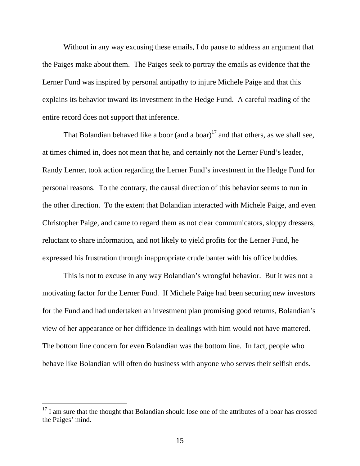Without in any way excusing these emails, I do pause to address an argument that the Paiges make about them. The Paiges seek to portray the emails as evidence that the Lerner Fund was inspired by personal antipathy to injure Michele Paige and that this explains its behavior toward its investment in the Hedge Fund. A careful reading of the entire record does not support that inference.

That Bolandian behaved like a boor (and a boar)<sup>17</sup> and that others, as we shall see, at times chimed in, does not mean that he, and certainly not the Lerner Fund's leader, Randy Lerner, took action regarding the Lerner Fund's investment in the Hedge Fund for personal reasons. To the contrary, the causal direction of this behavior seems to run in the other direction. To the extent that Bolandian interacted with Michele Paige, and even Christopher Paige, and came to regard them as not clear communicators, sloppy dressers, reluctant to share information, and not likely to yield profits for the Lerner Fund, he expressed his frustration through inappropriate crude banter with his office buddies.

This is not to excuse in any way Bolandian's wrongful behavior. But it was not a motivating factor for the Lerner Fund. If Michele Paige had been securing new investors for the Fund and had undertaken an investment plan promising good returns, Bolandian's view of her appearance or her diffidence in dealings with him would not have mattered. The bottom line concern for even Bolandian was the bottom line. In fact, people who behave like Bolandian will often do business with anyone who serves their selfish ends.

 $17$  I am sure that the thought that Bolandian should lose one of the attributes of a boar has crossed the Paiges' mind.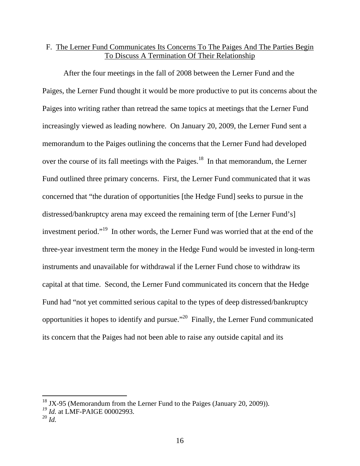# F. The Lerner Fund Communicates Its Concerns To The Paiges And The Parties Begin To Discuss A Termination Of Their Relationship

After the four meetings in the fall of 2008 between the Lerner Fund and the Paiges, the Lerner Fund thought it would be more productive to put its concerns about the Paiges into writing rather than retread the same topics at meetings that the Lerner Fund increasingly viewed as leading nowhere. On January 20, 2009, the Lerner Fund sent a memorandum to the Paiges outlining the concerns that the Lerner Fund had developed over the course of its fall meetings with the Paiges.<sup>18</sup> In that memorandum, the Lerner Fund outlined three primary concerns. First, the Lerner Fund communicated that it was concerned that "the duration of opportunities [the Hedge Fund] seeks to pursue in the distressed/bankruptcy arena may exceed the remaining term of [the Lerner Fund's] investment period."19 In other words, the Lerner Fund was worried that at the end of the three-year investment term the money in the Hedge Fund would be invested in long-term instruments and unavailable for withdrawal if the Lerner Fund chose to withdraw its capital at that time. Second, the Lerner Fund communicated its concern that the Hedge Fund had "not yet committed serious capital to the types of deep distressed/bankruptcy opportunities it hopes to identify and pursue."20 Finally, the Lerner Fund communicated its concern that the Paiges had not been able to raise any outside capital and its

 $18$  JX-95 (Memorandum from the Lerner Fund to the Paiges (January 20, 2009)).

*<sup>19</sup> Id.* at LMF-PAIGE 00002993.

<sup>20</sup> *Id.*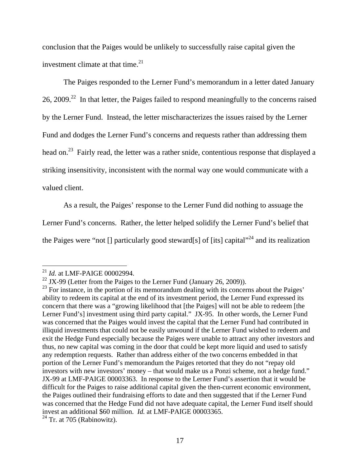conclusion that the Paiges would be unlikely to successfully raise capital given the investment climate at that time.<sup>21</sup>

The Paiges responded to the Lerner Fund's memorandum in a letter dated January 26, 2009.<sup>22</sup> In that letter, the Paiges failed to respond meaningfully to the concerns raised by the Lerner Fund. Instead, the letter mischaracterizes the issues raised by the Lerner Fund and dodges the Lerner Fund's concerns and requests rather than addressing them head on.<sup>23</sup> Fairly read, the letter was a rather snide, contentious response that displayed a striking insensitivity, inconsistent with the normal way one would communicate with a valued client.

As a result, the Paiges' response to the Lerner Fund did nothing to assuage the

Lerner Fund's concerns. Rather, the letter helped solidify the Lerner Fund's belief that

the Paiges were "not  $\iint$  particularly good steward[s] of [its] capital"<sup>24</sup> and its realization

 $\overline{a}$ 

 $24$  Tr. at 705 (Rabinowitz).

<sup>21</sup> *Id.* at LMF-PAIGE 00002994.

<sup>&</sup>lt;sup>22</sup> JX-99 (Letter from the Paiges to the Lerner Fund (January 26, 2009)).

 $^{23}$  For instance, in the portion of its memorandum dealing with its concerns about the Paiges' ability to redeem its capital at the end of its investment period, the Lerner Fund expressed its concern that there was a "growing likelihood that [the Paiges] will not be able to redeem [the Lerner Fund's] investment using third party capital." JX-95. In other words, the Lerner Fund was concerned that the Paiges would invest the capital that the Lerner Fund had contributed in illiquid investments that could not be easily unwound if the Lerner Fund wished to redeem and exit the Hedge Fund especially because the Paiges were unable to attract any other investors and thus, no new capital was coming in the door that could be kept more liquid and used to satisfy any redemption requests. Rather than address either of the two concerns embedded in that portion of the Lerner Fund's memorandum the Paiges retorted that they do not "repay old investors with new investors' money – that would make us a Ponzi scheme, not a hedge fund." JX-99 at LMF-PAIGE 00003363. In response to the Lerner Fund's assertion that it would be difficult for the Paiges to raise additional capital given the then-current economic environment, the Paiges outlined their fundraising efforts to date and then suggested that if the Lerner Fund was concerned that the Hedge Fund did not have adequate capital, the Lerner Fund itself should invest an additional \$60 million. *Id.* at LMF-PAIGE 00003365.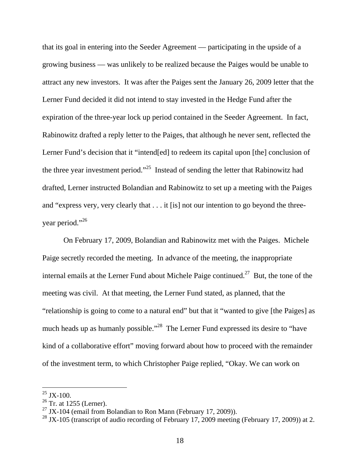that its goal in entering into the Seeder Agreement — participating in the upside of a growing business — was unlikely to be realized because the Paiges would be unable to attract any new investors. It was after the Paiges sent the January 26, 2009 letter that the Lerner Fund decided it did not intend to stay invested in the Hedge Fund after the expiration of the three-year lock up period contained in the Seeder Agreement. In fact, Rabinowitz drafted a reply letter to the Paiges, that although he never sent, reflected the Lerner Fund's decision that it "intend[ed] to redeem its capital upon [the] conclusion of the three year investment period."25 Instead of sending the letter that Rabinowitz had drafted, Lerner instructed Bolandian and Rabinowitz to set up a meeting with the Paiges and "express very, very clearly that . . . it [is] not our intention to go beyond the threeyear period."<sup>26</sup>

On February 17, 2009, Bolandian and Rabinowitz met with the Paiges. Michele Paige secretly recorded the meeting. In advance of the meeting, the inappropriate internal emails at the Lerner Fund about Michele Paige continued.<sup>27</sup> But, the tone of the meeting was civil. At that meeting, the Lerner Fund stated, as planned, that the "relationship is going to come to a natural end" but that it "wanted to give [the Paiges] as much heads up as humanly possible."<sup>28</sup> The Lerner Fund expressed its desire to "have kind of a collaborative effort" moving forward about how to proceed with the remainder of the investment term, to which Christopher Paige replied, "Okay. We can work on

 $25$  JX-100.

 $26$  Tr. at 1255 (Lerner).

<sup>&</sup>lt;sup>27</sup> JX-104 (email from Bolandian to Ron Mann (February 17, 2009)).

<sup>&</sup>lt;sup>28</sup> JX-105 (transcript of audio recording of February 17, 2009 meeting (February 17, 2009)) at 2.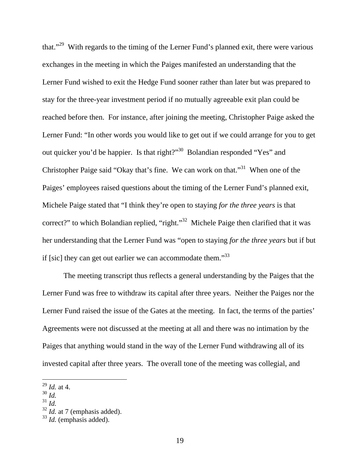that."29 With regards to the timing of the Lerner Fund's planned exit, there were various exchanges in the meeting in which the Paiges manifested an understanding that the Lerner Fund wished to exit the Hedge Fund sooner rather than later but was prepared to stay for the three-year investment period if no mutually agreeable exit plan could be reached before then. For instance, after joining the meeting, Christopher Paige asked the Lerner Fund: "In other words you would like to get out if we could arrange for you to get out quicker you'd be happier. Is that right?"30 Bolandian responded "Yes" and Christopher Paige said "Okay that's fine. We can work on that."31 When one of the Paiges' employees raised questions about the timing of the Lerner Fund's planned exit, Michele Paige stated that "I think they're open to staying *for the three years* is that correct?" to which Bolandian replied, "right."<sup>32</sup> Michele Paige then clarified that it was her understanding that the Lerner Fund was "open to staying *for the three years* but if but if [sic] they can get out earlier we can accommodate them. $133$ 

The meeting transcript thus reflects a general understanding by the Paiges that the Lerner Fund was free to withdraw its capital after three years. Neither the Paiges nor the Lerner Fund raised the issue of the Gates at the meeting. In fact, the terms of the parties' Agreements were not discussed at the meeting at all and there was no intimation by the Paiges that anything would stand in the way of the Lerner Fund withdrawing all of its invested capital after three years. The overall tone of the meeting was collegial, and

<sup>29</sup> *Id.* at 4.

<sup>30</sup> *Id.* 

<sup>31</sup> *Id.*

<sup>32</sup> *Id.* at 7 (emphasis added).

<sup>33</sup> *Id.* (emphasis added).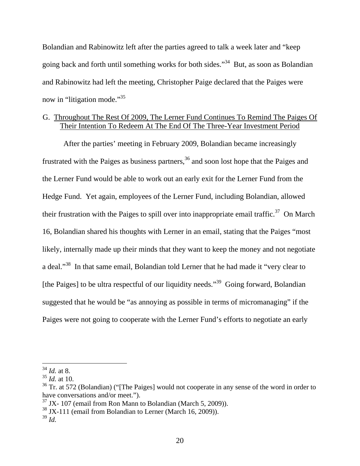Bolandian and Rabinowitz left after the parties agreed to talk a week later and "keep going back and forth until something works for both sides."34 But, as soon as Bolandian and Rabinowitz had left the meeting, Christopher Paige declared that the Paiges were now in "litigation mode."<sup>35</sup>

# G. Throughout The Rest Of 2009, The Lerner Fund Continues To Remind The Paiges Of Their Intention To Redeem At The End Of The Three-Year Investment Period

After the parties' meeting in February 2009, Bolandian became increasingly frustrated with the Paiges as business partners,  $36$  and soon lost hope that the Paiges and the Lerner Fund would be able to work out an early exit for the Lerner Fund from the Hedge Fund. Yet again, employees of the Lerner Fund, including Bolandian, allowed their frustration with the Paiges to spill over into inappropriate email traffic.<sup>37</sup> On March 16, Bolandian shared his thoughts with Lerner in an email, stating that the Paiges "most likely, internally made up their minds that they want to keep the money and not negotiate a deal."38 In that same email, Bolandian told Lerner that he had made it "very clear to [the Paiges] to be ultra respectful of our liquidity needs."<sup>39</sup> Going forward, Bolandian suggested that he would be "as annoying as possible in terms of micromanaging" if the Paiges were not going to cooperate with the Lerner Fund's efforts to negotiate an early

<sup>34</sup> *Id.* at 8.

<sup>35</sup> *Id.* at 10.

<sup>&</sup>lt;sup>36</sup> Tr. at 572 (Bolandian) ("The Paiges] would not cooperate in any sense of the word in order to have conversations and/or meet.").

 $37$  JX- 107 (email from Ron Mann to Bolandian (March 5, 2009)).

 $38$  JX-111 (email from Bolandian to Lerner (March 16, 2009)).

<sup>39</sup> *Id.*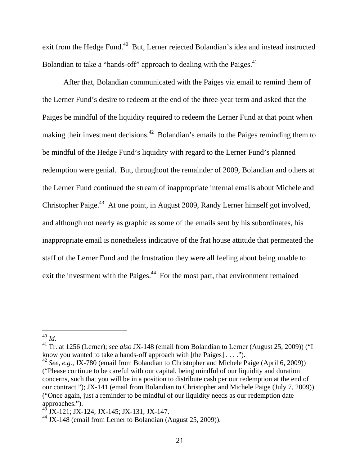exit from the Hedge Fund.<sup>40</sup> But, Lerner rejected Bolandian's idea and instead instructed Bolandian to take a "hands-off" approach to dealing with the Paiges.<sup>41</sup>

After that, Bolandian communicated with the Paiges via email to remind them of the Lerner Fund's desire to redeem at the end of the three-year term and asked that the Paiges be mindful of the liquidity required to redeem the Lerner Fund at that point when making their investment decisions.<sup>42</sup> Bolandian's emails to the Paiges reminding them to be mindful of the Hedge Fund's liquidity with regard to the Lerner Fund's planned redemption were genial. But, throughout the remainder of 2009, Bolandian and others at the Lerner Fund continued the stream of inappropriate internal emails about Michele and Christopher Paige.<sup>43</sup> At one point, in August 2009, Randy Lerner himself got involved, and although not nearly as graphic as some of the emails sent by his subordinates, his inappropriate email is nonetheless indicative of the frat house attitude that permeated the staff of the Lerner Fund and the frustration they were all feeling about being unable to exit the investment with the Paiges.<sup>44</sup> For the most part, that environment remained

<sup>40</sup> *Id.*

<sup>41</sup> Tr. at 1256 (Lerner); *see also* JX-148 (email from Bolandian to Lerner (August 25, 2009)) ("I know you wanted to take a hands-off approach with [the Paiges] . . . .").

<sup>&</sup>lt;sup>42</sup> *See, e.g., JX-780* (email from Bolandian to Christopher and Michele Paige (April 6, 2009)) ("Please continue to be careful with our capital, being mindful of our liquidity and duration concerns, such that you will be in a position to distribute cash per our redemption at the end of our contract."); JX-141 (email from Bolandian to Christopher and Michele Paige (July 7, 2009)) ("Once again, just a reminder to be mindful of our liquidity needs as our redemption date approaches.").

<sup>43</sup> JX-121; JX-124; JX-145; JX-131; JX-147.

<sup>44</sup> JX-148 (email from Lerner to Bolandian (August 25, 2009)).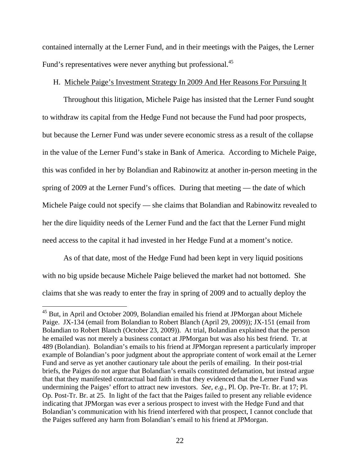contained internally at the Lerner Fund, and in their meetings with the Paiges, the Lerner Fund's representatives were never anything but professional.<sup>45</sup>

### H. Michele Paige's Investment Strategy In 2009 And Her Reasons For Pursuing It

Throughout this litigation, Michele Paige has insisted that the Lerner Fund sought to withdraw its capital from the Hedge Fund not because the Fund had poor prospects, but because the Lerner Fund was under severe economic stress as a result of the collapse in the value of the Lerner Fund's stake in Bank of America. According to Michele Paige, this was confided in her by Bolandian and Rabinowitz at another in-person meeting in the spring of 2009 at the Lerner Fund's offices. During that meeting — the date of which Michele Paige could not specify — she claims that Bolandian and Rabinowitz revealed to her the dire liquidity needs of the Lerner Fund and the fact that the Lerner Fund might need access to the capital it had invested in her Hedge Fund at a moment's notice.

As of that date, most of the Hedge Fund had been kept in very liquid positions with no big upside because Michele Paige believed the market had not bottomed. She claims that she was ready to enter the fray in spring of 2009 and to actually deploy the

<sup>&</sup>lt;sup>45</sup> But, in April and October 2009, Bolandian emailed his friend at JPMorgan about Michele Paige. JX-134 (email from Bolandian to Robert Blanch (April 29, 2009)); JX-151 (email from Bolandian to Robert Blanch (October 23, 2009)). At trial, Bolandian explained that the person he emailed was not merely a business contact at JPMorgan but was also his best friend. Tr. at 489 (Bolandian). Bolandian's emails to his friend at JPMorgan represent a particularly improper example of Bolandian's poor judgment about the appropriate content of work email at the Lerner Fund and serve as yet another cautionary tale about the perils of emailing. In their post-trial briefs, the Paiges do not argue that Bolandian's emails constituted defamation, but instead argue that that they manifested contractual bad faith in that they evidenced that the Lerner Fund was undermining the Paiges' effort to attract new investors. *See, e.g.,* Pl. Op. Pre-Tr. Br. at 17; Pl. Op. Post-Tr. Br. at 25. In light of the fact that the Paiges failed to present any reliable evidence indicating that JPMorgan was ever a serious prospect to invest with the Hedge Fund and that Bolandian's communication with his friend interfered with that prospect, I cannot conclude that the Paiges suffered any harm from Bolandian's email to his friend at JPMorgan.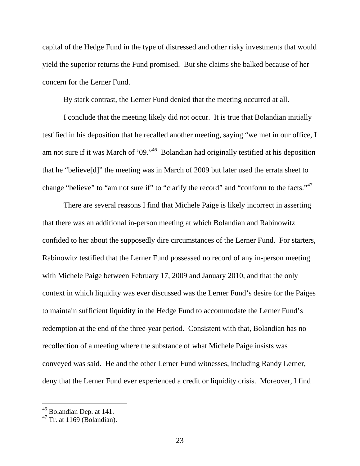capital of the Hedge Fund in the type of distressed and other risky investments that would yield the superior returns the Fund promised. But she claims she balked because of her concern for the Lerner Fund.

By stark contrast, the Lerner Fund denied that the meeting occurred at all.

I conclude that the meeting likely did not occur. It is true that Bolandian initially testified in his deposition that he recalled another meeting, saying "we met in our office, I am not sure if it was March of '09."46 Bolandian had originally testified at his deposition that he "believe[d]" the meeting was in March of 2009 but later used the errata sheet to change "believe" to "am not sure if" to "clarify the record" and "conform to the facts."<sup>47</sup>

There are several reasons I find that Michele Paige is likely incorrect in asserting that there was an additional in-person meeting at which Bolandian and Rabinowitz confided to her about the supposedly dire circumstances of the Lerner Fund. For starters, Rabinowitz testified that the Lerner Fund possessed no record of any in-person meeting with Michele Paige between February 17, 2009 and January 2010, and that the only context in which liquidity was ever discussed was the Lerner Fund's desire for the Paiges to maintain sufficient liquidity in the Hedge Fund to accommodate the Lerner Fund's redemption at the end of the three-year period. Consistent with that, Bolandian has no recollection of a meeting where the substance of what Michele Paige insists was conveyed was said. He and the other Lerner Fund witnesses, including Randy Lerner, deny that the Lerner Fund ever experienced a credit or liquidity crisis. Moreover, I find

<sup>&</sup>lt;sup>46</sup> Bolandian Dep. at 141.

 $47$  Tr. at 1169 (Bolandian).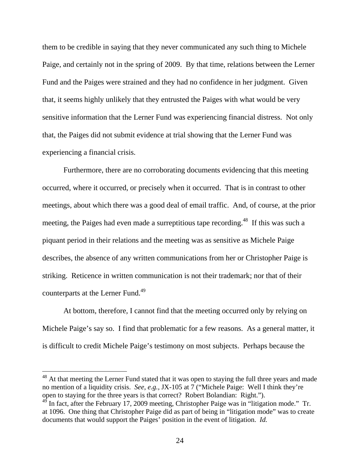them to be credible in saying that they never communicated any such thing to Michele Paige, and certainly not in the spring of 2009. By that time, relations between the Lerner Fund and the Paiges were strained and they had no confidence in her judgment. Given that, it seems highly unlikely that they entrusted the Paiges with what would be very sensitive information that the Lerner Fund was experiencing financial distress. Not only that, the Paiges did not submit evidence at trial showing that the Lerner Fund was experiencing a financial crisis.

Furthermore, there are no corroborating documents evidencing that this meeting occurred, where it occurred, or precisely when it occurred. That is in contrast to other meetings, about which there was a good deal of email traffic. And, of course, at the prior meeting, the Paiges had even made a surreptitious tape recording.<sup>48</sup> If this was such a piquant period in their relations and the meeting was as sensitive as Michele Paige describes, the absence of any written communications from her or Christopher Paige is striking. Reticence in written communication is not their trademark; nor that of their counterparts at the Lerner Fund.<sup>49</sup>

At bottom, therefore, I cannot find that the meeting occurred only by relying on Michele Paige's say so. I find that problematic for a few reasons. As a general matter, it is difficult to credit Michele Paige's testimony on most subjects. Perhaps because the

 $48$  At that meeting the Lerner Fund stated that it was open to staying the full three years and made no mention of a liquidity crisis. *See, e.g.,* JX-105 at 7 ("Michele Paige: Well I think they're open to staying for the three years is that correct? Robert Bolandian: Right.").

In fact, after the February 17, 2009 meeting, Christopher Paige was in "litigation mode." Tr. at 1096. One thing that Christopher Paige did as part of being in "litigation mode" was to create documents that would support the Paiges' position in the event of litigation. *Id.*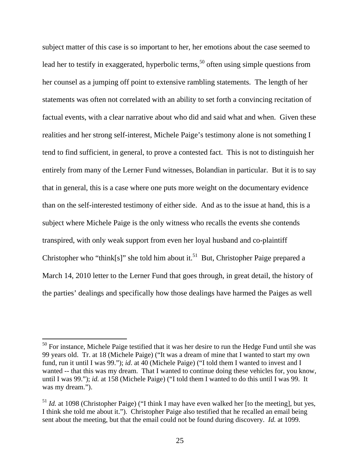subject matter of this case is so important to her, her emotions about the case seemed to lead her to testify in exaggerated, hyperbolic terms,<sup>50</sup> often using simple questions from her counsel as a jumping off point to extensive rambling statements. The length of her statements was often not correlated with an ability to set forth a convincing recitation of factual events, with a clear narrative about who did and said what and when. Given these realities and her strong self-interest, Michele Paige's testimony alone is not something I tend to find sufficient, in general, to prove a contested fact. This is not to distinguish her entirely from many of the Lerner Fund witnesses, Bolandian in particular. But it is to say that in general, this is a case where one puts more weight on the documentary evidence than on the self-interested testimony of either side. And as to the issue at hand, this is a subject where Michele Paige is the only witness who recalls the events she contends transpired, with only weak support from even her loyal husband and co-plaintiff Christopher who "think[s]" she told him about it.<sup>51</sup> But, Christopher Paige prepared a March 14, 2010 letter to the Lerner Fund that goes through, in great detail, the history of the parties' dealings and specifically how those dealings have harmed the Paiges as well

<sup>&</sup>lt;sup>50</sup> For instance, Michele Paige testified that it was her desire to run the Hedge Fund until she was 99 years old. Tr. at 18 (Michele Paige) ("It was a dream of mine that I wanted to start my own fund, run it until I was 99."); *id*. at 40 (Michele Paige) ("I told them I wanted to invest and I wanted -- that this was my dream. That I wanted to continue doing these vehicles for, you know, until I was 99."); *id.* at 158 (Michele Paige) ("I told them I wanted to do this until I was 99. It was my dream.").

<sup>&</sup>lt;sup>51</sup> *Id.* at 1098 (Christopher Paige) ("I think I may have even walked her [to the meeting], but yes, I think she told me about it."). Christopher Paige also testified that he recalled an email being sent about the meeting, but that the email could not be found during discovery. *Id.* at 1099.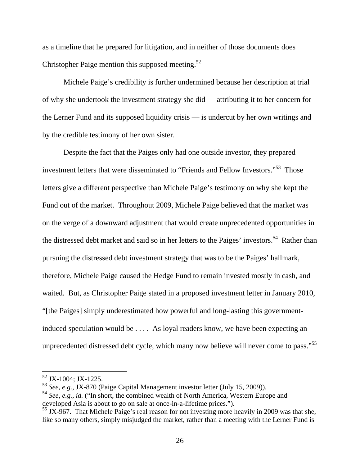as a timeline that he prepared for litigation, and in neither of those documents does Christopher Paige mention this supposed meeting. $52$ 

Michele Paige's credibility is further undermined because her description at trial of why she undertook the investment strategy she did — attributing it to her concern for the Lerner Fund and its supposed liquidity crisis — is undercut by her own writings and by the credible testimony of her own sister.

Despite the fact that the Paiges only had one outside investor, they prepared investment letters that were disseminated to "Friends and Fellow Investors."<sup>53</sup> Those letters give a different perspective than Michele Paige's testimony on why she kept the Fund out of the market. Throughout 2009, Michele Paige believed that the market was on the verge of a downward adjustment that would create unprecedented opportunities in the distressed debt market and said so in her letters to the Paiges' investors.<sup>54</sup> Rather than pursuing the distressed debt investment strategy that was to be the Paiges' hallmark, therefore, Michele Paige caused the Hedge Fund to remain invested mostly in cash, and waited. But, as Christopher Paige stated in a proposed investment letter in January 2010, "[the Paiges] simply underestimated how powerful and long-lasting this governmentinduced speculation would be . . . . As loyal readers know, we have been expecting an unprecedented distressed debt cycle, which many now believe will never come to pass."<sup>55</sup>

 $52$  JX-1004; JX-1225.

<sup>53</sup> *See, e.g.,* JX-870 (Paige Capital Management investor letter (July 15, 2009)).

<sup>54</sup> *See, e.g., id.* ("In short, the combined wealth of North America, Western Europe and developed Asia is about to go on sale at once-in-a-lifetime prices.").

 $<sup>55</sup>$  JX-967. That Michele Paige's real reason for not investing more heavily in 2009 was that she,</sup> like so many others, simply misjudged the market, rather than a meeting with the Lerner Fund is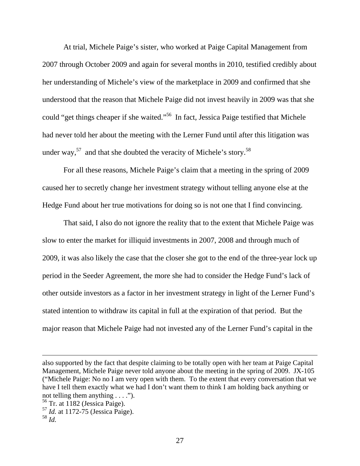At trial, Michele Paige's sister, who worked at Paige Capital Management from 2007 through October 2009 and again for several months in 2010, testified credibly about her understanding of Michele's view of the marketplace in 2009 and confirmed that she understood that the reason that Michele Paige did not invest heavily in 2009 was that she could "get things cheaper if she waited."56 In fact, Jessica Paige testified that Michele had never told her about the meeting with the Lerner Fund until after this litigation was under way,  $57$  and that she doubted the veracity of Michele's story.  $58$ 

For all these reasons, Michele Paige's claim that a meeting in the spring of 2009 caused her to secretly change her investment strategy without telling anyone else at the Hedge Fund about her true motivations for doing so is not one that I find convincing.

That said, I also do not ignore the reality that to the extent that Michele Paige was slow to enter the market for illiquid investments in 2007, 2008 and through much of 2009, it was also likely the case that the closer she got to the end of the three-year lock up period in the Seeder Agreement, the more she had to consider the Hedge Fund's lack of other outside investors as a factor in her investment strategy in light of the Lerner Fund's stated intention to withdraw its capital in full at the expiration of that period. But the major reason that Michele Paige had not invested any of the Lerner Fund's capital in the

also supported by the fact that despite claiming to be totally open with her team at Paige Capital Management, Michele Paige never told anyone about the meeting in the spring of 2009. JX-105 ("Michele Paige: No no I am very open with them. To the extent that every conversation that we have I tell them exactly what we had I don't want them to think I am holding back anything or not telling them anything . . . .").

 $56$  Tr. at 1182 (Jessica Paige).

<sup>57</sup> *Id.* at 1172-75 (Jessica Paige).

<sup>58</sup> *Id.*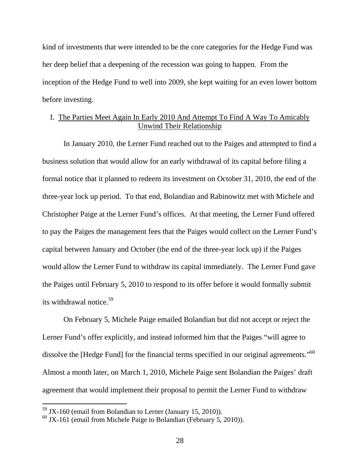kind of investments that were intended to be the core categories for the Hedge Fund was her deep belief that a deepening of the recession was going to happen. From the inception of the Hedge Fund to well into 2009, she kept waiting for an even lower bottom before investing.

# I. The Parties Meet Again In Early 2010 And Attempt To Find A Way To Amicably Unwind Their Relationship

In January 2010, the Lerner Fund reached out to the Paiges and attempted to find a business solution that would allow for an early withdrawal of its capital before filing a formal notice that it planned to redeem its investment on October 31, 2010, the end of the three-year lock up period. To that end, Bolandian and Rabinowitz met with Michele and Christopher Paige at the Lerner Fund's offices. At that meeting, the Lerner Fund offered to pay the Paiges the management fees that the Paiges would collect on the Lerner Fund's capital between January and October (the end of the three-year lock up) if the Paiges would allow the Lerner Fund to withdraw its capital immediately. The Lerner Fund gave the Paiges until February 5, 2010 to respond to its offer before it would formally submit its withdrawal notice.<sup>59</sup>

On February 5, Michele Paige emailed Bolandian but did not accept or reject the Lerner Fund's offer explicitly, and instead informed him that the Paiges "will agree to dissolve the [Hedge Fund] for the financial terms specified in our original agreements."<sup>60</sup> Almost a month later, on March 1, 2010, Michele Paige sent Bolandian the Paiges' draft agreement that would implement their proposal to permit the Lerner Fund to withdraw

 $^{59}$  JX-160 (email from Bolandian to Lerner (January 15, 2010)).

 $60$  JX-161 (email from Michele Paige to Bolandian (February 5, 2010)).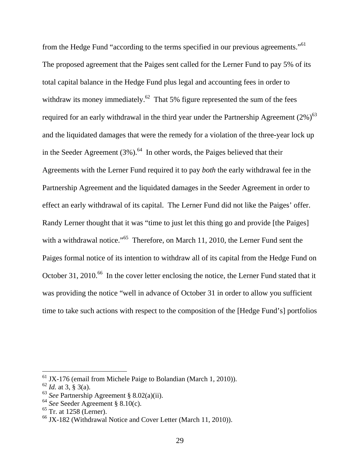from the Hedge Fund "according to the terms specified in our previous agreements."<sup>61</sup> The proposed agreement that the Paiges sent called for the Lerner Fund to pay 5% of its total capital balance in the Hedge Fund plus legal and accounting fees in order to withdraw its money immediately.<sup>62</sup> That 5% figure represented the sum of the fees required for an early withdrawal in the third year under the Partnership Agreement  $(2\%)^{63}$ and the liquidated damages that were the remedy for a violation of the three-year lock up in the Seeder Agreement  $(3\%)$ .<sup>64</sup> In other words, the Paiges believed that their Agreements with the Lerner Fund required it to pay *both* the early withdrawal fee in the Partnership Agreement and the liquidated damages in the Seeder Agreement in order to effect an early withdrawal of its capital. The Lerner Fund did not like the Paiges' offer. Randy Lerner thought that it was "time to just let this thing go and provide [the Paiges] with a withdrawal notice."<sup>65</sup> Therefore, on March 11, 2010, the Lerner Fund sent the Paiges formal notice of its intention to withdraw all of its capital from the Hedge Fund on October 31, 2010.<sup>66</sup> In the cover letter enclosing the notice, the Lerner Fund stated that it was providing the notice "well in advance of October 31 in order to allow you sufficient time to take such actions with respect to the composition of the [Hedge Fund's] portfolios

 $61$  JX-176 (email from Michele Paige to Bolandian (March 1, 2010)).

 $62$  *Id.* at 3,  $\hat{g}$  3(a).

<sup>63</sup> *See* Partnership Agreement § 8.02(a)(ii).

<sup>64</sup> *See* Seeder Agreement § 8.10(c).

 $65$  Tr. at 1258 (Lerner).

 $\frac{66 \text{ JX}-182 \text{ (Withdrawal Notice and Cover Letter (March 11, 2010))}.$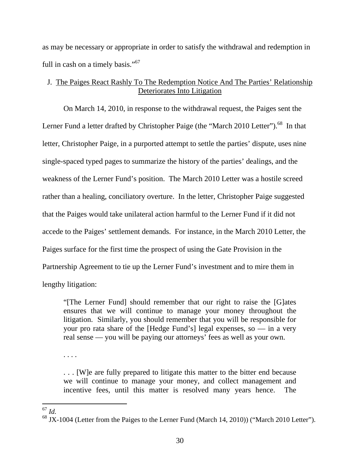as may be necessary or appropriate in order to satisfy the withdrawal and redemption in full in cash on a timely basis."<sup>67</sup>

# J. The Paiges React Rashly To The Redemption Notice And The Parties' Relationship Deteriorates Into Litigation

 On March 14, 2010, in response to the withdrawal request, the Paiges sent the Lerner Fund a letter drafted by Christopher Paige (the "March 2010 Letter").<sup>68</sup> In that letter, Christopher Paige, in a purported attempt to settle the parties' dispute, uses nine single-spaced typed pages to summarize the history of the parties' dealings, and the weakness of the Lerner Fund's position. The March 2010 Letter was a hostile screed rather than a healing, conciliatory overture. In the letter, Christopher Paige suggested that the Paiges would take unilateral action harmful to the Lerner Fund if it did not accede to the Paiges' settlement demands. For instance, in the March 2010 Letter, the Paiges surface for the first time the prospect of using the Gate Provision in the Partnership Agreement to tie up the Lerner Fund's investment and to mire them in lengthy litigation:

"[The Lerner Fund] should remember that our right to raise the [G]ates ensures that we will continue to manage your money throughout the litigation. Similarly, you should remember that you will be responsible for your pro rata share of the [Hedge Fund's] legal expenses, so — in a very

real sense — you will be paying our attorneys' fees as well as your own.

. . . [W]e are fully prepared to litigate this matter to the bitter end because we will continue to manage your money, and collect management and incentive fees, until this matter is resolved many years hence. The

 $^{67}$  *Id.* 

<sup>. . . .</sup> 

 $68$  JX-1004 (Letter from the Paiges to the Lerner Fund (March 14, 2010)) ("March 2010 Letter").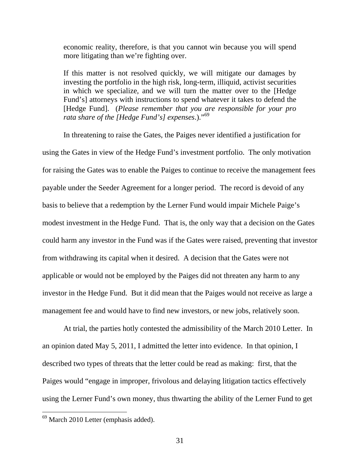economic reality, therefore, is that you cannot win because you will spend more litigating than we're fighting over.

If this matter is not resolved quickly, we will mitigate our damages by investing the portfolio in the high risk, long-term, illiquid, activist securities in which we specialize, and we will turn the matter over to the [Hedge Fund's] attorneys with instructions to spend whatever it takes to defend the [Hedge Fund]. (*Please remember that you are responsible for your pro rata share of the [Hedge Fund's] expenses*.)."69

In threatening to raise the Gates, the Paiges never identified a justification for using the Gates in view of the Hedge Fund's investment portfolio. The only motivation for raising the Gates was to enable the Paiges to continue to receive the management fees payable under the Seeder Agreement for a longer period. The record is devoid of any basis to believe that a redemption by the Lerner Fund would impair Michele Paige's modest investment in the Hedge Fund. That is, the only way that a decision on the Gates could harm any investor in the Fund was if the Gates were raised, preventing that investor from withdrawing its capital when it desired. A decision that the Gates were not applicable or would not be employed by the Paiges did not threaten any harm to any investor in the Hedge Fund. But it did mean that the Paiges would not receive as large a management fee and would have to find new investors, or new jobs, relatively soon.

At trial, the parties hotly contested the admissibility of the March 2010 Letter. In an opinion dated May 5, 2011, I admitted the letter into evidence. In that opinion, I described two types of threats that the letter could be read as making: first, that the Paiges would "engage in improper, frivolous and delaying litigation tactics effectively using the Lerner Fund's own money, thus thwarting the ability of the Lerner Fund to get

<sup>&</sup>lt;sup>69</sup> March 2010 Letter (emphasis added).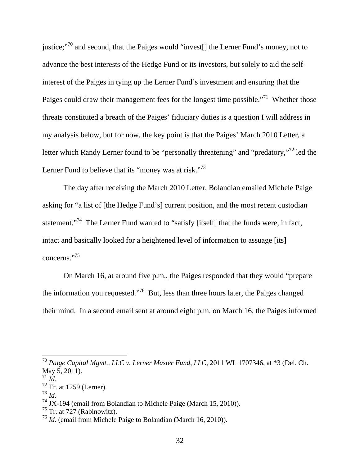justice;"<sup>70</sup> and second, that the Paiges would "invest<sup>[]</sup> the Lerner Fund's money, not to advance the best interests of the Hedge Fund or its investors, but solely to aid the selfinterest of the Paiges in tying up the Lerner Fund's investment and ensuring that the Paiges could draw their management fees for the longest time possible."<sup>71</sup> Whether those threats constituted a breach of the Paiges' fiduciary duties is a question I will address in my analysis below, but for now, the key point is that the Paiges' March 2010 Letter, a letter which Randy Lerner found to be "personally threatening" and "predatory,"<sup>72</sup> led the Lerner Fund to believe that its "money was at risk."<sup>73</sup>

The day after receiving the March 2010 Letter, Bolandian emailed Michele Paige asking for "a list of [the Hedge Fund's] current position, and the most recent custodian statement."<sup>74</sup> The Lerner Fund wanted to "satisfy [itself] that the funds were, in fact, intact and basically looked for a heightened level of information to assuage [its] concerns."75

On March 16, at around five p.m., the Paiges responded that they would "prepare the information you requested."76 But, less than three hours later, the Paiges changed their mind. In a second email sent at around eight p.m. on March 16, the Paiges informed

 $\overline{a}$ 

<sup>73</sup> *Id.*

<sup>70</sup> *Paige Capital Mgmt., LLC v. Lerner Master Fund, LLC*, 2011 WL 1707346, at \*3 (Del. Ch. May 5, 2011).<br> $^{71}$  *Id.* 

<sup>&</sup>lt;sup>72</sup> Tr. at 1259 (Lerner).

 $74$  JX-194 (email from Bolandian to Michele Paige (March 15, 2010)).

 $75$  Tr. at 727 (Rabinowitz).

<sup>76</sup> *Id.* (email from Michele Paige to Bolandian (March 16, 2010)).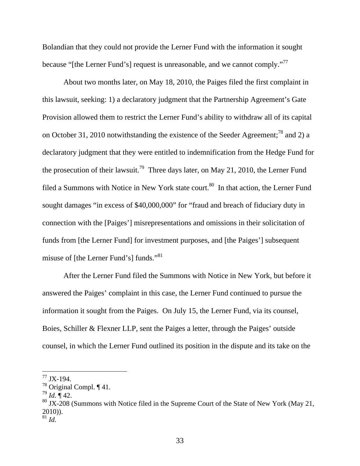Bolandian that they could not provide the Lerner Fund with the information it sought because "[the Lerner Fund's] request is unreasonable, and we cannot comply."<sup>77</sup>

About two months later, on May 18, 2010, the Paiges filed the first complaint in this lawsuit, seeking: 1) a declaratory judgment that the Partnership Agreement's Gate Provision allowed them to restrict the Lerner Fund's ability to withdraw all of its capital on October 31, 2010 notwithstanding the existence of the Seeder Agreement;<sup>78</sup> and 2) a declaratory judgment that they were entitled to indemnification from the Hedge Fund for the prosecution of their lawsuit.<sup>79</sup> Three days later, on May 21, 2010, the Lerner Fund filed a Summons with Notice in New York state court.<sup>80</sup> In that action, the Lerner Fund sought damages "in excess of \$40,000,000" for "fraud and breach of fiduciary duty in connection with the [Paiges'] misrepresentations and omissions in their solicitation of funds from [the Lerner Fund] for investment purposes, and [the Paiges'] subsequent misuse of [the Lerner Fund's] funds."<sup>81</sup>

After the Lerner Fund filed the Summons with Notice in New York, but before it answered the Paiges' complaint in this case, the Lerner Fund continued to pursue the information it sought from the Paiges. On July 15, the Lerner Fund, via its counsel, Boies, Schiller & Flexner LLP, sent the Paiges a letter, through the Paiges' outside counsel, in which the Lerner Fund outlined its position in the dispute and its take on the

 $77$  JX-194.

<sup>78</sup> Original Compl. ¶ 41.

 $^{79}$  *Id.* ¶ 42.

 $80$  JX-208 (Summons with Notice filed in the Supreme Court of the State of New York (May 21, 2010)).

<sup>81</sup> *Id.*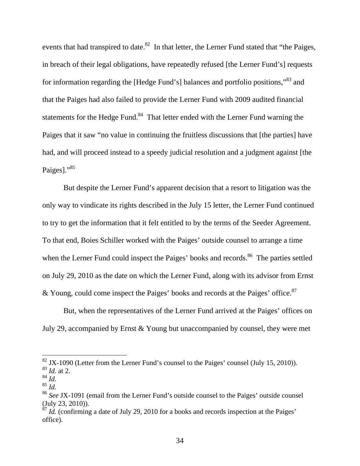events that had transpired to date.<sup>82</sup> In that letter, the Lerner Fund stated that "the Paiges, in breach of their legal obligations, have repeatedly refused [the Lerner Fund's] requests for information regarding the [Hedge Fund's] balances and portfolio positions,"83 and that the Paiges had also failed to provide the Lerner Fund with 2009 audited financial statements for the Hedge Fund.<sup>84</sup> That letter ended with the Lerner Fund warning the Paiges that it saw "no value in continuing the fruitless discussions that [the parties] have had, and will proceed instead to a speedy judicial resolution and a judgment against [the Paiges]."<sup>85</sup>

But despite the Lerner Fund's apparent decision that a resort to litigation was the only way to vindicate its rights described in the July 15 letter, the Lerner Fund continued to try to get the information that it felt entitled to by the terms of the Seeder Agreement. To that end, Boies Schiller worked with the Paiges' outside counsel to arrange a time when the Lerner Fund could inspect the Paiges' books and records.<sup>86</sup> The parties settled on July 29, 2010 as the date on which the Lerner Fund, along with its advisor from Ernst & Young, could come inspect the Paiges' books and records at the Paiges' office. $87$ 

But, when the representatives of the Lerner Fund arrived at the Paiges' offices on July 29, accompanied by Ernst & Young but unaccompanied by counsel, they were met

 $82$  JX-1090 (Letter from the Lerner Fund's counsel to the Paiges' counsel (July 15, 2010)).

*<sup>83</sup> Id.* at 2.

<sup>84</sup> *Id.*

<sup>85</sup> *Id.*

<sup>86</sup> *See* JX-1091 (email from the Lerner Fund's outside counsel to the Paiges' outside counsel (July 23, 2010)).

 $\frac{87}{1}$ *Id.* (confirming a date of July 29, 2010 for a books and records inspection at the Paiges' office).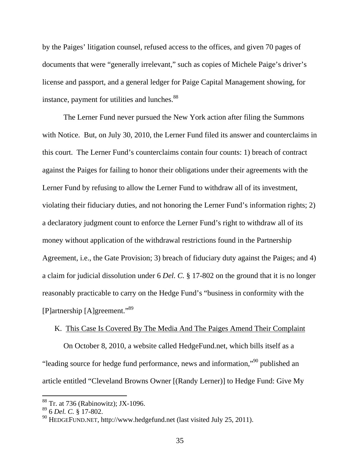by the Paiges' litigation counsel, refused access to the offices, and given 70 pages of documents that were "generally irrelevant," such as copies of Michele Paige's driver's license and passport, and a general ledger for Paige Capital Management showing, for instance, payment for utilities and lunches.<sup>88</sup>

 The Lerner Fund never pursued the New York action after filing the Summons with Notice. But, on July 30, 2010, the Lerner Fund filed its answer and counterclaims in this court. The Lerner Fund's counterclaims contain four counts: 1) breach of contract against the Paiges for failing to honor their obligations under their agreements with the Lerner Fund by refusing to allow the Lerner Fund to withdraw all of its investment, violating their fiduciary duties, and not honoring the Lerner Fund's information rights; 2) a declaratory judgment count to enforce the Lerner Fund's right to withdraw all of its money without application of the withdrawal restrictions found in the Partnership Agreement, i.e., the Gate Provision; 3) breach of fiduciary duty against the Paiges; and 4) a claim for judicial dissolution under 6 *Del. C.* § 17-802 on the ground that it is no longer reasonably practicable to carry on the Hedge Fund's "business in conformity with the [P]artnership [A]greement."89

## K. This Case Is Covered By The Media And The Paiges Amend Their Complaint

 On October 8, 2010, a website called HedgeFund.net, which bills itself as a "leading source for hedge fund performance, news and information,"90 published an article entitled "Cleveland Browns Owner [(Randy Lerner)] to Hedge Fund: Give My

 $88$  Tr. at 736 (Rabinowitz); JX-1096.

<sup>89 6</sup> *Del. C.* § 17-802.

 $^{90}$  HEDGEFUND.NET, http://www.hedgefund.net (last visited July 25, 2011).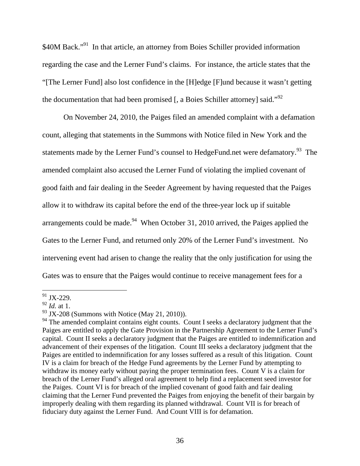\$40M Back."<sup>91</sup> In that article, an attorney from Boies Schiller provided information regarding the case and the Lerner Fund's claims. For instance, the article states that the "[The Lerner Fund] also lost confidence in the [H]edge [F]und because it wasn't getting the documentation that had been promised  $\mathfrak{[}$ , a Boies Schiller attorney $\mathfrak{[}$  said."<sup>92</sup>

 On November 24, 2010, the Paiges filed an amended complaint with a defamation count, alleging that statements in the Summons with Notice filed in New York and the statements made by the Lerner Fund's counsel to HedgeFund.net were defamatory.<sup>93</sup> The amended complaint also accused the Lerner Fund of violating the implied covenant of good faith and fair dealing in the Seeder Agreement by having requested that the Paiges allow it to withdraw its capital before the end of the three-year lock up if suitable arrangements could be made.<sup>94</sup> When October 31, 2010 arrived, the Paiges applied the Gates to the Lerner Fund, and returned only 20% of the Lerner Fund's investment. No intervening event had arisen to change the reality that the only justification for using the Gates was to ensure that the Paiges would continue to receive management fees for a

  $91$  JX-229.

 $^{92}$  *Id.* at 1.

 $93$  JX-208 (Summons with Notice (May 21, 2010)).

<sup>&</sup>lt;sup>94</sup> The amended complaint contains eight counts. Count I seeks a declaratory judgment that the Paiges are entitled to apply the Gate Provision in the Partnership Agreement to the Lerner Fund's capital. Count II seeks a declaratory judgment that the Paiges are entitled to indemnification and advancement of their expenses of the litigation. Count III seeks a declaratory judgment that the Paiges are entitled to indemnification for any losses suffered as a result of this litigation. Count IV is a claim for breach of the Hedge Fund agreements by the Lerner Fund by attempting to withdraw its money early without paying the proper termination fees. Count V is a claim for breach of the Lerner Fund's alleged oral agreement to help find a replacement seed investor for the Paiges. Count VI is for breach of the implied covenant of good faith and fair dealing claiming that the Lerner Fund prevented the Paiges from enjoying the benefit of their bargain by improperly dealing with them regarding its planned withdrawal. Count VII is for breach of fiduciary duty against the Lerner Fund. And Count VIII is for defamation.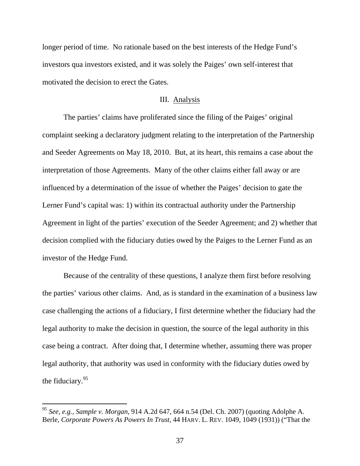longer period of time. No rationale based on the best interests of the Hedge Fund's investors qua investors existed, and it was solely the Paiges' own self-interest that motivated the decision to erect the Gates.

### III. Analysis

The parties' claims have proliferated since the filing of the Paiges' original complaint seeking a declaratory judgment relating to the interpretation of the Partnership and Seeder Agreements on May 18, 2010. But, at its heart, this remains a case about the interpretation of those Agreements. Many of the other claims either fall away or are influenced by a determination of the issue of whether the Paiges' decision to gate the Lerner Fund's capital was: 1) within its contractual authority under the Partnership Agreement in light of the parties' execution of the Seeder Agreement; and 2) whether that decision complied with the fiduciary duties owed by the Paiges to the Lerner Fund as an investor of the Hedge Fund.

Because of the centrality of these questions, I analyze them first before resolving the parties' various other claims. And, as is standard in the examination of a business law case challenging the actions of a fiduciary, I first determine whether the fiduciary had the legal authority to make the decision in question, the source of the legal authority in this case being a contract. After doing that, I determine whether, assuming there was proper legal authority, that authority was used in conformity with the fiduciary duties owed by the fiduciary.<sup>95</sup>

<sup>95</sup> *See, e.g., Sample v. Morgan*, 914 A.2d 647, 664 n.54 (Del. Ch. 2007) (quoting Adolphe A. Berle, *Corporate Powers As Powers In Trust,* 44 HARV. L. REV. 1049, 1049 (1931)) ("That the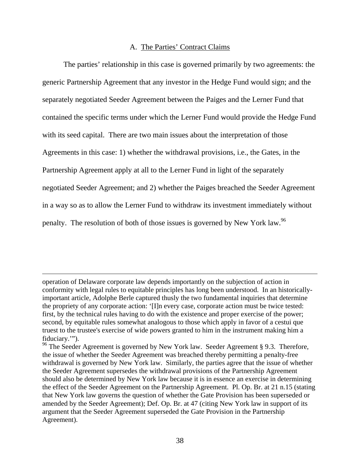### A. The Parties' Contract Claims

The parties' relationship in this case is governed primarily by two agreements: the generic Partnership Agreement that any investor in the Hedge Fund would sign; and the separately negotiated Seeder Agreement between the Paiges and the Lerner Fund that contained the specific terms under which the Lerner Fund would provide the Hedge Fund with its seed capital. There are two main issues about the interpretation of those Agreements in this case: 1) whether the withdrawal provisions, i.e., the Gates, in the Partnership Agreement apply at all to the Lerner Fund in light of the separately negotiated Seeder Agreement; and 2) whether the Paiges breached the Seeder Agreement in a way so as to allow the Lerner Fund to withdraw its investment immediately without penalty. The resolution of both of those issues is governed by New York law.<sup>96</sup>

operation of Delaware corporate law depends importantly on the subjection of action in conformity with legal rules to equitable principles has long been understood. In an historicallyimportant article, Adolphe Berle captured thusly the two fundamental inquiries that determine the propriety of any corporate action: '[I]n every case, corporate action must be twice tested: first, by the technical rules having to do with the existence and proper exercise of the power; second, by equitable rules somewhat analogous to those which apply in favor of a cestui que truest to the trustee's exercise of wide powers granted to him in the instrument making him a fiduciary.'").

<sup>&</sup>lt;sup>96</sup> The Seeder Agreement is governed by New York law. Seeder Agreement § 9.3. Therefore, the issue of whether the Seeder Agreement was breached thereby permitting a penalty-free withdrawal is governed by New York law. Similarly, the parties agree that the issue of whether the Seeder Agreement supersedes the withdrawal provisions of the Partnership Agreement should also be determined by New York law because it is in essence an exercise in determining the effect of the Seeder Agreement on the Partnership Agreement. Pl. Op. Br. at 21 n.15 (stating that New York law governs the question of whether the Gate Provision has been superseded or amended by the Seeder Agreement); Def. Op. Br. at 47 (citing New York law in support of its argument that the Seeder Agreement superseded the Gate Provision in the Partnership Agreement).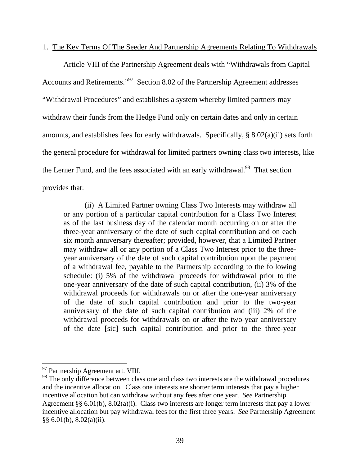#### 1. The Key Terms Of The Seeder And Partnership Agreements Relating To Withdrawals

Article VIII of the Partnership Agreement deals with "Withdrawals from Capital Accounts and Retirements."97 Section 8.02 of the Partnership Agreement addresses "Withdrawal Procedures" and establishes a system whereby limited partners may withdraw their funds from the Hedge Fund only on certain dates and only in certain amounts, and establishes fees for early withdrawals. Specifically, § 8.02(a)(ii) sets forth the general procedure for withdrawal for limited partners owning class two interests, like the Lerner Fund, and the fees associated with an early withdrawal.<sup>98</sup> That section provides that:

(ii) A Limited Partner owning Class Two Interests may withdraw all or any portion of a particular capital contribution for a Class Two Interest as of the last business day of the calendar month occurring on or after the three-year anniversary of the date of such capital contribution and on each six month anniversary thereafter; provided, however, that a Limited Partner may withdraw all or any portion of a Class Two Interest prior to the threeyear anniversary of the date of such capital contribution upon the payment of a withdrawal fee, payable to the Partnership according to the following schedule: (i) 5% of the withdrawal proceeds for withdrawal prior to the one-year anniversary of the date of such capital contribution, (ii) 3% of the withdrawal proceeds for withdrawals on or after the one-year anniversary of the date of such capital contribution and prior to the two-year anniversary of the date of such capital contribution and (iii) 2% of the withdrawal proceeds for withdrawals on or after the two-year anniversary of the date [sic] such capital contribution and prior to the three-year

<sup>&</sup>lt;sup>97</sup> Partnership Agreement art. VIII.

<sup>&</sup>lt;sup>98</sup> The only difference between class one and class two interests are the withdrawal procedures and the incentive allocation. Class one interests are shorter term interests that pay a higher incentive allocation but can withdraw without any fees after one year. *See* Partnership Agreement §§ 6.01(b), 8.02(a)(i). Class two interests are longer term interests that pay a lower incentive allocation but pay withdrawal fees for the first three years. *See* Partnership Agreement §§ 6.01(b), 8.02(a)(ii).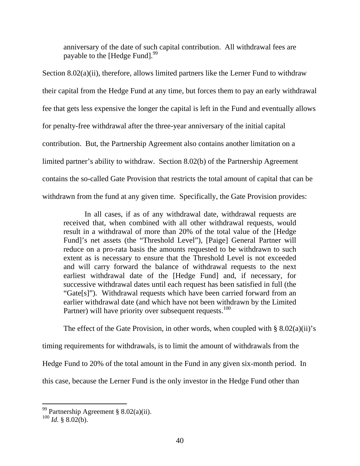anniversary of the date of such capital contribution. All withdrawal fees are payable to the [Hedge Fund].<sup>99</sup>

Section 8.02(a)(ii), therefore, allows limited partners like the Lerner Fund to withdraw their capital from the Hedge Fund at any time, but forces them to pay an early withdrawal fee that gets less expensive the longer the capital is left in the Fund and eventually allows for penalty-free withdrawal after the three-year anniversary of the initial capital contribution. But, the Partnership Agreement also contains another limitation on a limited partner's ability to withdraw. Section 8.02(b) of the Partnership Agreement contains the so-called Gate Provision that restricts the total amount of capital that can be withdrawn from the fund at any given time. Specifically, the Gate Provision provides:

 In all cases, if as of any withdrawal date, withdrawal requests are received that, when combined with all other withdrawal requests, would result in a withdrawal of more than 20% of the total value of the [Hedge Fund]'s net assets (the "Threshold Level"), [Paige] General Partner will reduce on a pro-rata basis the amounts requested to be withdrawn to such extent as is necessary to ensure that the Threshold Level is not exceeded and will carry forward the balance of withdrawal requests to the next earliest withdrawal date of the [Hedge Fund] and, if necessary, for successive withdrawal dates until each request has been satisfied in full (the "Gate[s]"). Withdrawal requests which have been carried forward from an earlier withdrawal date (and which have not been withdrawn by the Limited Partner) will have priority over subsequent requests.<sup>100</sup>

The effect of the Gate Provision, in other words, when coupled with  $\S 8.02(a)(ii)'s$ 

timing requirements for withdrawals, is to limit the amount of withdrawals from the

Hedge Fund to 20% of the total amount in the Fund in any given six-month period. In

this case, because the Lerner Fund is the only investor in the Hedge Fund other than

<sup>&</sup>lt;sup>99</sup> Partnership Agreement § 8.02(a)(ii).

 $100$  *Id.* § 8.02(b).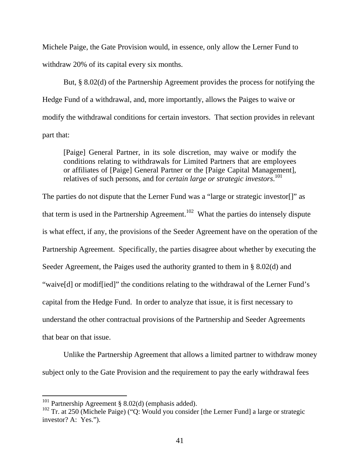Michele Paige, the Gate Provision would, in essence, only allow the Lerner Fund to withdraw 20% of its capital every six months.

But, § 8.02(d) of the Partnership Agreement provides the process for notifying the Hedge Fund of a withdrawal, and, more importantly, allows the Paiges to waive or modify the withdrawal conditions for certain investors. That section provides in relevant part that:

[Paige] General Partner, in its sole discretion, may waive or modify the conditions relating to withdrawals for Limited Partners that are employees or affiliates of [Paige] General Partner or the [Paige Capital Management], relatives of such persons, and for *certain large or strategic investors*. 101

The parties do not dispute that the Lerner Fund was a "large or strategic investor[]" as that term is used in the Partnership Agreement.<sup>102</sup> What the parties do intensely dispute is what effect, if any, the provisions of the Seeder Agreement have on the operation of the Partnership Agreement. Specifically, the parties disagree about whether by executing the Seeder Agreement, the Paiges used the authority granted to them in § 8.02(d) and "waive[d] or modif[ied]" the conditions relating to the withdrawal of the Lerner Fund's capital from the Hedge Fund. In order to analyze that issue, it is first necessary to understand the other contractual provisions of the Partnership and Seeder Agreements that bear on that issue.

 Unlike the Partnership Agreement that allows a limited partner to withdraw money subject only to the Gate Provision and the requirement to pay the early withdrawal fees

<sup>&</sup>lt;sup>101</sup> Partnership Agreement § 8.02(d) (emphasis added).

 $102$  Tr. at 250 (Michele Paige) ("Q: Would you consider [the Lerner Fund] a large or strategic investor? A: Yes.").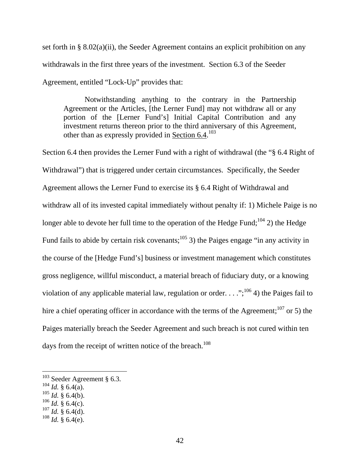set forth in § 8.02(a)(ii), the Seeder Agreement contains an explicit prohibition on any withdrawals in the first three years of the investment. Section 6.3 of the Seeder Agreement, entitled "Lock-Up" provides that:

 Notwithstanding anything to the contrary in the Partnership Agreement or the Articles, [the Lerner Fund] may not withdraw all or any portion of the [Lerner Fund's] Initial Capital Contribution and any investment returns thereon prior to the third anniversary of this Agreement, other than as expressly provided in Section 6.4.<sup>103</sup>

Section 6.4 then provides the Lerner Fund with a right of withdrawal (the "§ 6.4 Right of Withdrawal") that is triggered under certain circumstances. Specifically, the Seeder Agreement allows the Lerner Fund to exercise its § 6.4 Right of Withdrawal and withdraw all of its invested capital immediately without penalty if: 1) Michele Paige is no longer able to devote her full time to the operation of the Hedge Fund;<sup>104</sup> 2) the Hedge Fund fails to abide by certain risk covenants;<sup>105</sup> 3) the Paiges engage "in any activity in the course of the [Hedge Fund's] business or investment management which constitutes gross negligence, willful misconduct, a material breach of fiduciary duty, or a knowing violation of any applicable material law, regulation or order. . . .";<sup>106</sup> 4) the Paiges fail to hire a chief operating officer in accordance with the terms of the Agreement;<sup>107</sup> or 5) the Paiges materially breach the Seeder Agreement and such breach is not cured within ten days from the receipt of written notice of the breach.<sup>108</sup>

 $103$  Seeder Agreement § 6.3.

 $104$  *Id.* § 6.4(a).

 $105$  *Id.* § 6.4(b).

 $106$  *Id.* § 6.4(c).

 $^{107}$  *Id.* § 6.4(d).

 $108$  *Id.* § 6.4(e).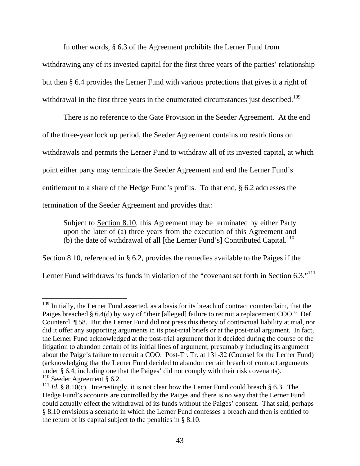In other words, § 6.3 of the Agreement prohibits the Lerner Fund from

withdrawing any of its invested capital for the first three years of the parties' relationship but then § 6.4 provides the Lerner Fund with various protections that gives it a right of withdrawal in the first three years in the enumerated circumstances just described.<sup>109</sup>

There is no reference to the Gate Provision in the Seeder Agreement. At the end of the three-year lock up period, the Seeder Agreement contains no restrictions on withdrawals and permits the Lerner Fund to withdraw all of its invested capital, at which point either party may terminate the Seeder Agreement and end the Lerner Fund's entitlement to a share of the Hedge Fund's profits. To that end, § 6.2 addresses the termination of the Seeder Agreement and provides that:

Subject to Section 8.10, this Agreement may be terminated by either Party upon the later of (a) three years from the execution of this Agreement and  $(b)$  the date of withdrawal of all [the Lerner Fund's] Contributed Capital.<sup>110</sup>

Section 8.10, referenced in § 6.2, provides the remedies available to the Paiges if the

Lerner Fund withdraws its funds in violation of the "covenant set forth in Section 6.3."<sup>111</sup>

 $\overline{a}$ <sup>109</sup> Initially, the Lerner Fund asserted, as a basis for its breach of contract counterclaim, that the Paiges breached § 6.4(d) by way of "their [alleged] failure to recruit a replacement COO." Def. Countercl. ¶ 58. But the Lerner Fund did not press this theory of contractual liability at trial, nor did it offer any supporting arguments in its post-trial briefs or at the post-trial argument. In fact, the Lerner Fund acknowledged at the post-trial argument that it decided during the course of the litigation to abandon certain of its initial lines of argument, presumably including its argument about the Paige's failure to recruit a COO. Post-Tr. Tr. at 131-32 (Counsel for the Lerner Fund) (acknowledging that the Lerner Fund decided to abandon certain breach of contract arguments under § 6.4, including one that the Paiges' did not comply with their risk covenants).  $110$  Seeder Agreement § 6.2.

<sup>&</sup>lt;sup>111</sup> *Id.* § 8.10(c). Interestingly, it is not clear how the Lerner Fund could breach § 6.3. The Hedge Fund's accounts are controlled by the Paiges and there is no way that the Lerner Fund could actually effect the withdrawal of its funds without the Paiges' consent. That said, perhaps § 8.10 envisions a scenario in which the Lerner Fund confesses a breach and then is entitled to the return of its capital subject to the penalties in § 8.10.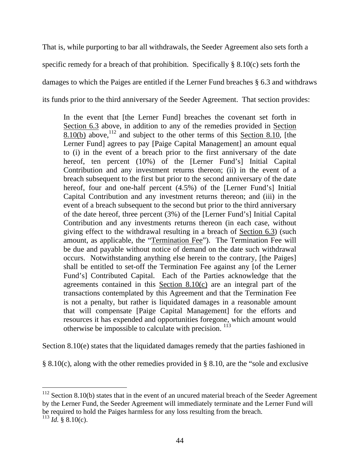That is, while purporting to bar all withdrawals, the Seeder Agreement also sets forth a specific remedy for a breach of that prohibition. Specifically  $\S 8.10(c)$  sets forth the damages to which the Paiges are entitled if the Lerner Fund breaches § 6.3 and withdraws its funds prior to the third anniversary of the Seeder Agreement. That section provides:

In the event that [the Lerner Fund] breaches the covenant set forth in Section 6.3 above, in addition to any of the remedies provided in Section  $8.10(b)$  above,  $112$  and subject to the other terms of this Section 8.10, [the Lerner Fund] agrees to pay [Paige Capital Management] an amount equal to (i) in the event of a breach prior to the first anniversary of the date hereof, ten percent (10%) of the [Lerner Fund's] Initial Capital Contribution and any investment returns thereon; (ii) in the event of a breach subsequent to the first but prior to the second anniversary of the date hereof, four and one-half percent (4.5%) of the [Lerner Fund's] Initial Capital Contribution and any investment returns thereon; and (iii) in the event of a breach subsequent to the second but prior to the third anniversary of the date hereof, three percent (3%) of the [Lerner Fund's] Initial Capital Contribution and any investments returns thereon (in each case, without giving effect to the withdrawal resulting in a breach of Section 6.3) (such amount, as applicable, the "Termination Fee"). The Termination Fee will be due and payable without notice of demand on the date such withdrawal occurs. Notwithstanding anything else herein to the contrary, [the Paiges] shall be entitled to set-off the Termination Fee against any [of the Lerner Fund's] Contributed Capital. Each of the Parties acknowledge that the agreements contained in this Section 8.10(c) are an integral part of the transactions contemplated by this Agreement and that the Termination Fee is not a penalty, but rather is liquidated damages in a reasonable amount that will compensate [Paige Capital Management] for the efforts and resources it has expended and opportunities foregone, which amount would otherwise be impossible to calculate with precision.  $^{113}$ 

Section 8.10(e) states that the liquidated damages remedy that the parties fashioned in

§ 8.10(c), along with the other remedies provided in § 8.10, are the "sole and exclusive

 $112$  Section 8.10(b) states that in the event of an uncured material breach of the Seeder Agreement by the Lerner Fund, the Seeder Agreement will immediately terminate and the Lerner Fund will be required to hold the Paiges harmless for any loss resulting from the breach.

 $^{113}$  *Id.* § 8.10(c).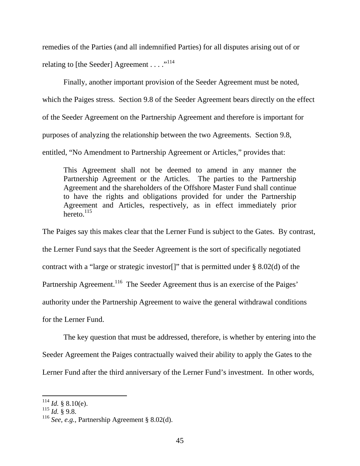remedies of the Parties (and all indemnified Parties) for all disputes arising out of or relating to [the Seeder] Agreement . . . . "<sup>114</sup>

 Finally, another important provision of the Seeder Agreement must be noted, which the Paiges stress. Section 9.8 of the Seeder Agreement bears directly on the effect of the Seeder Agreement on the Partnership Agreement and therefore is important for purposes of analyzing the relationship between the two Agreements. Section 9.8, entitled, "No Amendment to Partnership Agreement or Articles," provides that:

This Agreement shall not be deemed to amend in any manner the Partnership Agreement or the Articles. The parties to the Partnership Agreement and the shareholders of the Offshore Master Fund shall continue to have the rights and obligations provided for under the Partnership Agreement and Articles, respectively, as in effect immediately prior hereto. $^{115}$ 

The Paiges say this makes clear that the Lerner Fund is subject to the Gates. By contrast, the Lerner Fund says that the Seeder Agreement is the sort of specifically negotiated contract with a "large or strategic investor." That is permitted under  $\S$  8.02(d) of the Partnership Agreement.<sup>116</sup> The Seeder Agreement thus is an exercise of the Paiges' authority under the Partnership Agreement to waive the general withdrawal conditions for the Lerner Fund.

The key question that must be addressed, therefore, is whether by entering into the Seeder Agreement the Paiges contractually waived their ability to apply the Gates to the Lerner Fund after the third anniversary of the Lerner Fund's investment. In other words,

 $^{114}$  *Id.* § 8.10(e).

 $^{115}$  *Id.* § 9.8.

<sup>116</sup> *See, e.g.,* Partnership Agreement § 8.02(d).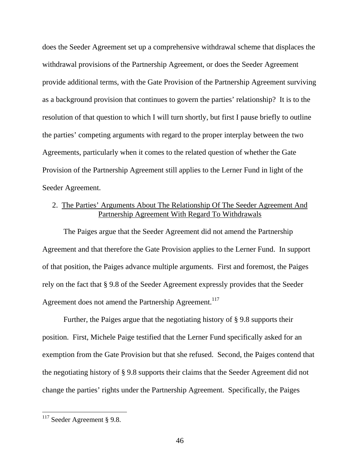does the Seeder Agreement set up a comprehensive withdrawal scheme that displaces the withdrawal provisions of the Partnership Agreement, or does the Seeder Agreement provide additional terms, with the Gate Provision of the Partnership Agreement surviving as a background provision that continues to govern the parties' relationship? It is to the resolution of that question to which I will turn shortly, but first I pause briefly to outline the parties' competing arguments with regard to the proper interplay between the two Agreements, particularly when it comes to the related question of whether the Gate Provision of the Partnership Agreement still applies to the Lerner Fund in light of the Seeder Agreement.

# 2. The Parties' Arguments About The Relationship Of The Seeder Agreement And Partnership Agreement With Regard To Withdrawals

The Paiges argue that the Seeder Agreement did not amend the Partnership Agreement and that therefore the Gate Provision applies to the Lerner Fund. In support of that position, the Paiges advance multiple arguments. First and foremost, the Paiges rely on the fact that § 9.8 of the Seeder Agreement expressly provides that the Seeder Agreement does not amend the Partnership Agreement.<sup>117</sup>

Further, the Paiges argue that the negotiating history of § 9.8 supports their position. First, Michele Paige testified that the Lerner Fund specifically asked for an exemption from the Gate Provision but that she refused. Second, the Paiges contend that the negotiating history of § 9.8 supports their claims that the Seeder Agreement did not change the parties' rights under the Partnership Agreement. Specifically, the Paiges

 $117$  Seeder Agreement § 9.8.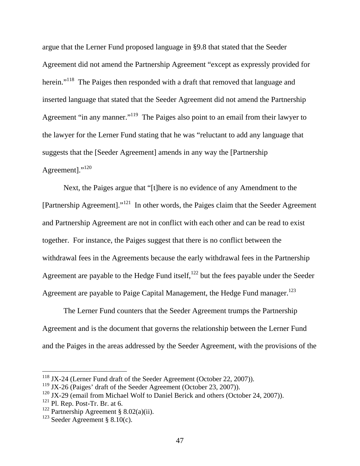argue that the Lerner Fund proposed language in §9.8 that stated that the Seeder Agreement did not amend the Partnership Agreement "except as expressly provided for herein."<sup>118</sup> The Paiges then responded with a draft that removed that language and inserted language that stated that the Seeder Agreement did not amend the Partnership Agreement "in any manner."<sup>119</sup> The Paiges also point to an email from their lawyer to the lawyer for the Lerner Fund stating that he was "reluctant to add any language that suggests that the [Seeder Agreement] amends in any way the [Partnership Agreement]."<sup>120</sup>

 Next, the Paiges argue that "[t]here is no evidence of any Amendment to the [Partnership Agreement]."121 In other words, the Paiges claim that the Seeder Agreement and Partnership Agreement are not in conflict with each other and can be read to exist together. For instance, the Paiges suggest that there is no conflict between the withdrawal fees in the Agreements because the early withdrawal fees in the Partnership Agreement are payable to the Hedge Fund itself, $^{122}$  but the fees payable under the Seeder Agreement are payable to Paige Capital Management, the Hedge Fund manager.<sup>123</sup>

The Lerner Fund counters that the Seeder Agreement trumps the Partnership Agreement and is the document that governs the relationship between the Lerner Fund and the Paiges in the areas addressed by the Seeder Agreement, with the provisions of the

<sup>&</sup>lt;sup>118</sup> JX-24 (Lerner Fund draft of the Seeder Agreement (October 22, 2007)).

<sup>119</sup> JX-26 (Paiges' draft of the Seeder Agreement (October 23, 2007)).

 $120$  JX-29 (email from Michael Wolf to Daniel Berick and others (October 24, 2007)).

 $121$  Pl. Rep. Post-Tr. Br. at 6.

<sup>&</sup>lt;sup>122</sup> Partnership Agreement § 8.02(a)(ii).

 $123$  Seeder Agreement § 8.10(c).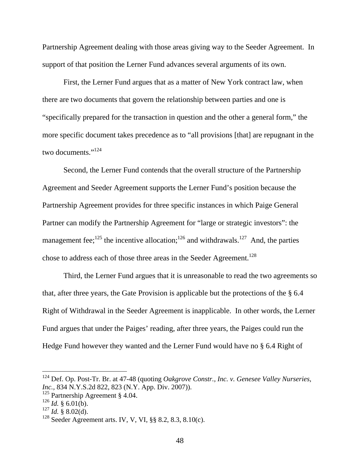Partnership Agreement dealing with those areas giving way to the Seeder Agreement. In support of that position the Lerner Fund advances several arguments of its own.

First, the Lerner Fund argues that as a matter of New York contract law, when there are two documents that govern the relationship between parties and one is "specifically prepared for the transaction in question and the other a general form," the more specific document takes precedence as to "all provisions [that] are repugnant in the two documents."<sup>124</sup>

Second, the Lerner Fund contends that the overall structure of the Partnership Agreement and Seeder Agreement supports the Lerner Fund's position because the Partnership Agreement provides for three specific instances in which Paige General Partner can modify the Partnership Agreement for "large or strategic investors": the management fee;<sup>125</sup> the incentive allocation;<sup>126</sup> and withdrawals.<sup>127</sup> And, the parties chose to address each of those three areas in the Seeder Agreement.<sup>128</sup>

Third, the Lerner Fund argues that it is unreasonable to read the two agreements so that, after three years, the Gate Provision is applicable but the protections of the § 6.4 Right of Withdrawal in the Seeder Agreement is inapplicable. In other words, the Lerner Fund argues that under the Paiges' reading, after three years, the Paiges could run the Hedge Fund however they wanted and the Lerner Fund would have no § 6.4 Right of

<sup>124</sup> Def. Op. Post-Tr. Br. at 47-48 (quoting *Oakgrove Constr., Inc. v. Genesee Valley Nurseries, Inc.,* 834 N.Y.S.2d 822, 823 (N.Y. App. Div. 2007)).

<sup>125</sup> Partnership Agreement § 4.04.

 $^{126}$  *Id.* § 6.01(b).

 $^{127}$  *Id.* § 8.02(d).

<sup>128</sup> Seeder Agreement arts. IV, V, VI, §§ 8.2, 8.3, 8.10(c).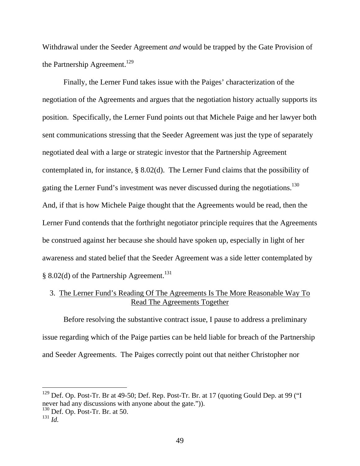Withdrawal under the Seeder Agreement *and* would be trapped by the Gate Provision of the Partnership Agreement.<sup>129</sup>

Finally, the Lerner Fund takes issue with the Paiges' characterization of the negotiation of the Agreements and argues that the negotiation history actually supports its position. Specifically, the Lerner Fund points out that Michele Paige and her lawyer both sent communications stressing that the Seeder Agreement was just the type of separately negotiated deal with a large or strategic investor that the Partnership Agreement contemplated in, for instance, § 8.02(d). The Lerner Fund claims that the possibility of gating the Lerner Fund's investment was never discussed during the negotiations.<sup>130</sup> And, if that is how Michele Paige thought that the Agreements would be read, then the Lerner Fund contends that the forthright negotiator principle requires that the Agreements be construed against her because she should have spoken up, especially in light of her awareness and stated belief that the Seeder Agreement was a side letter contemplated by § 8.02(d) of the Partnership Agreement.<sup>131</sup>

## 3. The Lerner Fund's Reading Of The Agreements Is The More Reasonable Way To Read The Agreements Together

Before resolving the substantive contract issue, I pause to address a preliminary issue regarding which of the Paige parties can be held liable for breach of the Partnership and Seeder Agreements. The Paiges correctly point out that neither Christopher nor

<sup>&</sup>lt;sup>129</sup> Def. Op. Post-Tr. Br at 49-50; Def. Rep. Post-Tr. Br. at 17 (quoting Gould Dep. at 99 ("I never had any discussions with anyone about the gate.")).

 $130$  Def. Op. Post-Tr. Br. at 50.

<sup>131</sup> *Id.*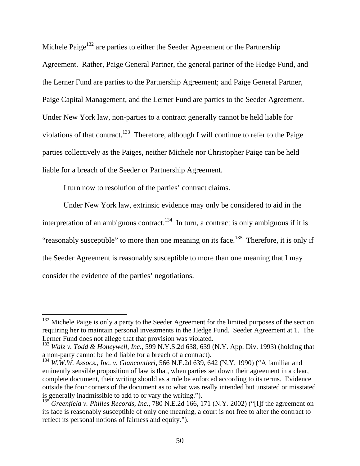Michele Paige<sup>132</sup> are parties to either the Seeder Agreement or the Partnership Agreement. Rather, Paige General Partner, the general partner of the Hedge Fund, and the Lerner Fund are parties to the Partnership Agreement; and Paige General Partner, Paige Capital Management, and the Lerner Fund are parties to the Seeder Agreement. Under New York law, non-parties to a contract generally cannot be held liable for violations of that contract.<sup>133</sup> Therefore, although I will continue to refer to the Paige parties collectively as the Paiges, neither Michele nor Christopher Paige can be held liable for a breach of the Seeder or Partnership Agreement.

I turn now to resolution of the parties' contract claims.

 $\overline{a}$ 

Under New York law, extrinsic evidence may only be considered to aid in the interpretation of an ambiguous contract.<sup>134</sup> In turn, a contract is only ambiguous if it is "reasonably susceptible" to more than one meaning on its face.<sup>135</sup> Therefore, it is only if the Seeder Agreement is reasonably susceptible to more than one meaning that I may consider the evidence of the parties' negotiations.

 $132$  Michele Paige is only a party to the Seeder Agreement for the limited purposes of the section requiring her to maintain personal investments in the Hedge Fund. Seeder Agreement at 1. The Lerner Fund does not allege that that provision was violated.

<sup>133</sup> *Walz v. Todd & Honeywell, Inc.,* 599 N.Y.S.2d 638, 639 (N.Y. App. Div. 1993) (holding that a non-party cannot be held liable for a breach of a contract).

<sup>134</sup> *W.W.W. Assocs., Inc. v. Giancontieri*, 566 N.E.2d 639, 642 (N.Y. 1990) ("A familiar and eminently sensible proposition of law is that, when parties set down their agreement in a clear, complete document, their writing should as a rule be enforced according to its terms. Evidence outside the four corners of the document as to what was really intended but unstated or misstated is generally inadmissible to add to or vary the writing.").

<sup>135</sup> *Greenfield v. Philles Records, Inc.*, 780 N.E.2d 166, 171 (N.Y. 2002) ("[I]f the agreement on its face is reasonably susceptible of only one meaning, a court is not free to alter the contract to reflect its personal notions of fairness and equity.").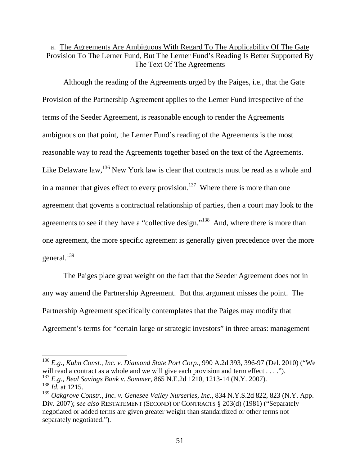# a. The Agreements Are Ambiguous With Regard To The Applicability Of The Gate Provision To The Lerner Fund, But The Lerner Fund's Reading Is Better Supported By The Text Of The Agreements

Although the reading of the Agreements urged by the Paiges, i.e., that the Gate Provision of the Partnership Agreement applies to the Lerner Fund irrespective of the terms of the Seeder Agreement, is reasonable enough to render the Agreements ambiguous on that point, the Lerner Fund's reading of the Agreements is the most reasonable way to read the Agreements together based on the text of the Agreements. Like Delaware law,  $136$  New York law is clear that contracts must be read as a whole and in a manner that gives effect to every provision.<sup>137</sup> Where there is more than one agreement that governs a contractual relationship of parties, then a court may look to the agreements to see if they have a "collective design."<sup>138</sup> And, where there is more than one agreement, the more specific agreement is generally given precedence over the more general.<sup>139</sup>

The Paiges place great weight on the fact that the Seeder Agreement does not in any way amend the Partnership Agreement. But that argument misses the point. The Partnership Agreement specifically contemplates that the Paiges may modify that Agreement's terms for "certain large or strategic investors" in three areas: management

<sup>136</sup> *E.g., Kuhn Const., Inc. v. Diamond State Port Corp*., 990 A.2d 393, 396-97 (Del. 2010) ("We will read a contract as a whole and we will give each provision and term effect . . . .").

<sup>137</sup> *E.g., Beal Savings Bank v. Sommer*, 865 N.E.2d 1210, 1213-14 (N.Y. 2007). <sup>138</sup> *Id.* at 1215.

<sup>139</sup> *Oakgrove Constr., Inc. v. Genesee Valley Nurseries, Inc.,* 834 N.Y.S.2d 822, 823 (N.Y. App. Div. 2007); *see also* RESTATEMENT (SECOND) OF CONTRACTS § 203(d) (1981) ("Separately negotiated or added terms are given greater weight than standardized or other terms not separately negotiated.").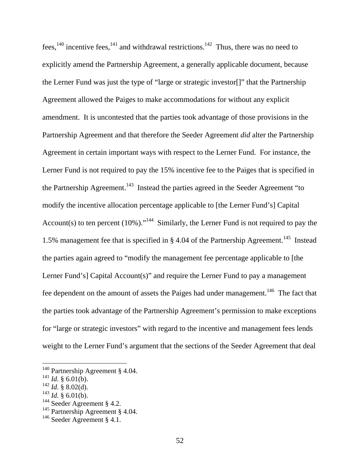fees,<sup>140</sup> incentive fees,<sup>141</sup> and withdrawal restrictions.<sup>142</sup> Thus, there was no need to explicitly amend the Partnership Agreement, a generally applicable document, because the Lerner Fund was just the type of "large or strategic investor[]" that the Partnership Agreement allowed the Paiges to make accommodations for without any explicit amendment. It is uncontested that the parties took advantage of those provisions in the Partnership Agreement and that therefore the Seeder Agreement *did* alter the Partnership Agreement in certain important ways with respect to the Lerner Fund. For instance, the Lerner Fund is not required to pay the 15% incentive fee to the Paiges that is specified in the Partnership Agreement.<sup>143</sup> Instead the parties agreed in the Seeder Agreement "to" modify the incentive allocation percentage applicable to [the Lerner Fund's] Capital Account(s) to ten percent  $(10\%)$ ."<sup>144</sup> Similarly, the Lerner Fund is not required to pay the 1.5% management fee that is specified in § 4.04 of the Partnership Agreement.<sup>145</sup> Instead the parties again agreed to "modify the management fee percentage applicable to [the Lerner Fund's] Capital Account(s)" and require the Lerner Fund to pay a management fee dependent on the amount of assets the Paiges had under management.<sup>146</sup> The fact that the parties took advantage of the Partnership Agreement's permission to make exceptions for "large or strategic investors" with regard to the incentive and management fees lends weight to the Lerner Fund's argument that the sections of the Seeder Agreement that deal

<sup>&</sup>lt;sup>140</sup> Partnership Agreement § 4.04.

 $^{141}$  *Id.* § 6.01(b).

 $^{142}$  *Id.* § 8.02(d).

 $^{143}$  *Id.* § 6.01(b).

<sup>&</sup>lt;sup>144</sup> Seeder Agreement § 4.2.

<sup>&</sup>lt;sup>145</sup> Partnership Agreement § 4.04.

<sup>&</sup>lt;sup>146</sup> Seeder Agreement § 4.1.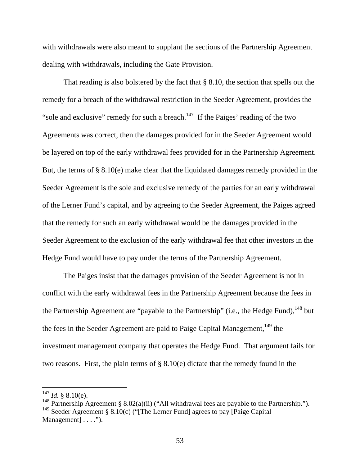with withdrawals were also meant to supplant the sections of the Partnership Agreement dealing with withdrawals, including the Gate Provision.

That reading is also bolstered by the fact that § 8.10, the section that spells out the remedy for a breach of the withdrawal restriction in the Seeder Agreement, provides the "sole and exclusive" remedy for such a breach.<sup>147</sup> If the Paiges' reading of the two Agreements was correct, then the damages provided for in the Seeder Agreement would be layered on top of the early withdrawal fees provided for in the Partnership Agreement. But, the terms of § 8.10(e) make clear that the liquidated damages remedy provided in the Seeder Agreement is the sole and exclusive remedy of the parties for an early withdrawal of the Lerner Fund's capital, and by agreeing to the Seeder Agreement, the Paiges agreed that the remedy for such an early withdrawal would be the damages provided in the Seeder Agreement to the exclusion of the early withdrawal fee that other investors in the Hedge Fund would have to pay under the terms of the Partnership Agreement.

The Paiges insist that the damages provision of the Seeder Agreement is not in conflict with the early withdrawal fees in the Partnership Agreement because the fees in the Partnership Agreement are "payable to the Partnership" (i.e., the Hedge Fund),  $^{148}$  but the fees in the Seeder Agreement are paid to Paige Capital Management,  $149$  the investment management company that operates the Hedge Fund. That argument fails for two reasons. First, the plain terms of § 8.10(e) dictate that the remedy found in the

 $^{147}$  *Id.* § 8.10(e).

<sup>&</sup>lt;sup>148</sup> Partnership Agreement § 8.02(a)(ii) ("All withdrawal fees are payable to the Partnership."). <sup>149</sup> Seeder Agreement § 8.10(c) ("[The Lerner Fund] agrees to pay [Paige Capital] Management] . . . .").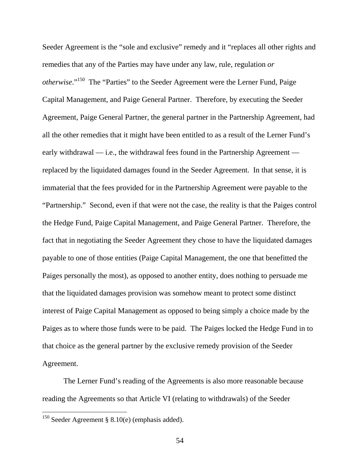Seeder Agreement is the "sole and exclusive" remedy and it "replaces all other rights and remedies that any of the Parties may have under any law, rule, regulation *or otherwise*."150 The "Parties" to the Seeder Agreement were the Lerner Fund, Paige Capital Management, and Paige General Partner. Therefore, by executing the Seeder Agreement, Paige General Partner, the general partner in the Partnership Agreement, had all the other remedies that it might have been entitled to as a result of the Lerner Fund's early withdrawal — i.e., the withdrawal fees found in the Partnership Agreement replaced by the liquidated damages found in the Seeder Agreement. In that sense, it is immaterial that the fees provided for in the Partnership Agreement were payable to the "Partnership." Second, even if that were not the case, the reality is that the Paiges control the Hedge Fund, Paige Capital Management, and Paige General Partner. Therefore, the fact that in negotiating the Seeder Agreement they chose to have the liquidated damages payable to one of those entities (Paige Capital Management, the one that benefitted the Paiges personally the most), as opposed to another entity, does nothing to persuade me that the liquidated damages provision was somehow meant to protect some distinct interest of Paige Capital Management as opposed to being simply a choice made by the Paiges as to where those funds were to be paid. The Paiges locked the Hedge Fund in to that choice as the general partner by the exclusive remedy provision of the Seeder Agreement.

The Lerner Fund's reading of the Agreements is also more reasonable because reading the Agreements so that Article VI (relating to withdrawals) of the Seeder

<sup>&</sup>lt;sup>150</sup> Seeder Agreement § 8.10(e) (emphasis added).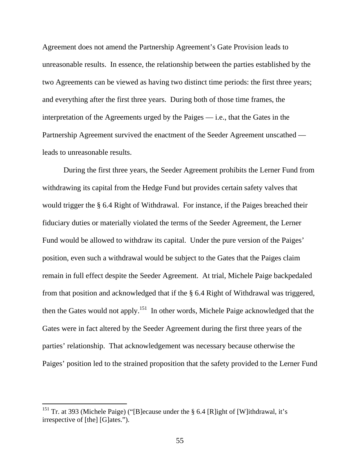Agreement does not amend the Partnership Agreement's Gate Provision leads to unreasonable results. In essence, the relationship between the parties established by the two Agreements can be viewed as having two distinct time periods: the first three years; and everything after the first three years. During both of those time frames, the interpretation of the Agreements urged by the Paiges — i.e., that the Gates in the Partnership Agreement survived the enactment of the Seeder Agreement unscathed leads to unreasonable results.

During the first three years, the Seeder Agreement prohibits the Lerner Fund from withdrawing its capital from the Hedge Fund but provides certain safety valves that would trigger the § 6.4 Right of Withdrawal. For instance, if the Paiges breached their fiduciary duties or materially violated the terms of the Seeder Agreement, the Lerner Fund would be allowed to withdraw its capital. Under the pure version of the Paiges' position, even such a withdrawal would be subject to the Gates that the Paiges claim remain in full effect despite the Seeder Agreement. At trial, Michele Paige backpedaled from that position and acknowledged that if the § 6.4 Right of Withdrawal was triggered, then the Gates would not apply.<sup>151</sup> In other words, Michele Paige acknowledged that the Gates were in fact altered by the Seeder Agreement during the first three years of the parties' relationship. That acknowledgement was necessary because otherwise the Paiges' position led to the strained proposition that the safety provided to the Lerner Fund

<sup>&</sup>lt;sup>151</sup> Tr. at 393 (Michele Paige) ("[B]ecause under the § 6.4 [R]ight of [W]ithdrawal, it's irrespective of [the] [G]ates.").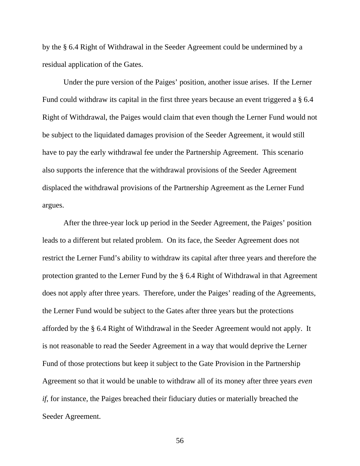by the § 6.4 Right of Withdrawal in the Seeder Agreement could be undermined by a residual application of the Gates.

Under the pure version of the Paiges' position, another issue arises. If the Lerner Fund could withdraw its capital in the first three years because an event triggered a § 6.4 Right of Withdrawal, the Paiges would claim that even though the Lerner Fund would not be subject to the liquidated damages provision of the Seeder Agreement, it would still have to pay the early withdrawal fee under the Partnership Agreement. This scenario also supports the inference that the withdrawal provisions of the Seeder Agreement displaced the withdrawal provisions of the Partnership Agreement as the Lerner Fund argues.

After the three-year lock up period in the Seeder Agreement, the Paiges' position leads to a different but related problem. On its face, the Seeder Agreement does not restrict the Lerner Fund's ability to withdraw its capital after three years and therefore the protection granted to the Lerner Fund by the § 6.4 Right of Withdrawal in that Agreement does not apply after three years. Therefore, under the Paiges' reading of the Agreements, the Lerner Fund would be subject to the Gates after three years but the protections afforded by the § 6.4 Right of Withdrawal in the Seeder Agreement would not apply. It is not reasonable to read the Seeder Agreement in a way that would deprive the Lerner Fund of those protections but keep it subject to the Gate Provision in the Partnership Agreement so that it would be unable to withdraw all of its money after three years *even if*, for instance, the Paiges breached their fiduciary duties or materially breached the Seeder Agreement.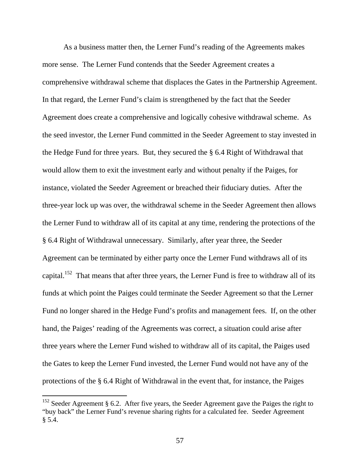As a business matter then, the Lerner Fund's reading of the Agreements makes more sense. The Lerner Fund contends that the Seeder Agreement creates a comprehensive withdrawal scheme that displaces the Gates in the Partnership Agreement. In that regard, the Lerner Fund's claim is strengthened by the fact that the Seeder Agreement does create a comprehensive and logically cohesive withdrawal scheme. As the seed investor, the Lerner Fund committed in the Seeder Agreement to stay invested in the Hedge Fund for three years. But, they secured the § 6.4 Right of Withdrawal that would allow them to exit the investment early and without penalty if the Paiges, for instance, violated the Seeder Agreement or breached their fiduciary duties. After the three-year lock up was over, the withdrawal scheme in the Seeder Agreement then allows the Lerner Fund to withdraw all of its capital at any time, rendering the protections of the § 6.4 Right of Withdrawal unnecessary. Similarly, after year three, the Seeder Agreement can be terminated by either party once the Lerner Fund withdraws all of its capital.<sup>152</sup> That means that after three years, the Lerner Fund is free to withdraw all of its funds at which point the Paiges could terminate the Seeder Agreement so that the Lerner Fund no longer shared in the Hedge Fund's profits and management fees. If, on the other hand, the Paiges' reading of the Agreements was correct, a situation could arise after three years where the Lerner Fund wished to withdraw all of its capital, the Paiges used the Gates to keep the Lerner Fund invested, the Lerner Fund would not have any of the protections of the § 6.4 Right of Withdrawal in the event that, for instance, the Paiges

 $152$  Seeder Agreement § 6.2. After five years, the Seeder Agreement gave the Paiges the right to "buy back" the Lerner Fund's revenue sharing rights for a calculated fee. Seeder Agreement § 5.4.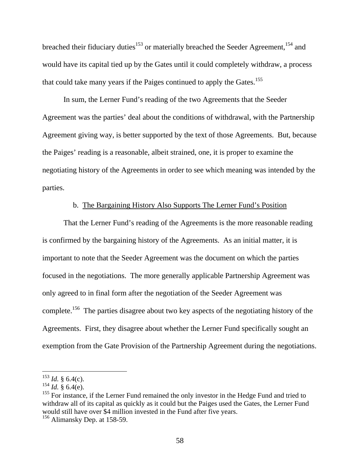breached their fiduciary duties<sup>153</sup> or materially breached the Seeder Agreement,<sup>154</sup> and would have its capital tied up by the Gates until it could completely withdraw, a process that could take many years if the Paiges continued to apply the Gates.<sup>155</sup>

In sum, the Lerner Fund's reading of the two Agreements that the Seeder Agreement was the parties' deal about the conditions of withdrawal, with the Partnership Agreement giving way, is better supported by the text of those Agreements. But, because the Paiges' reading is a reasonable, albeit strained, one, it is proper to examine the negotiating history of the Agreements in order to see which meaning was intended by the parties.

## b. The Bargaining History Also Supports The Lerner Fund's Position

That the Lerner Fund's reading of the Agreements is the more reasonable reading is confirmed by the bargaining history of the Agreements. As an initial matter, it is important to note that the Seeder Agreement was the document on which the parties focused in the negotiations. The more generally applicable Partnership Agreement was only agreed to in final form after the negotiation of the Seeder Agreement was complete.156 The parties disagree about two key aspects of the negotiating history of the Agreements. First, they disagree about whether the Lerner Fund specifically sought an exemption from the Gate Provision of the Partnership Agreement during the negotiations.

 $^{153}$  *Id.* § 6.4(c).

 $^{154}$  *Id.* § 6.4(e).

<sup>&</sup>lt;sup>155</sup> For instance, if the Lerner Fund remained the only investor in the Hedge Fund and tried to withdraw all of its capital as quickly as it could but the Paiges used the Gates, the Lerner Fund would still have over \$4 million invested in the Fund after five years.

<sup>156</sup> Alimansky Dep. at 158-59.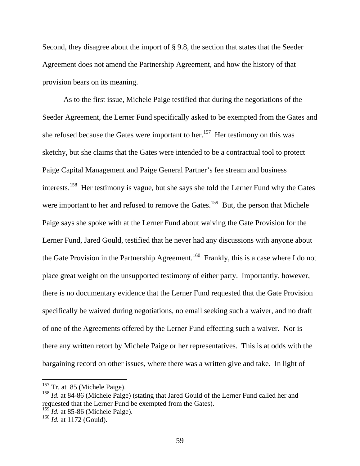Second, they disagree about the import of § 9.8, the section that states that the Seeder Agreement does not amend the Partnership Agreement, and how the history of that provision bears on its meaning.

As to the first issue, Michele Paige testified that during the negotiations of the Seeder Agreement, the Lerner Fund specifically asked to be exempted from the Gates and she refused because the Gates were important to her.<sup>157</sup> Her testimony on this was sketchy, but she claims that the Gates were intended to be a contractual tool to protect Paige Capital Management and Paige General Partner's fee stream and business interests.158 Her testimony is vague, but she says she told the Lerner Fund why the Gates were important to her and refused to remove the Gates.<sup>159</sup> But, the person that Michele Paige says she spoke with at the Lerner Fund about waiving the Gate Provision for the Lerner Fund, Jared Gould, testified that he never had any discussions with anyone about the Gate Provision in the Partnership Agreement.<sup>160</sup> Frankly, this is a case where I do not place great weight on the unsupported testimony of either party. Importantly, however, there is no documentary evidence that the Lerner Fund requested that the Gate Provision specifically be waived during negotiations, no email seeking such a waiver, and no draft of one of the Agreements offered by the Lerner Fund effecting such a waiver. Nor is there any written retort by Michele Paige or her representatives. This is at odds with the bargaining record on other issues, where there was a written give and take. In light of

<sup>159</sup> *Id.* at 85-86 (Michele Paige).

 $157$  Tr. at 85 (Michele Paige).

<sup>&</sup>lt;sup>158</sup> *Id.* at 84-86 (Michele Paige) (stating that Jared Gould of the Lerner Fund called her and requested that the Lerner Fund be exempted from the Gates).

<sup>160</sup> *Id.* at 1172 (Gould).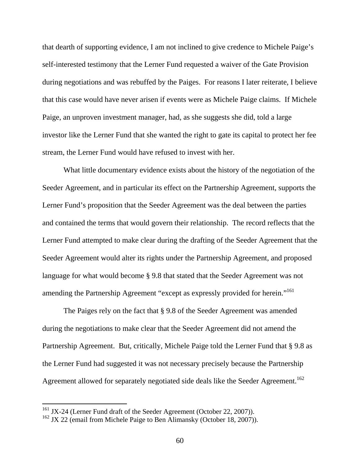that dearth of supporting evidence, I am not inclined to give credence to Michele Paige's self-interested testimony that the Lerner Fund requested a waiver of the Gate Provision during negotiations and was rebuffed by the Paiges. For reasons I later reiterate, I believe that this case would have never arisen if events were as Michele Paige claims. If Michele Paige, an unproven investment manager, had, as she suggests she did, told a large investor like the Lerner Fund that she wanted the right to gate its capital to protect her fee stream, the Lerner Fund would have refused to invest with her.

What little documentary evidence exists about the history of the negotiation of the Seeder Agreement, and in particular its effect on the Partnership Agreement, supports the Lerner Fund's proposition that the Seeder Agreement was the deal between the parties and contained the terms that would govern their relationship. The record reflects that the Lerner Fund attempted to make clear during the drafting of the Seeder Agreement that the Seeder Agreement would alter its rights under the Partnership Agreement, and proposed language for what would become § 9.8 that stated that the Seeder Agreement was not amending the Partnership Agreement "except as expressly provided for herein."<sup>161</sup>

The Paiges rely on the fact that § 9.8 of the Seeder Agreement was amended during the negotiations to make clear that the Seeder Agreement did not amend the Partnership Agreement. But, critically, Michele Paige told the Lerner Fund that § 9.8 as the Lerner Fund had suggested it was not necessary precisely because the Partnership Agreement allowed for separately negotiated side deals like the Seeder Agreement.<sup>162</sup>

 $161$  JX-24 (Lerner Fund draft of the Seeder Agreement (October 22, 2007)).

 $162$  JX 22 (email from Michele Paige to Ben Alimansky (October 18, 2007)).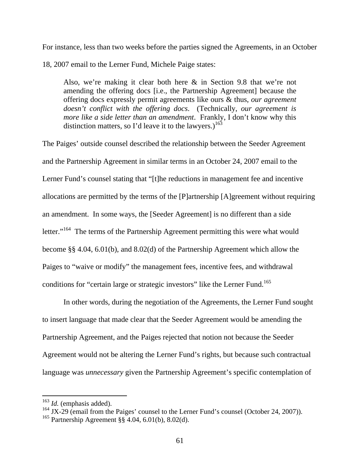For instance, less than two weeks before the parties signed the Agreements, in an October 18, 2007 email to the Lerner Fund, Michele Paige states:

Also, we're making it clear both here & in Section 9.8 that we're not amending the offering docs [i.e., the Partnership Agreement] because the offering docs expressly permit agreements like ours & thus, *our agreement doesn't conflict with the offering docs*. (Technically, *our agreement is more like a side letter than an amendment*. Frankly, I don't know why this distinction matters, so I'd leave it to the lawyers.)<sup>163</sup>

The Paiges' outside counsel described the relationship between the Seeder Agreement and the Partnership Agreement in similar terms in an October 24, 2007 email to the Lerner Fund's counsel stating that "[t]he reductions in management fee and incentive allocations are permitted by the terms of the [P]artnership [A]greement without requiring an amendment. In some ways, the [Seeder Agreement] is no different than a side letter."<sup>164</sup> The terms of the Partnership Agreement permitting this were what would become §§ 4.04, 6.01(b), and 8.02(d) of the Partnership Agreement which allow the Paiges to "waive or modify" the management fees, incentive fees, and withdrawal conditions for "certain large or strategic investors" like the Lerner Fund.<sup>165</sup>

In other words, during the negotiation of the Agreements, the Lerner Fund sought to insert language that made clear that the Seeder Agreement would be amending the Partnership Agreement, and the Paiges rejected that notion not because the Seeder Agreement would not be altering the Lerner Fund's rights, but because such contractual language was *unnecessary* given the Partnership Agreement's specific contemplation of

<sup>163</sup> *Id.* (emphasis added).

<sup>&</sup>lt;sup>164</sup> JX-29 (email from the Paiges' counsel to the Lerner Fund's counsel (October 24, 2007)).

<sup>&</sup>lt;sup>165</sup> Partnership Agreement  $\S$ § 4.04, 6.01(b), 8.02(d).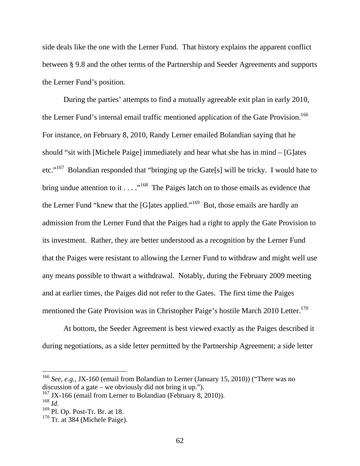side deals like the one with the Lerner Fund. That history explains the apparent conflict between § 9.8 and the other terms of the Partnership and Seeder Agreements and supports the Lerner Fund's position.

During the parties' attempts to find a mutually agreeable exit plan in early 2010, the Lerner Fund's internal email traffic mentioned application of the Gate Provision.<sup>166</sup> For instance, on February 8, 2010, Randy Lerner emailed Bolandian saying that he should "sit with [Michele Paige] immediately and hear what she has in mind – [G]ates etc."167 Bolandian responded that "bringing up the Gate[s] will be tricky. I would hate to bring undue attention to it  $\dots$  ."<sup>168</sup> The Paiges latch on to those emails as evidence that the Lerner Fund "knew that the [G]ates applied."<sup>169</sup> But, those emails are hardly an admission from the Lerner Fund that the Paiges had a right to apply the Gate Provision to its investment. Rather, they are better understood as a recognition by the Lerner Fund that the Paiges were resistant to allowing the Lerner Fund to withdraw and might well use any means possible to thwart a withdrawal. Notably, during the February 2009 meeting and at earlier times, the Paiges did not refer to the Gates. The first time the Paiges mentioned the Gate Provision was in Christopher Paige's hostile March 2010 Letter.<sup>170</sup>

At bottom, the Seeder Agreement is best viewed exactly as the Paiges described it during negotiations, as a side letter permitted by the Partnership Agreement; a side letter

<sup>166</sup> *See, e.g.,* JX-160 (email from Bolandian to Lerner (January 15, 2010)) ("There was no discussion of a gate – we obviously did not bring it up.").

<sup>&</sup>lt;sup>167</sup> JX-166 (email from Lerner to Bolandian (February 8, 2010)).

<sup>168</sup> *Id.*

 $169$  Pl. Op. Post-Tr. Br. at 18.

 $170$  Tr. at 384 (Michele Paige).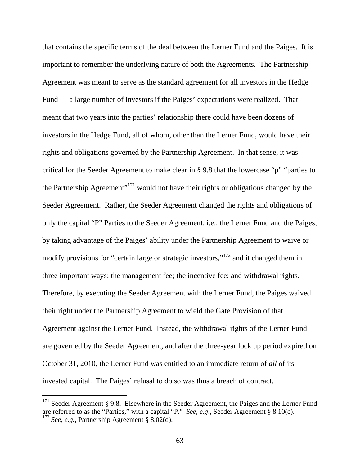that contains the specific terms of the deal between the Lerner Fund and the Paiges. It is important to remember the underlying nature of both the Agreements. The Partnership Agreement was meant to serve as the standard agreement for all investors in the Hedge Fund — a large number of investors if the Paiges' expectations were realized. That meant that two years into the parties' relationship there could have been dozens of investors in the Hedge Fund, all of whom, other than the Lerner Fund, would have their rights and obligations governed by the Partnership Agreement. In that sense, it was critical for the Seeder Agreement to make clear in § 9.8 that the lowercase "p" "parties to the Partnership Agreement"<sup>171</sup> would not have their rights or obligations changed by the Seeder Agreement. Rather, the Seeder Agreement changed the rights and obligations of only the capital "P" Parties to the Seeder Agreement, i.e., the Lerner Fund and the Paiges, by taking advantage of the Paiges' ability under the Partnership Agreement to waive or modify provisions for "certain large or strategic investors,"172 and it changed them in three important ways: the management fee; the incentive fee; and withdrawal rights. Therefore, by executing the Seeder Agreement with the Lerner Fund, the Paiges waived their right under the Partnership Agreement to wield the Gate Provision of that Agreement against the Lerner Fund. Instead, the withdrawal rights of the Lerner Fund are governed by the Seeder Agreement, and after the three-year lock up period expired on October 31, 2010, the Lerner Fund was entitled to an immediate return of *all* of its invested capital. The Paiges' refusal to do so was thus a breach of contract.

 $171$  Seeder Agreement § 9.8. Elsewhere in the Seeder Agreement, the Paiges and the Lerner Fund are referred to as the "Parties," with a capital "P." *See*, *e.g*., Seeder Agreement § 8.10(c). <sup>172</sup> *See, e.g.,* Partnership Agreement § 8.02(d).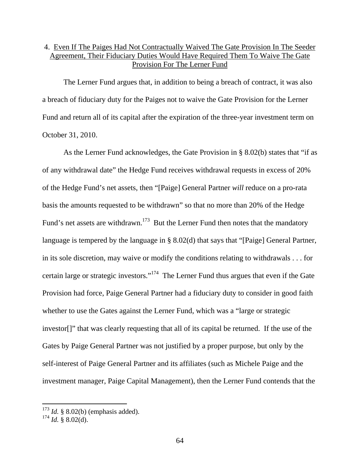## 4. Even If The Paiges Had Not Contractually Waived The Gate Provision In The Seeder Agreement, Their Fiduciary Duties Would Have Required Them To Waive The Gate Provision For The Lerner Fund

The Lerner Fund argues that, in addition to being a breach of contract, it was also a breach of fiduciary duty for the Paiges not to waive the Gate Provision for the Lerner Fund and return all of its capital after the expiration of the three-year investment term on October 31, 2010.

As the Lerner Fund acknowledges, the Gate Provision in § 8.02(b) states that "if as of any withdrawal date" the Hedge Fund receives withdrawal requests in excess of 20% of the Hedge Fund's net assets, then "[Paige] General Partner *will* reduce on a pro-rata basis the amounts requested to be withdrawn" so that no more than 20% of the Hedge Fund's net assets are withdrawn.<sup>173</sup> But the Lerner Fund then notes that the mandatory language is tempered by the language in § 8.02(d) that says that "[Paige] General Partner, in its sole discretion, may waive or modify the conditions relating to withdrawals . . . for certain large or strategic investors."174 The Lerner Fund thus argues that even if the Gate Provision had force, Paige General Partner had a fiduciary duty to consider in good faith whether to use the Gates against the Lerner Fund, which was a "large or strategic investor[]" that was clearly requesting that all of its capital be returned. If the use of the Gates by Paige General Partner was not justified by a proper purpose, but only by the self-interest of Paige General Partner and its affiliates (such as Michele Paige and the investment manager, Paige Capital Management), then the Lerner Fund contends that the

 $173$  *Id.* § 8.02(b) (emphasis added).

 $^{174}$  *Id.* § 8.02(d).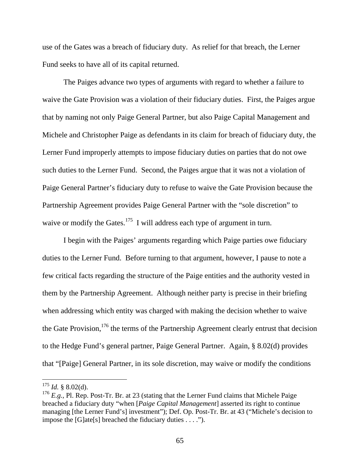use of the Gates was a breach of fiduciary duty. As relief for that breach, the Lerner Fund seeks to have all of its capital returned.

The Paiges advance two types of arguments with regard to whether a failure to waive the Gate Provision was a violation of their fiduciary duties. First, the Paiges argue that by naming not only Paige General Partner, but also Paige Capital Management and Michele and Christopher Paige as defendants in its claim for breach of fiduciary duty, the Lerner Fund improperly attempts to impose fiduciary duties on parties that do not owe such duties to the Lerner Fund. Second, the Paiges argue that it was not a violation of Paige General Partner's fiduciary duty to refuse to waive the Gate Provision because the Partnership Agreement provides Paige General Partner with the "sole discretion" to waive or modify the Gates. $175$  I will address each type of argument in turn.

I begin with the Paiges' arguments regarding which Paige parties owe fiduciary duties to the Lerner Fund. Before turning to that argument, however, I pause to note a few critical facts regarding the structure of the Paige entities and the authority vested in them by the Partnership Agreement. Although neither party is precise in their briefing when addressing which entity was charged with making the decision whether to waive the Gate Provision,  $176$  the terms of the Partnership Agreement clearly entrust that decision to the Hedge Fund's general partner, Paige General Partner. Again, § 8.02(d) provides that "[Paige] General Partner, in its sole discretion, may waive or modify the conditions

 $175$  *Id.* § 8.02(d).

<sup>&</sup>lt;sup>176</sup> *E.g.*, Pl. Rep. Post-Tr. Br. at 23 (stating that the Lerner Fund claims that Michele Paige breached a fiduciary duty "when [*Paige Capital Management*] asserted its right to continue managing [the Lerner Fund's] investment"); Def. Op. Post-Tr. Br. at 43 ("Michele's decision to impose the [G]ate[s] breached the fiduciary duties . . . .").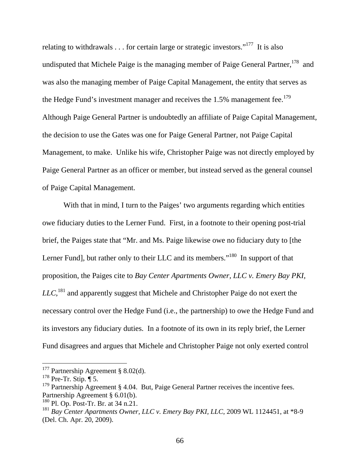relating to withdrawals  $\ldots$  for certain large or strategic investors."<sup>177</sup> It is also undisputed that Michele Paige is the managing member of Paige General Partner,  $178$  and was also the managing member of Paige Capital Management, the entity that serves as the Hedge Fund's investment manager and receives the  $1.5\%$  management fee.<sup>179</sup> Although Paige General Partner is undoubtedly an affiliate of Paige Capital Management, the decision to use the Gates was one for Paige General Partner, not Paige Capital Management, to make. Unlike his wife, Christopher Paige was not directly employed by Paige General Partner as an officer or member, but instead served as the general counsel of Paige Capital Management.

With that in mind, I turn to the Paiges' two arguments regarding which entities owe fiduciary duties to the Lerner Fund. First, in a footnote to their opening post-trial brief, the Paiges state that "Mr. and Ms. Paige likewise owe no fiduciary duty to [the Lerner Fund], but rather only to their LLC and its members."<sup>180</sup> In support of that proposition, the Paiges cite to *Bay Center Apartments Owner, LLC v. Emery Bay PKI, LLC,*181 and apparently suggest that Michele and Christopher Paige do not exert the necessary control over the Hedge Fund (i.e., the partnership) to owe the Hedge Fund and its investors any fiduciary duties. In a footnote of its own in its reply brief, the Lerner Fund disagrees and argues that Michele and Christopher Paige not only exerted control

<sup>&</sup>lt;sup>177</sup> Partnership Agreement § 8.02(d).

 $178$  Pre-Tr. Stip.  $\overline{\P}$  5.

 $179$  Partnership Agreement § 4.04. But, Paige General Partner receives the incentive fees. Partnership Agreement § 6.01(b).

 $180$  Pl. Op. Post-Tr. Br. at 34 n.21.

<sup>181</sup> *Bay Center Apartments Owner, LLC v. Emery Bay PKI, LLC*, 2009 WL 1124451, at \*8-9 (Del. Ch. Apr. 20, 2009).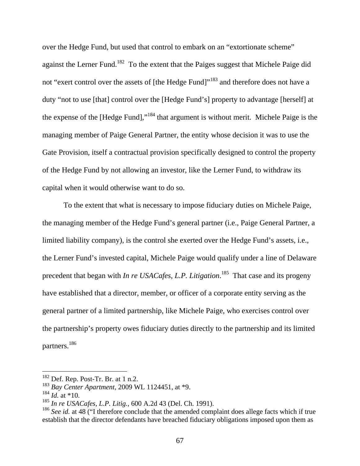over the Hedge Fund, but used that control to embark on an "extortionate scheme" against the Lerner Fund.<sup>182</sup> To the extent that the Paiges suggest that Michele Paige did not "exert control over the assets of [the Hedge Fund]"<sup>183</sup> and therefore does not have a duty "not to use [that] control over the [Hedge Fund's] property to advantage [herself] at the expense of the [Hedge Fund],"184 that argument is without merit. Michele Paige is the managing member of Paige General Partner, the entity whose decision it was to use the Gate Provision, itself a contractual provision specifically designed to control the property of the Hedge Fund by not allowing an investor, like the Lerner Fund, to withdraw its capital when it would otherwise want to do so.

To the extent that what is necessary to impose fiduciary duties on Michele Paige, the managing member of the Hedge Fund's general partner (i.e., Paige General Partner, a limited liability company), is the control she exerted over the Hedge Fund's assets, i.e., the Lerner Fund's invested capital, Michele Paige would qualify under a line of Delaware precedent that began with *In re USACafes, L.P. Litigation*. 185 That case and its progeny have established that a director, member, or officer of a corporate entity serving as the general partner of a limited partnership, like Michele Paige, who exercises control over the partnership's property owes fiduciary duties directly to the partnership and its limited partners.186

 $182$  Def. Rep. Post-Tr. Br. at 1 n.2.

<sup>183</sup> *Bay Center Apartment*, 2009 WL 1124451, at \*9.

 $184$  *Id.* at \*10.

<sup>185</sup> *In re USACafes, L.P. Litig.*, 600 A.2d 43 (Del. Ch. 1991).

<sup>186</sup> *See id.* at 48 ("I therefore conclude that the amended complaint does allege facts which if true establish that the director defendants have breached fiduciary obligations imposed upon them as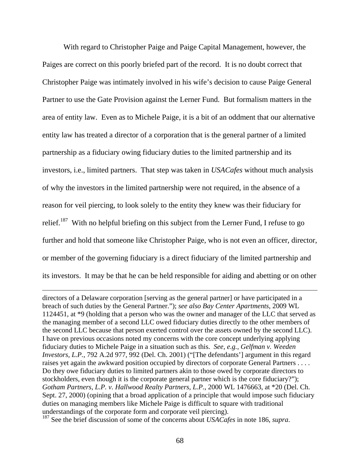With regard to Christopher Paige and Paige Capital Management, however, the Paiges are correct on this poorly briefed part of the record. It is no doubt correct that Christopher Paige was intimately involved in his wife's decision to cause Paige General Partner to use the Gate Provision against the Lerner Fund. But formalism matters in the area of entity law. Even as to Michele Paige, it is a bit of an oddment that our alternative entity law has treated a director of a corporation that is the general partner of a limited partnership as a fiduciary owing fiduciary duties to the limited partnership and its investors, i.e., limited partners. That step was taken in *USACafes* without much analysis of why the investors in the limited partnership were not required, in the absence of a reason for veil piercing, to look solely to the entity they knew was their fiduciary for relief.<sup>187</sup> With no helpful briefing on this subject from the Lerner Fund, I refuse to go further and hold that someone like Christopher Paige, who is not even an officer, director, or member of the governing fiduciary is a direct fiduciary of the limited partnership and its investors. It may be that he can be held responsible for aiding and abetting or on other

directors of a Delaware corporation [serving as the general partner] or have participated in a breach of such duties by the General Partner."); *see also Bay Center Apartments*, 2009 WL 1124451, at \*9 (holding that a person who was the owner and manager of the LLC that served as the managing member of a second LLC owed fiduciary duties directly to the other members of the second LLC because that person exerted control over the assets owned by the second LLC). I have on previous occasions noted my concerns with the core concept underlying applying fiduciary duties to Michele Paige in a situation such as this. *See, e.g., Gelfman v. Weeden Investors, L.P.*, 792 A.2d 977, 992 (Del. Ch. 2001) ("[The defendants'] argument in this regard raises yet again the awkward position occupied by directors of corporate General Partners . . . . Do they owe fiduciary duties to limited partners akin to those owed by corporate directors to stockholders, even though it is the corporate general partner which is the core fiduciary?"); *Gotham Partners, L.P. v. Hallwood Realty Partners, L.P.*, 2000 WL 1476663, at \*20 (Del. Ch. Sept. 27, 2000) (opining that a broad application of a principle that would impose such fiduciary duties on managing members like Michele Paige is difficult to square with traditional understandings of the corporate form and corporate veil piercing).

187 See the brief discussion of some of the concerns about *USACafes* in note 186, *supra*.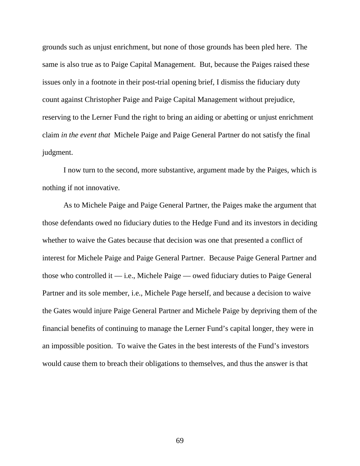grounds such as unjust enrichment, but none of those grounds has been pled here. The same is also true as to Paige Capital Management. But, because the Paiges raised these issues only in a footnote in their post-trial opening brief, I dismiss the fiduciary duty count against Christopher Paige and Paige Capital Management without prejudice, reserving to the Lerner Fund the right to bring an aiding or abetting or unjust enrichment claim *in the event that* Michele Paige and Paige General Partner do not satisfy the final judgment.

I now turn to the second, more substantive, argument made by the Paiges, which is nothing if not innovative.

As to Michele Paige and Paige General Partner, the Paiges make the argument that those defendants owed no fiduciary duties to the Hedge Fund and its investors in deciding whether to waive the Gates because that decision was one that presented a conflict of interest for Michele Paige and Paige General Partner. Because Paige General Partner and those who controlled it  $-$  i.e., Michele Paige  $-$  owed fiduciary duties to Paige General Partner and its sole member, i.e., Michele Page herself, and because a decision to waive the Gates would injure Paige General Partner and Michele Paige by depriving them of the financial benefits of continuing to manage the Lerner Fund's capital longer, they were in an impossible position. To waive the Gates in the best interests of the Fund's investors would cause them to breach their obligations to themselves, and thus the answer is that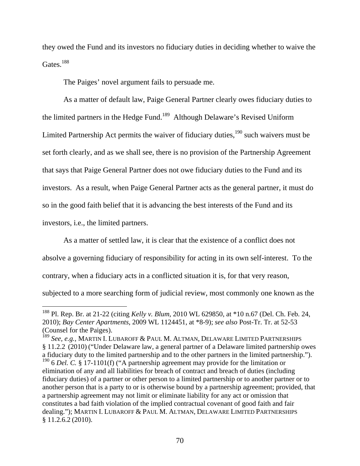they owed the Fund and its investors no fiduciary duties in deciding whether to waive the Gates.<sup>188</sup>

The Paiges' novel argument fails to persuade me.

As a matter of default law, Paige General Partner clearly owes fiduciary duties to the limited partners in the Hedge Fund.<sup>189</sup> Although Delaware's Revised Uniform Limited Partnership Act permits the waiver of fiduciary duties, $190$  such waivers must be set forth clearly, and as we shall see, there is no provision of the Partnership Agreement that says that Paige General Partner does not owe fiduciary duties to the Fund and its investors. As a result, when Paige General Partner acts as the general partner, it must do so in the good faith belief that it is advancing the best interests of the Fund and its investors, i.e., the limited partners.

As a matter of settled law, it is clear that the existence of a conflict does not absolve a governing fiduciary of responsibility for acting in its own self-interest. To the contrary, when a fiduciary acts in a conflicted situation it is, for that very reason, subjected to a more searching form of judicial review, most commonly one known as the

<sup>188</sup> Pl. Rep. Br. at 21-22 (citing *Kelly v. Blum*, 2010 WL 629850, at \*10 n.67 (Del. Ch. Feb. 24, 2010); *Bay Center Apartments*, 2009 WL 1124451, at \*8-9); *see also* Post-Tr. Tr. at 52-53 (Counsel for the Paiges).

<sup>189</sup> *See, e.g.,* MARTIN I. LUBAROFF & PAUL M. ALTMAN, DELAWARE LIMITED PARTNERSHIPS § 11.2.2 (2010) ("Under Delaware law, a general partner of a Delaware limited partnership owes a fiduciary duty to the limited partnership and to the other partners in the limited partnership."). <sup>190</sup> 6 *Del. C.* § 17-1101(f) ("A partnership agreement may provide for the limitation or elimination of any and all liabilities for breach of contract and breach of duties (including fiduciary duties) of a partner or other person to a limited partnership or to another partner or to another person that is a party to or is otherwise bound by a partnership agreement; provided, that a partnership agreement may not limit or eliminate liability for any act or omission that constitutes a bad faith violation of the implied contractual covenant of good faith and fair dealing."); MARTIN I. LUBAROFF & PAUL M. ALTMAN, DELAWARE LIMITED PARTNERSHIPS § 11.2.6.2 (2010).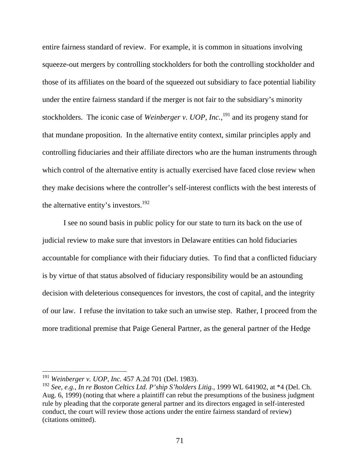entire fairness standard of review. For example, it is common in situations involving squeeze-out mergers by controlling stockholders for both the controlling stockholder and those of its affiliates on the board of the squeezed out subsidiary to face potential liability under the entire fairness standard if the merger is not fair to the subsidiary's minority stockholders. The iconic case of *Weinberger v. UOP, Inc.*,<sup>191</sup> and its progeny stand for that mundane proposition. In the alternative entity context, similar principles apply and controlling fiduciaries and their affiliate directors who are the human instruments through which control of the alternative entity is actually exercised have faced close review when they make decisions where the controller's self-interest conflicts with the best interests of the alternative entity's investors.<sup>192</sup>

I see no sound basis in public policy for our state to turn its back on the use of judicial review to make sure that investors in Delaware entities can hold fiduciaries accountable for compliance with their fiduciary duties. To find that a conflicted fiduciary is by virtue of that status absolved of fiduciary responsibility would be an astounding decision with deleterious consequences for investors, the cost of capital, and the integrity of our law. I refuse the invitation to take such an unwise step. Rather, I proceed from the more traditional premise that Paige General Partner, as the general partner of the Hedge

<sup>191</sup> *Weinberger v. UOP, Inc.* 457 A.2d 701 (Del. 1983).

<sup>192</sup> *See, e.g., In re Boston Celtics Ltd. P'ship S'holders Litig.*, 1999 WL 641902, at \*4 (Del. Ch. Aug. 6, 1999) (noting that where a plaintiff can rebut the presumptions of the business judgment rule by pleading that the corporate general partner and its directors engaged in self-interested conduct, the court will review those actions under the entire fairness standard of review) (citations omitted).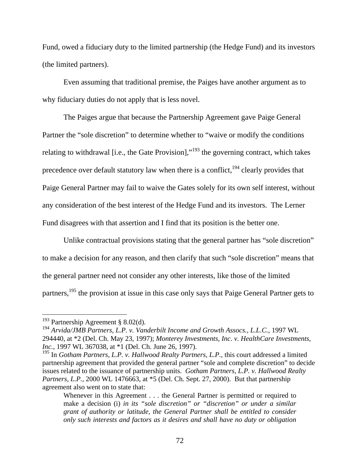Fund, owed a fiduciary duty to the limited partnership (the Hedge Fund) and its investors (the limited partners).

Even assuming that traditional premise, the Paiges have another argument as to why fiduciary duties do not apply that is less novel.

The Paiges argue that because the Partnership Agreement gave Paige General Partner the "sole discretion" to determine whether to "waive or modify the conditions relating to withdrawal [i.e., the Gate Provision],"<sup>193</sup> the governing contract, which takes precedence over default statutory law when there is a conflict,  $194$  clearly provides that Paige General Partner may fail to waive the Gates solely for its own self interest, without any consideration of the best interest of the Hedge Fund and its investors. The Lerner Fund disagrees with that assertion and I find that its position is the better one.

Unlike contractual provisions stating that the general partner has "sole discretion" to make a decision for any reason, and then clarify that such "sole discretion" means that the general partner need not consider any other interests, like those of the limited partners,<sup>195</sup> the provision at issue in this case only says that Paige General Partner gets to

<sup>&</sup>lt;sup>193</sup> Partnership Agreement § 8.02(d).

<sup>194</sup> *Arvida/JMB Partners, L.P. v. Vanderbilt Income and Growth Assocs., L.L.C.*, 1997 WL 294440, at \*2 (Del. Ch. May 23, 1997); *Monterey Investments, Inc. v. HealthCare Investments, Inc.*, 1997 WL 367038, at \*1 (Del. Ch. June 26, 1997).

<sup>&</sup>lt;sup>195</sup> In *Gotham Partners, L.P. v. Hallwood Realty Partners, L.P.*, this court addressed a limited partnership agreement that provided the general partner "sole and complete discretion" to decide issues related to the issuance of partnership units. *Gotham Partners, L.P. v. Hallwood Realty Partners, L.P.*, 2000 WL 1476663, at \*5 (Del. Ch. Sept. 27, 2000). But that partnership agreement also went on to state that:

Whenever in this Agreement . . . the General Partner is permitted or required to make a decision (i) *in its "sole discretion" or "discretion" or under a similar grant of authority or latitude, the General Partner shall be entitled to consider only such interests and factors as it desires and shall have no duty or obligation*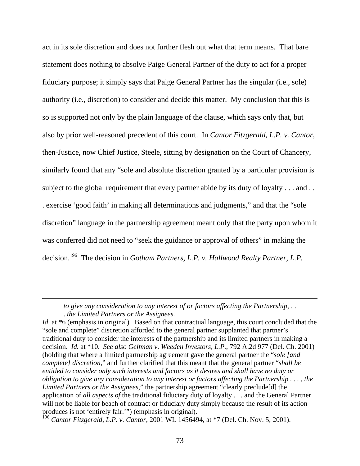act in its sole discretion and does not further flesh out what that term means. That bare statement does nothing to absolve Paige General Partner of the duty to act for a proper fiduciary purpose; it simply says that Paige General Partner has the singular (i.e., sole) authority (i.e., discretion) to consider and decide this matter. My conclusion that this is so is supported not only by the plain language of the clause, which says only that, but also by prior well-reasoned precedent of this court. In *Cantor Fitzgerald, L.P. v. Cantor*, then-Justice, now Chief Justice, Steele, sitting by designation on the Court of Chancery, similarly found that any "sole and absolute discretion granted by a particular provision is subject to the global requirement that every partner abide by its duty of loyalty . . . and . . . exercise 'good faith' in making all determinations and judgments," and that the "sole discretion" language in the partnership agreement meant only that the party upon whom it was conferred did not need to "seek the guidance or approval of others" in making the decision.196 The decision in *Gotham Partners, L.P. v. Hallwood Realty Partner, L.P.* 

*to give any consideration to any interest of or factors affecting the Partnership,* . . . *the Limited Partners or the Assignees.* 

 $\overline{a}$ 

*Id.* at \*6 (emphasis in original). Based on that contractual language, this court concluded that the "sole and complete" discretion afforded to the general partner supplanted that partner's traditional duty to consider the interests of the partnership and its limited partners in making a decision. *Id.* at \*10. *See also Gelfman v. Weeden Investors, L.P.*, 792 A.2d 977 (Del. Ch. 2001) (holding that where a limited partnership agreement gave the general partner the "*sole [and complete] discretion*," and further clarified that this meant that the general partner "*shall be entitled to consider only such interests and factors as it desires and shall have no duty or obligation to give any consideration to any interest or factors affecting the Partnership . . . , the Limited Partners or the Assignees*," the partnership agreement "clearly preclude[d] the application of *all aspects of* the traditional fiduciary duty of loyalty . . . and the General Partner will not be liable for beach of contract or fiduciary duty simply because the result of its action produces is not 'entirely fair.'") (emphasis in original).

<sup>196</sup> *Cantor Fitzgerald*, *L.P. v. Cantor*, 2001 WL 1456494, at \*7 (Del. Ch. Nov. 5, 2001).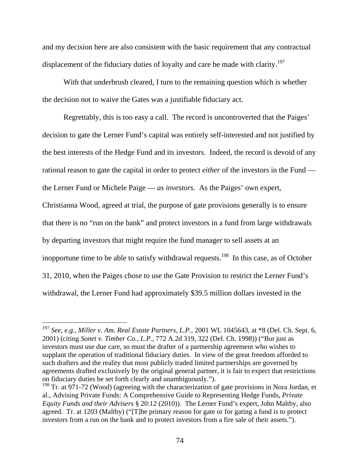and my decision here are also consistent with the basic requirement that any contractual displacement of the fiduciary duties of loyalty and care be made with clarity.<sup>197</sup>

With that underbrush cleared, I turn to the remaining question which is whether the decision not to waive the Gates was a justifiable fiduciary act.

Regrettably, this is too easy a call. The record is uncontroverted that the Paiges' decision to gate the Lerner Fund's capital was entirely self-interested and not justified by the best interests of the Hedge Fund and its investors. Indeed, the record is devoid of any rational reason to gate the capital in order to protect *either* of the investors in the Fund the Lerner Fund or Michele Paige — *as investors*. As the Paiges' own expert, Christianna Wood, agreed at trial, the purpose of gate provisions generally is to ensure that there is no "run on the bank" and protect investors in a fund from large withdrawals by departing investors that might require the fund manager to sell assets at an inopportune time to be able to satisfy withdrawal requests.<sup>198</sup> In this case, as of October 31, 2010, when the Paiges chose to use the Gate Provision to restrict the Lerner Fund's withdrawal, the Lerner Fund had approximately \$39.5 million dollars invested in the

<sup>197</sup> *See, e.g., Miller v. Am. Real Estate Partners, L.P.*, 2001 WL 1045643, at \*8 (Del. Ch. Sept. 6, 2001) (citing *Sonet v. Timber Co., L.P.*, 772 A.2d 319, 322 (Del. Ch. 1998)) ("But just as investors must use due care, so must the drafter of a partnership agreement who wishes to supplant the operation of traditional fiduciary duties. In view of the great freedom afforded to such drafters and the reality that most publicly traded limited partnerships are governed by agreements drafted exclusively by the original general partner, it is fair to expect that restrictions on fiduciary duties be set forth clearly and unambiguously.").

<sup>&</sup>lt;sup>198</sup> Tr. at 971-72 (Wood) (agreeing with the characterization of gate provisions in Nora Jordan, et al., Advising Private Funds: A Comprehensive Guide to Representing Hedge Funds, *Private Equity Funds and their Advisers* § 20:12 (2010)). The Lerner Fund's expert, John Maltby, also agreed. Tr. at 1203 (Maltby) ("[T]he primary reason for gate or for gating a fund is to protect investors from a run on the bank and to protect investors from a fire sale of their assets.").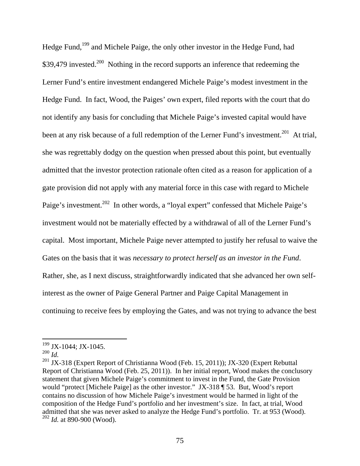Hedge Fund,199 and Michele Paige, the only other investor in the Hedge Fund, had \$39,479 invested.<sup>200</sup> Nothing in the record supports an inference that redeeming the Lerner Fund's entire investment endangered Michele Paige's modest investment in the Hedge Fund. In fact, Wood, the Paiges' own expert, filed reports with the court that do not identify any basis for concluding that Michele Paige's invested capital would have been at any risk because of a full redemption of the Lerner Fund's investment.<sup>201</sup> At trial, she was regrettably dodgy on the question when pressed about this point, but eventually admitted that the investor protection rationale often cited as a reason for application of a gate provision did not apply with any material force in this case with regard to Michele Paige's investment.<sup>202</sup> In other words, a "loyal expert" confessed that Michele Paige's investment would not be materially effected by a withdrawal of all of the Lerner Fund's capital. Most important, Michele Paige never attempted to justify her refusal to waive the Gates on the basis that it was *necessary to protect herself as an investor in the Fund*. Rather, she, as I next discuss, straightforwardly indicated that she advanced her own selfinterest as the owner of Paige General Partner and Paige Capital Management in continuing to receive fees by employing the Gates, and was not trying to advance the best

<sup>&</sup>lt;sup>199</sup> JX-1044; JX-1045.

<sup>200</sup> *Id.*

<sup>&</sup>lt;sup>201</sup> JX-318 (Expert Report of Christianna Wood (Feb. 15, 2011)); JX-320 (Expert Rebuttal Report of Christianna Wood (Feb. 25, 2011)). In her initial report, Wood makes the conclusory statement that given Michele Paige's commitment to invest in the Fund, the Gate Provision would "protect [Michele Paige] as the other investor." JX-318 ¶ 53. But, Wood's report contains no discussion of how Michele Paige's investment would be harmed in light of the composition of the Hedge Fund's portfolio and her investment's size. In fact, at trial, Wood admitted that she was never asked to analyze the Hedge Fund's portfolio. Tr. at 953 (Wood). <sup>202</sup> *Id.* at 890-900 (Wood).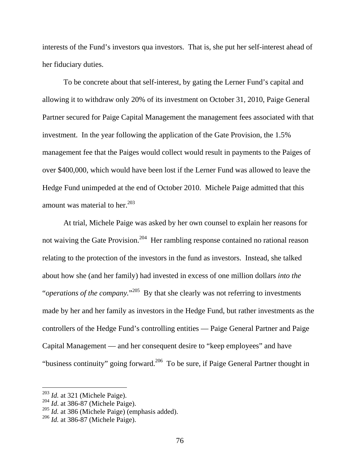interests of the Fund's investors qua investors. That is, she put her self-interest ahead of her fiduciary duties.

To be concrete about that self-interest, by gating the Lerner Fund's capital and allowing it to withdraw only 20% of its investment on October 31, 2010, Paige General Partner secured for Paige Capital Management the management fees associated with that investment. In the year following the application of the Gate Provision, the 1.5% management fee that the Paiges would collect would result in payments to the Paiges of over \$400,000, which would have been lost if the Lerner Fund was allowed to leave the Hedge Fund unimpeded at the end of October 2010. Michele Paige admitted that this amount was material to her. $^{203}$ 

At trial, Michele Paige was asked by her own counsel to explain her reasons for not waiving the Gate Provision.<sup>204</sup> Her rambling response contained no rational reason relating to the protection of the investors in the fund as investors. Instead, she talked about how she (and her family) had invested in excess of one million dollars *into the*  "*operations of the company*."<sup>205</sup> By that she clearly was not referring to investments made by her and her family as investors in the Hedge Fund, but rather investments as the controllers of the Hedge Fund's controlling entities — Paige General Partner and Paige Capital Management — and her consequent desire to "keep employees" and have "business continuity" going forward.<sup>206</sup> To be sure, if Paige General Partner thought in

<sup>&</sup>lt;sup>203</sup> *Id.* at 321 (Michele Paige).

<sup>&</sup>lt;sup>204</sup> *Id.* at 386-87 (Michele Paige).

<sup>205</sup> *Id.* at 386 (Michele Paige) (emphasis added).

<sup>206</sup> *Id.* at 386-87 (Michele Paige).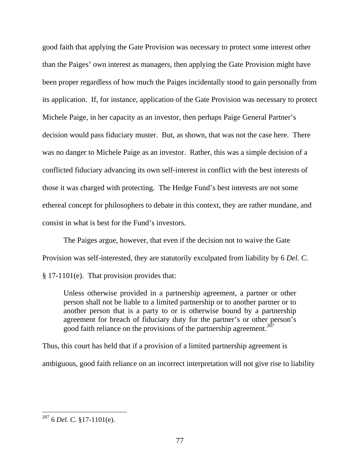good faith that applying the Gate Provision was necessary to protect some interest other than the Paiges' own interest as managers, then applying the Gate Provision might have been proper regardless of how much the Paiges incidentally stood to gain personally from its application. If, for instance, application of the Gate Provision was necessary to protect Michele Paige, in her capacity as an investor, then perhaps Paige General Partner's decision would pass fiduciary muster. But, as shown, that was not the case here. There was no danger to Michele Paige as an investor. Rather, this was a simple decision of a conflicted fiduciary advancing its own self-interest in conflict with the best interests of those it was charged with protecting. The Hedge Fund's best interests are not some ethereal concept for philosophers to debate in this context, they are rather mundane, and consist in what is best for the Fund's investors.

The Paiges argue, however, that even if the decision not to waive the Gate Provision was self-interested, they are statutorily exculpated from liability by 6 *Del. C.* § 17-1101(e). That provision provides that:

Unless otherwise provided in a partnership agreement, a partner or other person shall not be liable to a limited partnership or to another partner or to another person that is a party to or is otherwise bound by a partnership agreement for breach of fiduciary duty for the partner's or other person's good faith reliance on the provisions of the partnership agreement.<sup>207</sup>

Thus, this court has held that if a provision of a limited partnership agreement is ambiguous, good faith reliance on an incorrect interpretation will not give rise to liability

 $\overline{a}$ 207 6 *Del. C.* §17-1101(e).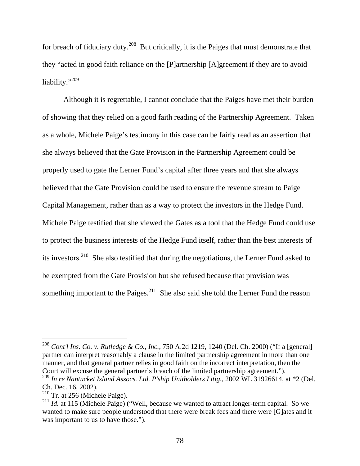for breach of fiduciary duty.<sup>208</sup> But critically, it is the Paiges that must demonstrate that they "acted in good faith reliance on the [P]artnership [A]greement if they are to avoid liability."<sup>209</sup>

Although it is regrettable, I cannot conclude that the Paiges have met their burden of showing that they relied on a good faith reading of the Partnership Agreement. Taken as a whole, Michele Paige's testimony in this case can be fairly read as an assertion that she always believed that the Gate Provision in the Partnership Agreement could be properly used to gate the Lerner Fund's capital after three years and that she always believed that the Gate Provision could be used to ensure the revenue stream to Paige Capital Management, rather than as a way to protect the investors in the Hedge Fund. Michele Paige testified that she viewed the Gates as a tool that the Hedge Fund could use to protect the business interests of the Hedge Fund itself, rather than the best interests of its investors.210 She also testified that during the negotiations, the Lerner Fund asked to be exempted from the Gate Provision but she refused because that provision was something important to the Paiges. $^{211}$  She also said she told the Lerner Fund the reason

<sup>208</sup> *Cont'l Ins. Co. v. Rutledge & Co., Inc.*, 750 A.2d 1219, 1240 (Del. Ch. 2000) ("If a [general] partner can interpret reasonably a clause in the limited partnership agreement in more than one manner, and that general partner relies in good faith on the incorrect interpretation, then the Court will excuse the general partner's breach of the limited partnership agreement.").

<sup>209</sup> *In re Nantucket Island Assocs. Ltd. P'ship Unitholders Litig.*, 2002 WL 31926614, at \*2 (Del. Ch. Dec. 16, 2002).

<sup>210</sup> Tr. at 256 (Michele Paige).

<sup>&</sup>lt;sup>211</sup> *Id.* at 115 (Michele Paige) ("Well, because we wanted to attract longer-term capital. So we wanted to make sure people understood that there were break fees and there were [G]ates and it was important to us to have those.").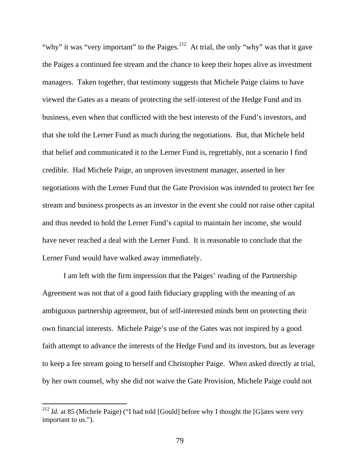"why" it was "very important" to the Paiges.<sup>212</sup> At trial, the only "why" was that it gave the Paiges a continued fee stream and the chance to keep their hopes alive as investment managers. Taken together, that testimony suggests that Michele Paige claims to have viewed the Gates as a means of protecting the self-interest of the Hedge Fund and its business, even when that conflicted with the best interests of the Fund's investors, and that she told the Lerner Fund as much during the negotiations. But, that Michele held that belief and communicated it to the Lerner Fund is, regrettably, not a scenario I find credible. Had Michele Paige, an unproven investment manager, asserted in her negotiations with the Lerner Fund that the Gate Provision was intended to protect her fee stream and business prospects as an investor in the event she could not raise other capital and thus needed to hold the Lerner Fund's capital to maintain her income, she would have never reached a deal with the Lerner Fund. It is reasonable to conclude that the Lerner Fund would have walked away immediately.

I am left with the firm impression that the Paiges' reading of the Partnership Agreement was not that of a good faith fiduciary grappling with the meaning of an ambiguous partnership agreement, but of self-interested minds bent on protecting their own financial interests. Michele Paige's use of the Gates was not inspired by a good faith attempt to advance the interests of the Hedge Fund and its investors, but as leverage to keep a fee stream going to herself and Christopher Paige. When asked directly at trial, by her own counsel, why she did not waive the Gate Provision, Michele Paige could not

<sup>&</sup>lt;sup>212</sup> *Id.* at 85 (Michele Paige) ("I had told [Gould] before why I thought the [G]ates were very important to us.").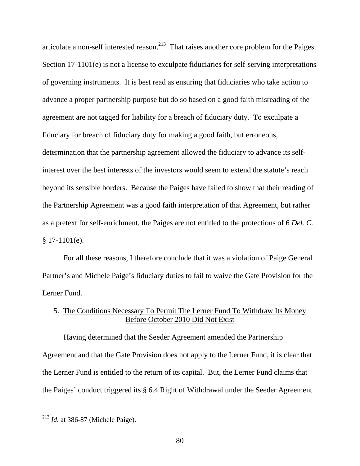articulate a non-self interested reason.<sup>213</sup> That raises another core problem for the Paiges. Section 17-1101(e) is not a license to exculpate fiduciaries for self-serving interpretations of governing instruments. It is best read as ensuring that fiduciaries who take action to advance a proper partnership purpose but do so based on a good faith misreading of the agreement are not tagged for liability for a breach of fiduciary duty. To exculpate a fiduciary for breach of fiduciary duty for making a good faith, but erroneous, determination that the partnership agreement allowed the fiduciary to advance its selfinterest over the best interests of the investors would seem to extend the statute's reach beyond its sensible borders. Because the Paiges have failed to show that their reading of the Partnership Agreement was a good faith interpretation of that Agreement, but rather as a pretext for self-enrichment, the Paiges are not entitled to the protections of 6 *Del. C.* § 17-1101(e).

For all these reasons, I therefore conclude that it was a violation of Paige General Partner's and Michele Paige's fiduciary duties to fail to waive the Gate Provision for the Lerner Fund.

# 5. The Conditions Necessary To Permit The Lerner Fund To Withdraw Its Money Before October 2010 Did Not Exist

Having determined that the Seeder Agreement amended the Partnership Agreement and that the Gate Provision does not apply to the Lerner Fund, it is clear that the Lerner Fund is entitled to the return of its capital. But, the Lerner Fund claims that the Paiges' conduct triggered its § 6.4 Right of Withdrawal under the Seeder Agreement

<sup>&</sup>lt;sup>213</sup> *Id.* at 386-87 (Michele Paige).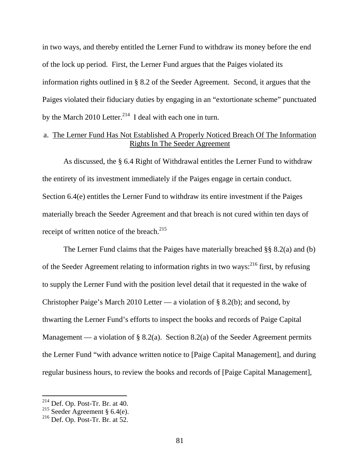in two ways, and thereby entitled the Lerner Fund to withdraw its money before the end of the lock up period. First, the Lerner Fund argues that the Paiges violated its information rights outlined in § 8.2 of the Seeder Agreement. Second, it argues that the Paiges violated their fiduciary duties by engaging in an "extortionate scheme" punctuated by the March 2010 Letter.<sup>214</sup> I deal with each one in turn.

## a. The Lerner Fund Has Not Established A Properly Noticed Breach Of The Information Rights In The Seeder Agreement

As discussed, the § 6.4 Right of Withdrawal entitles the Lerner Fund to withdraw the entirety of its investment immediately if the Paiges engage in certain conduct. Section 6.4(e) entitles the Lerner Fund to withdraw its entire investment if the Paiges materially breach the Seeder Agreement and that breach is not cured within ten days of receipt of written notice of the breach. $^{215}$ 

The Lerner Fund claims that the Paiges have materially breached §§ 8.2(a) and (b) of the Seeder Agreement relating to information rights in two ways:  $^{216}$  first, by refusing to supply the Lerner Fund with the position level detail that it requested in the wake of Christopher Paige's March 2010 Letter — a violation of § 8.2(b); and second, by thwarting the Lerner Fund's efforts to inspect the books and records of Paige Capital Management — a violation of § 8.2(a). Section 8.2(a) of the Seeder Agreement permits the Lerner Fund "with advance written notice to [Paige Capital Management], and during regular business hours, to review the books and records of [Paige Capital Management],

 $214$  Def. Op. Post-Tr. Br. at 40.

<sup>&</sup>lt;sup>215</sup> Seeder Agreement § 6.4(e).

 $216$  Def. Op. Post-Tr. Br. at 52.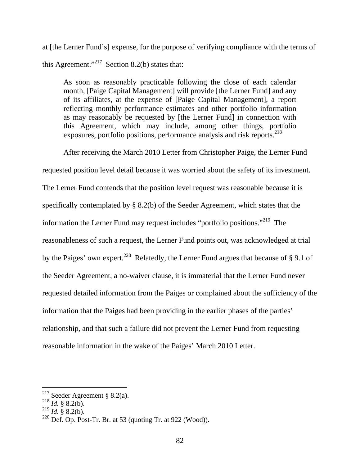at [the Lerner Fund's] expense, for the purpose of verifying compliance with the terms of this Agreement."<sup>217</sup> Section 8.2(b) states that:

As soon as reasonably practicable following the close of each calendar month, [Paige Capital Management] will provide [the Lerner Fund] and any of its affiliates, at the expense of [Paige Capital Management], a report reflecting monthly performance estimates and other portfolio information as may reasonably be requested by [the Lerner Fund] in connection with this Agreement, which may include, among other things, portfolio exposures, portfolio positions, performance analysis and risk reports.<sup>218</sup>

After receiving the March 2010 Letter from Christopher Paige, the Lerner Fund

requested position level detail because it was worried about the safety of its investment. The Lerner Fund contends that the position level request was reasonable because it is specifically contemplated by § 8.2(b) of the Seeder Agreement, which states that the information the Lerner Fund may request includes "portfolio positions."219 The reasonableness of such a request, the Lerner Fund points out, was acknowledged at trial by the Paiges' own expert.<sup>220</sup> Relatedly, the Lerner Fund argues that because of § 9.1 of the Seeder Agreement, a no-waiver clause, it is immaterial that the Lerner Fund never requested detailed information from the Paiges or complained about the sufficiency of the information that the Paiges had been providing in the earlier phases of the parties' relationship, and that such a failure did not prevent the Lerner Fund from requesting reasonable information in the wake of the Paiges' March 2010 Letter.

<sup>&</sup>lt;sup>217</sup> Seeder Agreement § 8.2(a).

 $^{218}$  *Id.* § 8.2(b).

 $^{219}$  *Id.* § 8.2(b).

 $220$  Def. Op. Post-Tr. Br. at 53 (quoting Tr. at 922 (Wood)).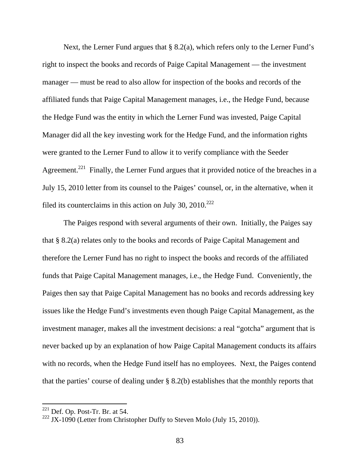Next, the Lerner Fund argues that § 8.2(a), which refers only to the Lerner Fund's right to inspect the books and records of Paige Capital Management — the investment manager — must be read to also allow for inspection of the books and records of the affiliated funds that Paige Capital Management manages, i.e., the Hedge Fund, because the Hedge Fund was the entity in which the Lerner Fund was invested, Paige Capital Manager did all the key investing work for the Hedge Fund, and the information rights were granted to the Lerner Fund to allow it to verify compliance with the Seeder Agreement.<sup>221</sup> Finally, the Lerner Fund argues that it provided notice of the breaches in a July 15, 2010 letter from its counsel to the Paiges' counsel, or, in the alternative, when it filed its counterclaims in this action on July 30,  $2010^{222}$ 

 The Paiges respond with several arguments of their own. Initially, the Paiges say that § 8.2(a) relates only to the books and records of Paige Capital Management and therefore the Lerner Fund has no right to inspect the books and records of the affiliated funds that Paige Capital Management manages, i.e., the Hedge Fund. Conveniently, the Paiges then say that Paige Capital Management has no books and records addressing key issues like the Hedge Fund's investments even though Paige Capital Management, as the investment manager, makes all the investment decisions: a real "gotcha" argument that is never backed up by an explanation of how Paige Capital Management conducts its affairs with no records, when the Hedge Fund itself has no employees. Next, the Paiges contend that the parties' course of dealing under § 8.2(b) establishes that the monthly reports that

 $221$  Def. Op. Post-Tr. Br. at 54.

<sup>&</sup>lt;sup>222</sup> JX-1090 (Letter from Christopher Duffy to Steven Molo (July 15, 2010)).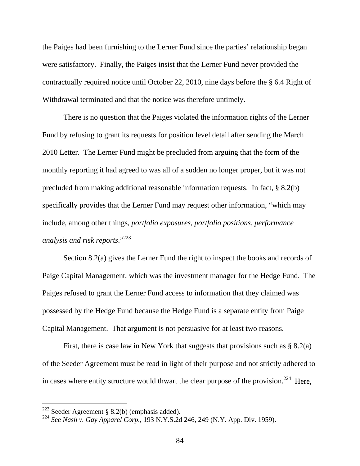the Paiges had been furnishing to the Lerner Fund since the parties' relationship began were satisfactory. Finally, the Paiges insist that the Lerner Fund never provided the contractually required notice until October 22, 2010, nine days before the § 6.4 Right of Withdrawal terminated and that the notice was therefore untimely.

There is no question that the Paiges violated the information rights of the Lerner Fund by refusing to grant its requests for position level detail after sending the March 2010 Letter. The Lerner Fund might be precluded from arguing that the form of the monthly reporting it had agreed to was all of a sudden no longer proper, but it was not precluded from making additional reasonable information requests. In fact, § 8.2(b) specifically provides that the Lerner Fund may request other information, "which may include, among other things*, portfolio exposures, portfolio positions, performance analysis and risk reports*."<sup>223</sup>

Section 8.2(a) gives the Lerner Fund the right to inspect the books and records of Paige Capital Management, which was the investment manager for the Hedge Fund. The Paiges refused to grant the Lerner Fund access to information that they claimed was possessed by the Hedge Fund because the Hedge Fund is a separate entity from Paige Capital Management. That argument is not persuasive for at least two reasons.

First, there is case law in New York that suggests that provisions such as § 8.2(a) of the Seeder Agreement must be read in light of their purpose and not strictly adhered to in cases where entity structure would thwart the clear purpose of the provision.<sup>224</sup> Here,

<sup>&</sup>lt;sup>223</sup> Seeder Agreement § 8.2(b) (emphasis added).

<sup>224</sup> *See Nash v. Gay Apparel Corp.*, 193 N.Y.S.2d 246, 249 (N.Y. App. Div. 1959).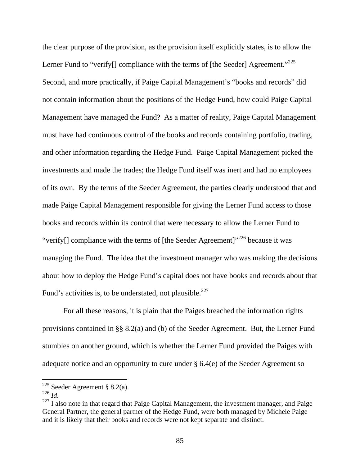the clear purpose of the provision, as the provision itself explicitly states, is to allow the Lerner Fund to "verify $\lceil \cdot \rceil$  compliance with the terms of  $\lceil \cdot \rceil$  (the Seeder) Agreement."<sup>225</sup> Second, and more practically, if Paige Capital Management's "books and records" did not contain information about the positions of the Hedge Fund, how could Paige Capital Management have managed the Fund? As a matter of reality, Paige Capital Management must have had continuous control of the books and records containing portfolio, trading, and other information regarding the Hedge Fund. Paige Capital Management picked the investments and made the trades; the Hedge Fund itself was inert and had no employees of its own. By the terms of the Seeder Agreement, the parties clearly understood that and made Paige Capital Management responsible for giving the Lerner Fund access to those books and records within its control that were necessary to allow the Lerner Fund to "verify $\lceil \cdot \rceil$  compliance with the terms of  $\lceil \cdot \rceil$  (the Seeder Agreement)"<sup>226</sup> because it was managing the Fund. The idea that the investment manager who was making the decisions about how to deploy the Hedge Fund's capital does not have books and records about that Fund's activities is, to be understated, not plausible.<sup>227</sup>

For all these reasons, it is plain that the Paiges breached the information rights provisions contained in §§ 8.2(a) and (b) of the Seeder Agreement. But, the Lerner Fund stumbles on another ground, which is whether the Lerner Fund provided the Paiges with adequate notice and an opportunity to cure under § 6.4(e) of the Seeder Agreement so

<sup>&</sup>lt;sup>225</sup> Seeder Agreement § 8.2(a).

<sup>226</sup> *Id.*

 $227$  I also note in that regard that Paige Capital Management, the investment manager, and Paige General Partner, the general partner of the Hedge Fund, were both managed by Michele Paige and it is likely that their books and records were not kept separate and distinct.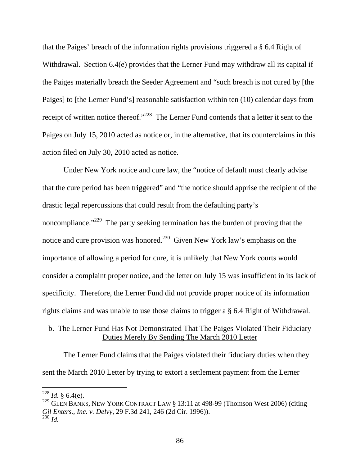that the Paiges' breach of the information rights provisions triggered a § 6.4 Right of Withdrawal. Section 6.4(e) provides that the Lerner Fund may withdraw all its capital if the Paiges materially breach the Seeder Agreement and "such breach is not cured by [the Paiges] to [the Lerner Fund's] reasonable satisfaction within ten (10) calendar days from receipt of written notice thereof."<sup>228</sup> The Lerner Fund contends that a letter it sent to the Paiges on July 15, 2010 acted as notice or, in the alternative, that its counterclaims in this action filed on July 30, 2010 acted as notice.

Under New York notice and cure law, the "notice of default must clearly advise that the cure period has been triggered" and "the notice should apprise the recipient of the drastic legal repercussions that could result from the defaulting party's noncompliance."<sup>229</sup> The party seeking termination has the burden of proving that the notice and cure provision was honored.<sup>230</sup> Given New York law's emphasis on the importance of allowing a period for cure, it is unlikely that New York courts would consider a complaint proper notice, and the letter on July 15 was insufficient in its lack of specificity. Therefore, the Lerner Fund did not provide proper notice of its information rights claims and was unable to use those claims to trigger a § 6.4 Right of Withdrawal.

## b. The Lerner Fund Has Not Demonstrated That The Paiges Violated Their Fiduciary Duties Merely By Sending The March 2010 Letter

The Lerner Fund claims that the Paiges violated their fiduciary duties when they sent the March 2010 Letter by trying to extort a settlement payment from the Lerner

 $^{228}$  *Id.* § 6.4(e).

<sup>&</sup>lt;sup>229</sup> GLEN BANKS, NEW YORK CONTRACT LAW § 13:11 at 498-99 (Thomson West 2006) (citing *Gil Enters., Inc. v. Delvy*, 29 F.3d 241, 246 (2d Cir. 1996)). <sup>230</sup> *Id.*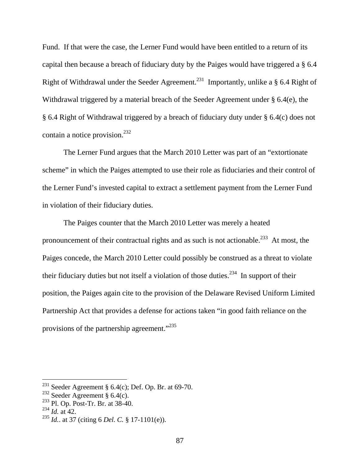Fund. If that were the case, the Lerner Fund would have been entitled to a return of its capital then because a breach of fiduciary duty by the Paiges would have triggered a § 6.4 Right of Withdrawal under the Seeder Agreement.<sup>231</sup> Importantly, unlike a § 6.4 Right of Withdrawal triggered by a material breach of the Seeder Agreement under § 6.4(e), the § 6.4 Right of Withdrawal triggered by a breach of fiduciary duty under § 6.4(c) does not contain a notice provision.<sup>232</sup>

The Lerner Fund argues that the March 2010 Letter was part of an "extortionate scheme" in which the Paiges attempted to use their role as fiduciaries and their control of the Lerner Fund's invested capital to extract a settlement payment from the Lerner Fund in violation of their fiduciary duties.

The Paiges counter that the March 2010 Letter was merely a heated pronouncement of their contractual rights and as such is not actionable.<sup>233</sup> At most, the Paiges concede, the March 2010 Letter could possibly be construed as a threat to violate their fiduciary duties but not itself a violation of those duties.<sup>234</sup> In support of their position, the Paiges again cite to the provision of the Delaware Revised Uniform Limited Partnership Act that provides a defense for actions taken "in good faith reliance on the provisions of the partnership agreement."235

<sup>&</sup>lt;sup>231</sup> Seeder Agreement § 6.4(c); Def. Op. Br. at 69-70.

<sup>&</sup>lt;sup>232</sup> Seeder Agreement §  $6.4(c)$ .

<sup>233</sup> Pl. Op. Post-Tr. Br. at 38-40.

 $^{234}$  *Id.* at 42.

<sup>235</sup> *Id.*. at 37 (citing 6 *Del. C.* § 17-1101(e)).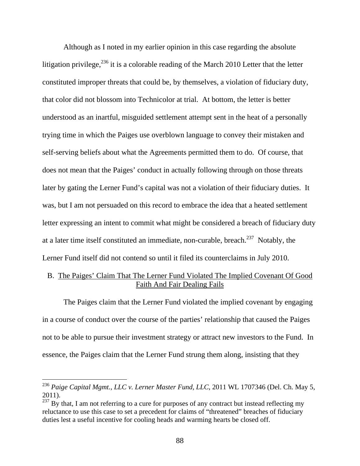Although as I noted in my earlier opinion in this case regarding the absolute litigation privilege,  $^{236}$  it is a colorable reading of the March 2010 Letter that the letter constituted improper threats that could be, by themselves, a violation of fiduciary duty, that color did not blossom into Technicolor at trial. At bottom, the letter is better understood as an inartful, misguided settlement attempt sent in the heat of a personally trying time in which the Paiges use overblown language to convey their mistaken and self-serving beliefs about what the Agreements permitted them to do. Of course, that does not mean that the Paiges' conduct in actually following through on those threats later by gating the Lerner Fund's capital was not a violation of their fiduciary duties. It was, but I am not persuaded on this record to embrace the idea that a heated settlement letter expressing an intent to commit what might be considered a breach of fiduciary duty at a later time itself constituted an immediate, non-curable, breach.<sup>237</sup> Notably, the Lerner Fund itself did not contend so until it filed its counterclaims in July 2010.

## B. The Paiges' Claim That The Lerner Fund Violated The Implied Covenant Of Good Faith And Fair Dealing Fails

The Paiges claim that the Lerner Fund violated the implied covenant by engaging in a course of conduct over the course of the parties' relationship that caused the Paiges not to be able to pursue their investment strategy or attract new investors to the Fund. In essence, the Paiges claim that the Lerner Fund strung them along, insisting that they

<sup>236</sup> *Paige Capital Mgmt., LLC v. Lerner Master Fund, LLC*, 2011 WL 1707346 (Del. Ch. May 5, 2011).

 $^{237}$  By that, I am not referring to a cure for purposes of any contract but instead reflecting my reluctance to use this case to set a precedent for claims of "threatened" breaches of fiduciary duties lest a useful incentive for cooling heads and warming hearts be closed off.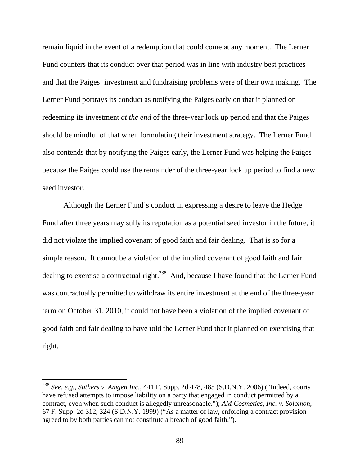remain liquid in the event of a redemption that could come at any moment. The Lerner Fund counters that its conduct over that period was in line with industry best practices and that the Paiges' investment and fundraising problems were of their own making. The Lerner Fund portrays its conduct as notifying the Paiges early on that it planned on redeeming its investment *at the end* of the three-year lock up period and that the Paiges should be mindful of that when formulating their investment strategy. The Lerner Fund also contends that by notifying the Paiges early, the Lerner Fund was helping the Paiges because the Paiges could use the remainder of the three-year lock up period to find a new seed investor.

Although the Lerner Fund's conduct in expressing a desire to leave the Hedge Fund after three years may sully its reputation as a potential seed investor in the future, it did not violate the implied covenant of good faith and fair dealing. That is so for a simple reason. It cannot be a violation of the implied covenant of good faith and fair dealing to exercise a contractual right.<sup>238</sup> And, because I have found that the Lerner Fund was contractually permitted to withdraw its entire investment at the end of the three-year term on October 31, 2010, it could not have been a violation of the implied covenant of good faith and fair dealing to have told the Lerner Fund that it planned on exercising that right.

<sup>238</sup> *See, e.g., Suthers v. Amgen Inc.*, 441 F. Supp. 2d 478, 485 (S.D.N.Y. 2006) ("Indeed, courts have refused attempts to impose liability on a party that engaged in conduct permitted by a contract, even when such conduct is allegedly unreasonable."); *AM Cosmetics, Inc. v. Solomon*, 67 F. Supp. 2d 312, 324 (S.D.N.Y. 1999) ("As a matter of law, enforcing a contract provision agreed to by both parties can not constitute a breach of good faith.").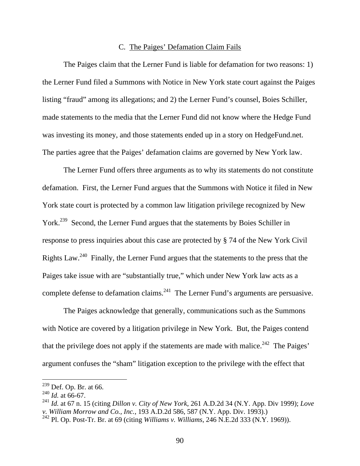#### C. The Paiges' Defamation Claim Fails

The Paiges claim that the Lerner Fund is liable for defamation for two reasons: 1) the Lerner Fund filed a Summons with Notice in New York state court against the Paiges listing "fraud" among its allegations; and 2) the Lerner Fund's counsel, Boies Schiller, made statements to the media that the Lerner Fund did not know where the Hedge Fund was investing its money, and those statements ended up in a story on HedgeFund.net. The parties agree that the Paiges' defamation claims are governed by New York law.

The Lerner Fund offers three arguments as to why its statements do not constitute defamation. First, the Lerner Fund argues that the Summons with Notice it filed in New York state court is protected by a common law litigation privilege recognized by New York.<sup>239</sup> Second, the Lerner Fund argues that the statements by Boies Schiller in response to press inquiries about this case are protected by § 74 of the New York Civil Rights Law.240 Finally, the Lerner Fund argues that the statements to the press that the Paiges take issue with are "substantially true," which under New York law acts as a complete defense to defamation claims.<sup>241</sup> The Lerner Fund's arguments are persuasive.

The Paiges acknowledge that generally, communications such as the Summons with Notice are covered by a litigation privilege in New York. But, the Paiges contend that the privilege does not apply if the statements are made with malice.<sup>242</sup> The Paiges' argument confuses the "sham" litigation exception to the privilege with the effect that

 $^{239}$  Def. Op. Br. at 66.

 $^{240}$  *Id.* at 66-67.

<sup>241</sup> *Id.* at 67 n. 15 (citing *Dillon v. City of New York*, 261 A.D.2d 34 (N.Y. App. Div 1999); *Love v. William Morrow and Co., Inc.*, 193 A.D.2d 586, 587 (N.Y. App. Div. 1993).)

<sup>242</sup> Pl. Op. Post-Tr. Br. at 69 (citing *Williams v. Williams*, 246 N.E.2d 333 (N.Y. 1969)).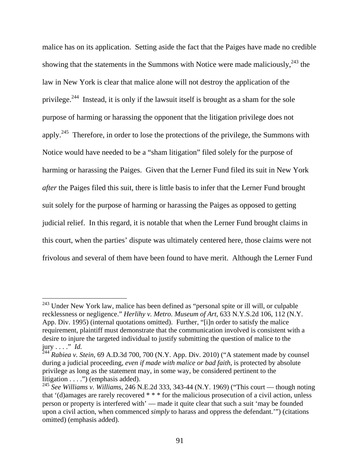malice has on its application. Setting aside the fact that the Paiges have made no credible showing that the statements in the Summons with Notice were made maliciously,  $243$  the law in New York is clear that malice alone will not destroy the application of the privilege.<sup>244</sup> Instead, it is only if the lawsuit itself is brought as a sham for the sole purpose of harming or harassing the opponent that the litigation privilege does not apply.<sup>245</sup> Therefore, in order to lose the protections of the privilege, the Summons with Notice would have needed to be a "sham litigation" filed solely for the purpose of harming or harassing the Paiges. Given that the Lerner Fund filed its suit in New York *after* the Paiges filed this suit, there is little basis to infer that the Lerner Fund brought suit solely for the purpose of harming or harassing the Paiges as opposed to getting judicial relief. In this regard, it is notable that when the Lerner Fund brought claims in this court, when the parties' dispute was ultimately centered here, those claims were not frivolous and several of them have been found to have merit. Although the Lerner Fund

<sup>&</sup>lt;sup>243</sup> Under New York law, malice has been defined as "personal spite or ill will, or culpable recklessness or negligence." *Herlihy v. Metro. Museum of Art*, 633 N.Y.S.2d 106, 112 (N.Y. App. Div. 1995) (internal quotations omitted). Further, "[i]n order to satisfy the malice requirement, plaintiff must demonstrate that the communication involved is consistent with a desire to injure the targeted individual to justify submitting the question of malice to the jury . . . ." *Id.* 244 *Rabiea v. Stein*, 69 A.D.3d 700, 700 (N.Y. App. Div. 2010) ("A statement made by counsel

during a judicial proceeding, *even if made with malice or bad faith*, is protected by absolute privilege as long as the statement may, in some way, be considered pertinent to the litigation  $\dots$ .") (emphasis added).

<sup>245</sup> *See Williams v. Williams*, 246 N.E.2d 333, 343-44 (N.Y. 1969) ("This court — though noting that '(d)amages are rarely recovered \* \* \* for the malicious prosecution of a civil action, unless person or property is interfered with' — made it quite clear that such a suit 'may be founded upon a civil action, when commenced *simply* to harass and oppress the defendant.'") (citations omitted) (emphasis added).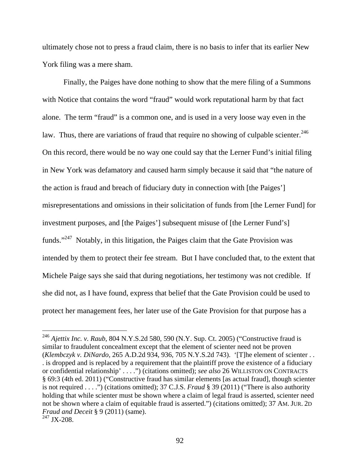ultimately chose not to press a fraud claim, there is no basis to infer that its earlier New York filing was a mere sham.

Finally, the Paiges have done nothing to show that the mere filing of a Summons with Notice that contains the word "fraud" would work reputational harm by that fact alone. The term "fraud" is a common one, and is used in a very loose way even in the law. Thus, there are variations of fraud that require no showing of culpable scienter.<sup>246</sup> On this record, there would be no way one could say that the Lerner Fund's initial filing in New York was defamatory and caused harm simply because it said that "the nature of the action is fraud and breach of fiduciary duty in connection with [the Paiges'] misrepresentations and omissions in their solicitation of funds from [the Lerner Fund] for investment purposes, and [the Paiges'] subsequent misuse of [the Lerner Fund's] funds."247 Notably, in this litigation, the Paiges claim that the Gate Provision was intended by them to protect their fee stream. But I have concluded that, to the extent that Michele Paige says she said that during negotiations, her testimony was not credible. If she did not, as I have found, express that belief that the Gate Provision could be used to protect her management fees, her later use of the Gate Provision for that purpose has a

<sup>&</sup>lt;sup>246</sup> *Ajettix Inc. v. Raub*, 804 N.Y.S.2d 580, 590 (N.Y. Sup. Ct. 2005) ("Constructive fraud is similar to fraudulent concealment except that the element of scienter need not be proven (*Klembczyk v. DiNardo,* 265 A.D.2d 934, 936, 705 N.Y.S.2d 743). '[T]he element of scienter . . . is dropped and is replaced by a requirement that the plaintiff prove the existence of a fiduciary or confidential relationship' . . . .") (citations omitted); *see also* 26 WILLISTON ON CONTRACTS § 69:3 (4th ed. 2011) ("Constructive fraud has similar elements [as actual fraud], though scienter is not required . . . .") (citations omitted); 37 C.J.S. *Fraud* § 39 (2011) ("There is also authority holding that while scienter must be shown where a claim of legal fraud is asserted, scienter need not be shown where a claim of equitable fraud is asserted.") (citations omitted); 37 AM. JUR. 2D *Fraud and Deceit* § 9 (2011) (same).  $^{247}$  JX-208.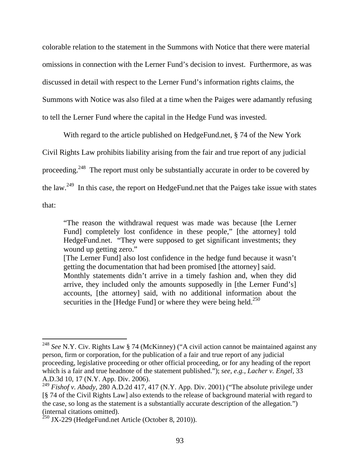colorable relation to the statement in the Summons with Notice that there were material omissions in connection with the Lerner Fund's decision to invest. Furthermore, as was discussed in detail with respect to the Lerner Fund's information rights claims, the Summons with Notice was also filed at a time when the Paiges were adamantly refusing to tell the Lerner Fund where the capital in the Hedge Fund was invested.

With regard to the article published on HedgeFund.net, § 74 of the New York

Civil Rights Law prohibits liability arising from the fair and true report of any judicial

proceeding.<sup>248</sup> The report must only be substantially accurate in order to be covered by

the law.249 In this case, the report on HedgeFund.net that the Paiges take issue with states

that:

 $\overline{a}$ 

"The reason the withdrawal request was made was because [the Lerner Fund] completely lost confidence in these people," [the attorney] told HedgeFund.net. "They were supposed to get significant investments; they wound up getting zero."

[The Lerner Fund] also lost confidence in the hedge fund because it wasn't getting the documentation that had been promised [the attorney] said.

Monthly statements didn't arrive in a timely fashion and, when they did arrive, they included only the amounts supposedly in [the Lerner Fund's] accounts, [the attorney] said, with no additional information about the securities in the [Hedge Fund] or where they were being held. $250$ 

<sup>248</sup> *See* N.Y. Civ. Rights Law § 74 (McKinney) ("A civil action cannot be maintained against any person, firm or corporation, for the publication of a fair and true report of any judicial proceeding, legislative proceeding or other official proceeding, or for any heading of the report which is a fair and true headnote of the statement published."); *see, e.g.*, *Lacher v. Engel*, 33 A.D.3d 10, 17 (N.Y. App. Div. 2006).

<sup>&</sup>lt;sup>249</sup> Fishof v. Abady, 280 A.D.2d 417, 417 (N.Y. App. Div. 2001) ("The absolute privilege under [§ 74 of the Civil Rights Law] also extends to the release of background material with regard to the case, so long as the statement is a substantially accurate description of the allegation.") (internal citations omitted).

 $250$  JX-229 (HedgeFund.net Article (October 8, 2010)).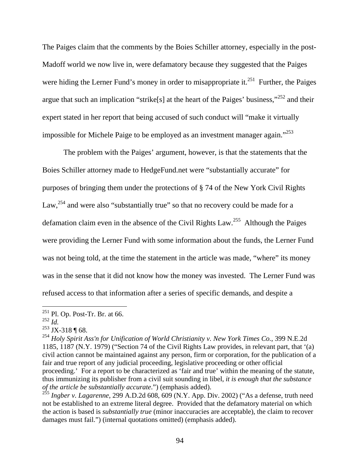The Paiges claim that the comments by the Boies Schiller attorney, especially in the post-Madoff world we now live in, were defamatory because they suggested that the Paiges were hiding the Lerner Fund's money in order to misappropriate it.<sup>251</sup> Further, the Paiges argue that such an implication "strike[s] at the heart of the Paiges' business,"252 and their expert stated in her report that being accused of such conduct will "make it virtually impossible for Michele Paige to be employed as an investment manager again."<sup>253</sup>

The problem with the Paiges' argument, however, is that the statements that the Boies Schiller attorney made to HedgeFund.net were "substantially accurate" for purposes of bringing them under the protections of § 74 of the New York Civil Rights Law,<sup>254</sup> and were also "substantially true" so that no recovery could be made for a defamation claim even in the absence of the Civil Rights Law.255 Although the Paiges were providing the Lerner Fund with some information about the funds, the Lerner Fund was not being told, at the time the statement in the article was made, "where" its money was in the sense that it did not know how the money was invested. The Lerner Fund was refused access to that information after a series of specific demands, and despite a

 $251$  Pl. Op. Post-Tr. Br. at 66.

<sup>252</sup> *Id.*

 $253$  JX-318 ¶ 68.

<sup>254</sup> *Holy Spirit Ass'n for Unification of World Christianity v. New York Times Co.*, 399 N.E.2d 1185, 1187 (N.Y. 1979) ("Section 74 of the Civil Rights Law provides, in relevant part, that '(a) civil action cannot be maintained against any person, firm or corporation, for the publication of a fair and true report of any judicial proceeding, legislative proceeding or other official proceeding.' For a report to be characterized as 'fair and true' within the meaning of the statute, thus immunizing its publisher from a civil suit sounding in libel, *it is enough that the substance of the article be substantially accurate*.") (emphasis added).

<sup>&</sup>lt;sup>255</sup> Ingber v. Lagarenne, 299 A.D.2d 608, 609 (N.Y. App. Div. 2002) ("As a defense, truth need not be established to an extreme literal degree. Provided that the defamatory material on which the action is based is *substantially true* (minor inaccuracies are acceptable), the claim to recover damages must fail.") (internal quotations omitted) (emphasis added).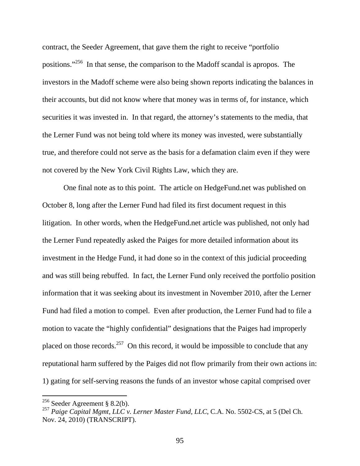contract, the Seeder Agreement, that gave them the right to receive "portfolio positions."256 In that sense, the comparison to the Madoff scandal is apropos. The investors in the Madoff scheme were also being shown reports indicating the balances in their accounts, but did not know where that money was in terms of, for instance, which securities it was invested in. In that regard, the attorney's statements to the media, that the Lerner Fund was not being told where its money was invested, were substantially true, and therefore could not serve as the basis for a defamation claim even if they were not covered by the New York Civil Rights Law, which they are.

 One final note as to this point. The article on HedgeFund.net was published on October 8, long after the Lerner Fund had filed its first document request in this litigation. In other words, when the HedgeFund.net article was published, not only had the Lerner Fund repeatedly asked the Paiges for more detailed information about its investment in the Hedge Fund, it had done so in the context of this judicial proceeding and was still being rebuffed. In fact, the Lerner Fund only received the portfolio position information that it was seeking about its investment in November 2010, after the Lerner Fund had filed a motion to compel. Even after production, the Lerner Fund had to file a motion to vacate the "highly confidential" designations that the Paiges had improperly placed on those records.<sup>257</sup> On this record, it would be impossible to conclude that any reputational harm suffered by the Paiges did not flow primarily from their own actions in: 1) gating for self-serving reasons the funds of an investor whose capital comprised over

<sup>&</sup>lt;sup>256</sup> Seeder Agreement § 8.2(b).

<sup>&</sup>lt;sup>257</sup> Paige Capital Mgmt, LLC v. Lerner Master Fund, LLC, C.A. No. 5502-CS, at 5 (Del Ch. Nov. 24, 2010) (TRANSCRIPT).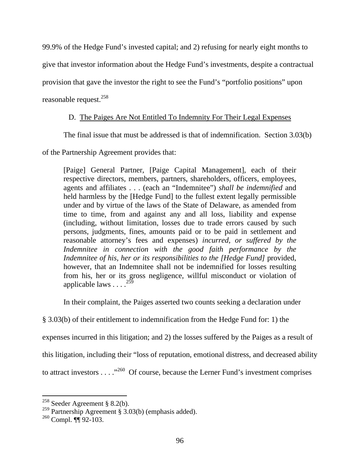99.9% of the Hedge Fund's invested capital; and 2) refusing for nearly eight months to

give that investor information about the Hedge Fund's investments, despite a contractual

provision that gave the investor the right to see the Fund's "portfolio positions" upon

reasonable request.<sup>258</sup>

# D. The Paiges Are Not Entitled To Indemnity For Their Legal Expenses

The final issue that must be addressed is that of indemnification. Section 3.03(b)

of the Partnership Agreement provides that:

[Paige] General Partner, [Paige Capital Management], each of their respective directors, members, partners, shareholders, officers, employees, agents and affiliates . . . (each an "Indemnitee") *shall be indemnified* and held harmless by the [Hedge Fund] to the fullest extent legally permissible under and by virtue of the laws of the State of Delaware, as amended from time to time, from and against any and all loss, liability and expense (including, without limitation, losses due to trade errors caused by such persons, judgments, fines, amounts paid or to be paid in settlement and reasonable attorney's fees and expenses) *incurred, or suffered by the Indemnitee in connection with the good faith performance by the Indemnitee of his, her or its responsibilities to the [Hedge Fund]* provided, however, that an Indemnitee shall not be indemnified for losses resulting from his, her or its gross negligence, willful misconduct or violation of applicable laws  $\ldots$ <sup>259</sup>

In their complaint, the Paiges asserted two counts seeking a declaration under

§ 3.03(b) of their entitlement to indemnification from the Hedge Fund for: 1) the

expenses incurred in this litigation; and 2) the losses suffered by the Paiges as a result of

this litigation, including their "loss of reputation, emotional distress, and decreased ability

to attract investors  $\dots$   $\cdot$   $\cdot$   $\cdot$  Of course, because the Lerner Fund's investment comprises

 $258$  Seeder Agreement § 8.2(b).

<sup>&</sup>lt;sup>259</sup> Partnership Agreement § 3.03(b) (emphasis added).

 $260$  Compl.  $\P$ 92-103.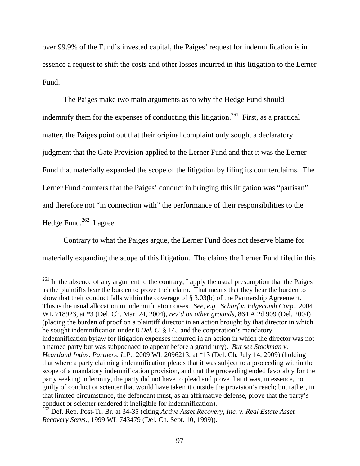over 99.9% of the Fund's invested capital, the Paiges' request for indemnification is in essence a request to shift the costs and other losses incurred in this litigation to the Lerner Fund.

The Paiges make two main arguments as to why the Hedge Fund should indemnify them for the expenses of conducting this litigation.<sup>261</sup> First, as a practical matter, the Paiges point out that their original complaint only sought a declaratory judgment that the Gate Provision applied to the Lerner Fund and that it was the Lerner Fund that materially expanded the scope of the litigation by filing its counterclaims. The Lerner Fund counters that the Paiges' conduct in bringing this litigation was "partisan" and therefore not "in connection with" the performance of their responsibilities to the Hedge Fund. $262$  I agree.

Contrary to what the Paiges argue, the Lerner Fund does not deserve blame for materially expanding the scope of this litigation. The claims the Lerner Fund filed in this

 $^{261}$  In the absence of any argument to the contrary, I apply the usual presumption that the Paiges as the plaintiffs bear the burden to prove their claim. That means that they bear the burden to show that their conduct falls within the coverage of § 3.03(b) of the Partnership Agreement. This is the usual allocation in indemnification cases. *See, e.g., Scharf v. Edgecomb Corp.*, 2004 WL 718923, at \*3 (Del. Ch. Mar. 24, 2004), *rev'd on other grounds*, 864 A.2d 909 (Del. 2004) (placing the burden of proof on a plaintiff director in an action brought by that director in which he sought indemnification under 8 *Del. C.* § 145 and the corporation's mandatory indemnification bylaw for litigation expenses incurred in an action in which the director was not a named party but was subpoenaed to appear before a grand jury). *But see Stockman v. Heartland Indus. Partners, L.P.*, 2009 WL 2096213, at \*13 (Del. Ch. July 14, 2009) (holding that where a party claiming indemnification pleads that it was subject to a proceeding within the scope of a mandatory indemnification provision, and that the proceeding ended favorably for the party seeking indemnity, the party did not have to plead and prove that it was, in essence, not guilty of conduct or scienter that would have taken it outside the provision's reach; but rather, in that limited circumstance, the defendant must, as an affirmative defense, prove that the party's conduct or scienter rendered it ineligible for indemnification).

<sup>262</sup> Def. Rep. Post-Tr. Br. at 34-35 (citing *Active Asset Recovery, Inc. v. Real Estate Asset Recovery Servs.,* 1999 WL 743479 (Del. Ch. Sept. 10, 1999)).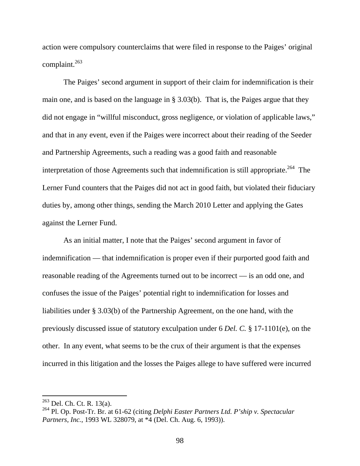action were compulsory counterclaims that were filed in response to the Paiges' original complaint.263

The Paiges' second argument in support of their claim for indemnification is their main one, and is based on the language in § 3.03(b). That is, the Paiges argue that they did not engage in "willful misconduct, gross negligence, or violation of applicable laws," and that in any event, even if the Paiges were incorrect about their reading of the Seeder and Partnership Agreements, such a reading was a good faith and reasonable interpretation of those Agreements such that indemnification is still appropriate.<sup>264</sup> The Lerner Fund counters that the Paiges did not act in good faith, but violated their fiduciary duties by, among other things, sending the March 2010 Letter and applying the Gates against the Lerner Fund.

As an initial matter, I note that the Paiges' second argument in favor of indemnification — that indemnification is proper even if their purported good faith and reasonable reading of the Agreements turned out to be incorrect — is an odd one, and confuses the issue of the Paiges' potential right to indemnification for losses and liabilities under § 3.03(b) of the Partnership Agreement, on the one hand, with the previously discussed issue of statutory exculpation under 6 *Del. C.* § 17-1101(e), on the other. In any event, what seems to be the crux of their argument is that the expenses incurred in this litigation and the losses the Paiges allege to have suffered were incurred

 $^{263}$  Del. Ch. Ct. R. 13(a).

<sup>264</sup> Pl. Op. Post-Tr. Br. at 61-62 (citing *Delphi Easter Partners Ltd. P'ship v. Spectacular Partners, Inc.*, 1993 WL 328079, at \*4 (Del. Ch. Aug. 6, 1993)).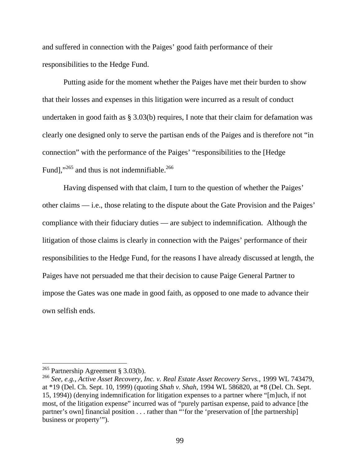and suffered in connection with the Paiges' good faith performance of their responsibilities to the Hedge Fund.

Putting aside for the moment whether the Paiges have met their burden to show that their losses and expenses in this litigation were incurred as a result of conduct undertaken in good faith as § 3.03(b) requires, I note that their claim for defamation was clearly one designed only to serve the partisan ends of the Paiges and is therefore not "in connection" with the performance of the Paiges' "responsibilities to the [Hedge Fund]," $^{265}$  and thus is not indemnifiable.<sup>266</sup>

Having dispensed with that claim, I turn to the question of whether the Paiges' other claims — i.e., those relating to the dispute about the Gate Provision and the Paiges' compliance with their fiduciary duties — are subject to indemnification. Although the litigation of those claims is clearly in connection with the Paiges' performance of their responsibilities to the Hedge Fund, for the reasons I have already discussed at length, the Paiges have not persuaded me that their decision to cause Paige General Partner to impose the Gates was one made in good faith, as opposed to one made to advance their own selfish ends.

<sup>&</sup>lt;sup>265</sup> Partnership Agreement § 3.03(b).

<sup>266</sup> *See, e.g., Active Asset Recovery, Inc. v. Real Estate Asset Recovery Servs.*, 1999 WL 743479, at \*19 (Del. Ch. Sept. 10, 1999) (quoting *Shah v. Shah*, 1994 WL 586820, at \*8 (Del. Ch. Sept. 15, 1994)) (denying indemnification for litigation expenses to a partner where "[m]uch, if not most, of the litigation expense" incurred was of "purely partisan expense, paid to advance [the partner's own] financial position . . . rather than "'for the 'preservation of [the partnership] business or property'").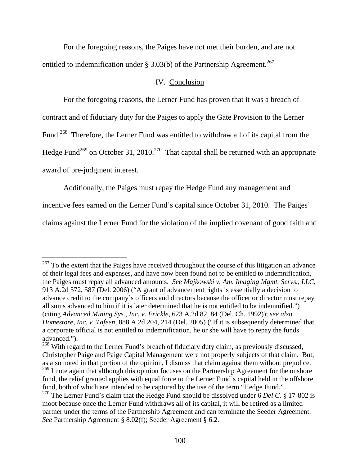For the foregoing reasons, the Paiges have not met their burden, and are not entitled to indemnification under § 3.03(b) of the Partnership Agreement.<sup>267</sup>

#### IV. Conclusion

 For the foregoing reasons, the Lerner Fund has proven that it was a breach of contract and of fiduciary duty for the Paiges to apply the Gate Provision to the Lerner Fund.<sup>268</sup> Therefore, the Lerner Fund was entitled to withdraw all of its capital from the Hedge Fund<sup>269</sup> on October 31, 2010.<sup>270</sup> That capital shall be returned with an appropriate award of pre-judgment interest.

Additionally, the Paiges must repay the Hedge Fund any management and

incentive fees earned on the Lerner Fund's capital since October 31, 2010. The Paiges'

 $\overline{a}$ 

claims against the Lerner Fund for the violation of the implied covenant of good faith and

 $^{267}$  To the extent that the Paiges have received throughout the course of this litigation an advance of their legal fees and expenses, and have now been found not to be entitled to indemnification, the Paiges must repay all advanced amounts. *See Majkowski v. Am. Imaging Mgmt. Servs., LLC*, 913 A.2d 572, 587 (Del. 2006) ("A grant of advancement rights is essentially a decision to advance credit to the company's officers and directors because the officer or director must repay all sums advanced to him if it is later determined that he is not entitled to be indemnified.") (citing *Advanced Mining Sys., Inc. v. Frickle*, 623 A.2d 82, 84 (Del. Ch. 1992)); *see also Homestore, Inc. v. Tafeen*, 888 A.2d 204, 214 (Del. 2005) ("If it is subsequently determined that a corporate official is not entitled to indemnification, he or she will have to repay the funds advanced.").

<sup>&</sup>lt;sup>268</sup> With regard to the Lerner Fund's breach of fiduciary duty claim, as previously discussed, Christopher Paige and Paige Capital Management were not properly subjects of that claim. But, as also noted in that portion of the opinion, I dismiss that claim against them without prejudice. <sup>269</sup> I note again that although this opinion focuses on the Partnership Agreement for the onshore fund, the relief granted applies with equal force to the Lerner Fund's capital held in the offshore fund, both of which are intended to be captured by the use of the term "Hedge Fund." <sup>270</sup> The Lerner Fund's claim that the Hedge Fund should be dissolved under 6 *Del C*. § 17-802 is moot because once the Lerner Fund withdraws all of its capital, it will be retired as a limited partner under the terms of the Partnership Agreement and can terminate the Seeder Agreement. *See* Partnership Agreement § 8.02(f); Seeder Agreement § 6.2.